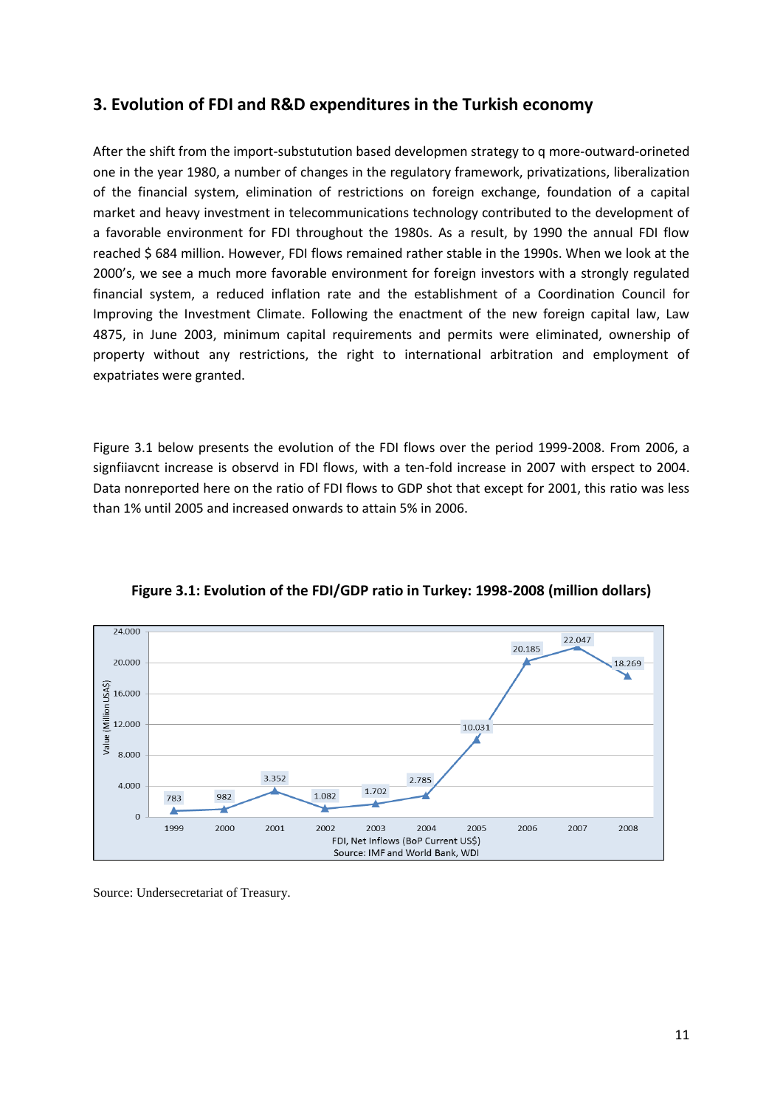# **Analyzing R&D Activities of Foreign Enterprises in Emerging Economies. Lessons from Turkey**

**Mehmet Teoman PAMUKÇU<sup>1</sup> Erkan ERDIL<sup>2</sup>**

Paper prepared for the *Technology Transfer in a Global Economy*, Technology Transfer Society Meetings, University of Augsburg, Bavaria, Germany, September 21-23, 2011.

**.** 

<sup>&</sup>lt;sup>1</sup>Department of Science and Technology Policy Studies, Graduate School of Social Sciences, Middle East Technical University, MM Building, No: 220, 06531, Ankara, Turkey; Email: [pamukcu@metu.edu.tr](mailto:pamukcu@metu.edu.tr) Phone: +90- 312-2103719; Fax: +90-312-2107993.

<sup>&</sup>lt;sup>2</sup> Department of Economics, Middle East Technical University, 06531, Ankara, Turkey; Email: <u>erdil@metu.edu.tr</u> Phone: +90-312-2103082; Fax: +90-312-2107957.

<sup>\*</sup>*Interviews conducted with MNE affiliates for this study benefited from financial support provided the International Investors Association of Turkey.*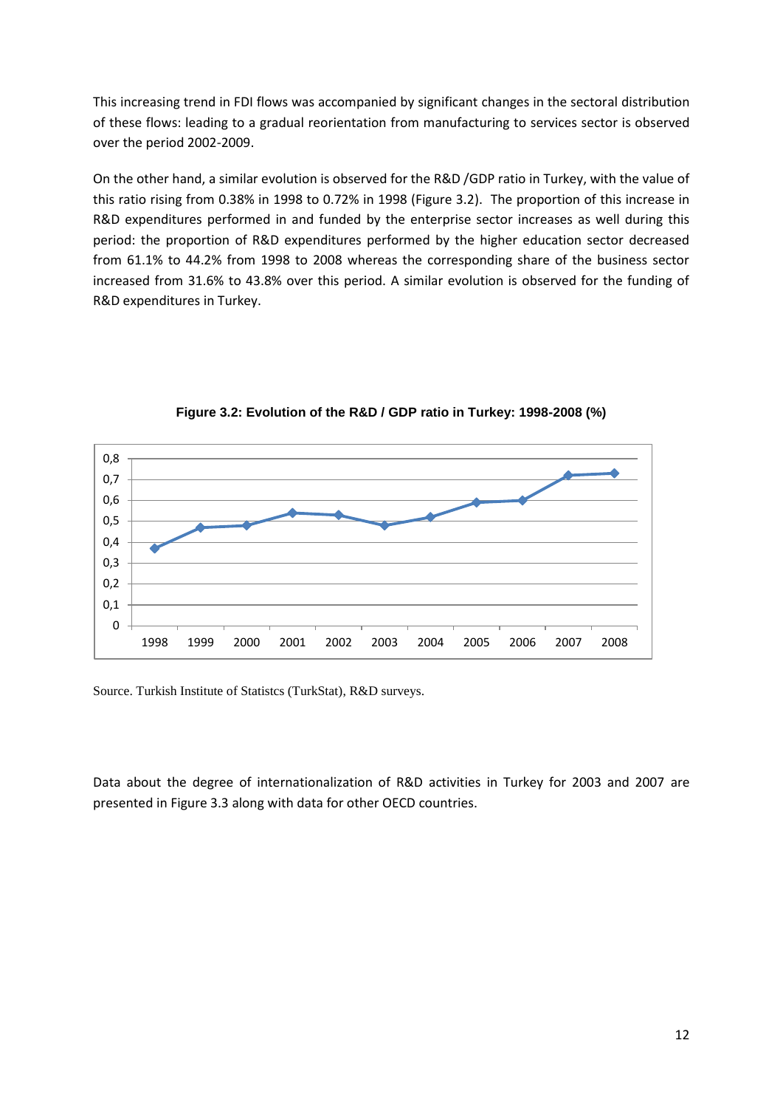### **1. Introduction**

Globalization of economic activity has been ongoing at least since the early sixties. The spread of production activities around the globe has been mainly attributed to the activities of the multinational entreprises (MNEs) in the developed nations as a result of worldwide liberalization of economic activities and rapid technological change since the eighties. Increased flows of foreign direct investment (FDI) all around the world has been the evidence of accelerated globalization movement as presented in Figure 1 below. An interesting feature of these international flows over the period 1980-2008 is the accompanying rise in the share of developing regions receiving these flows. By the end of 2008, developing economies has received one third of the world total FDI flows. The FDI figures below are the outcome of greenfield investments, merger and acquisitions as well as of expansions implemented by existing foreign firms.



#### **Figure 1: Evolution of FDI flows: 1980-2008 (trillion dollars)**

Source: World Investment Report 2010.

Beginning in the nineties, the globalization of manufacturing function of MNEs – accompanied by that of marketing & sales –was followed by the offshoring of their R&D activities, pointing to the spread of innovation activities of MNEs all around the world. Although data supporting globalization of R&D is scarce, available evidence points to the increasing importance of this phenomenon. For instance, Data provided in UNCTAD (2005) shows that over the period 1995-2004 the share of the total R&D budget of Western European MNEs allocated to their affiliates located outside Europe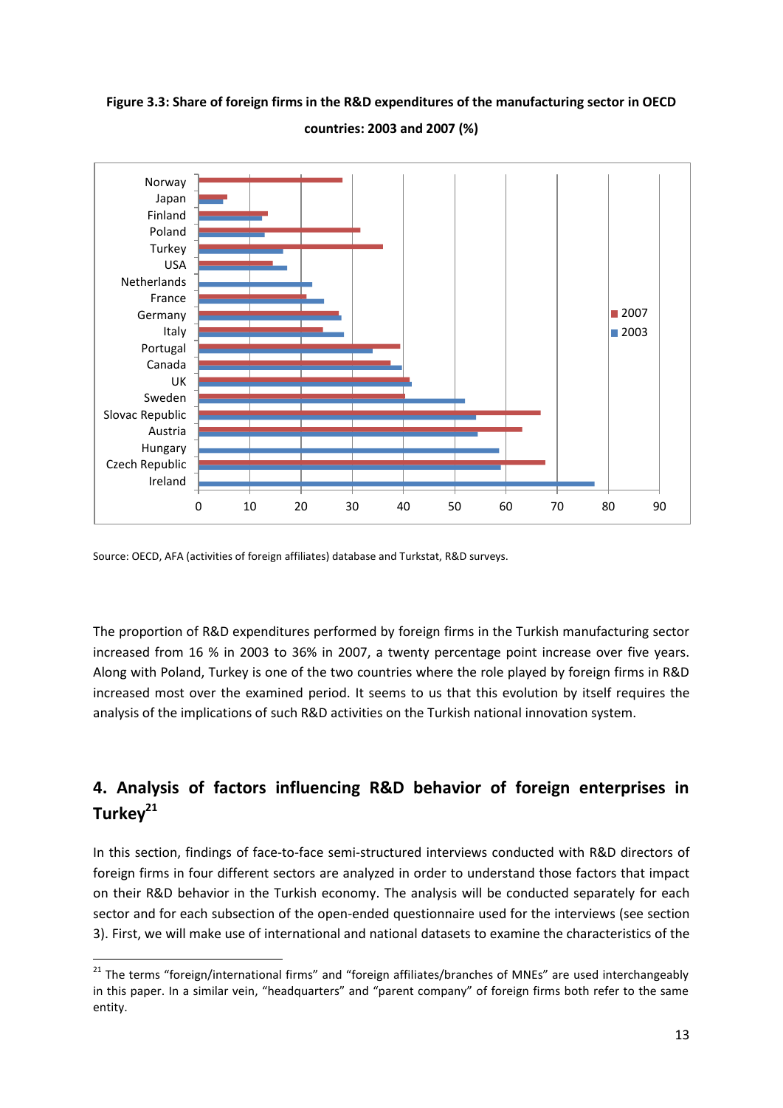increased from 25.7% to 43.7%, almost a 20 percentage point increase. For North American MNEs, a similar evolution is observed with the aforementioned share rising from 23.2% in 1995 to 35.1% in 2004. Data for Japan indicates a similar scenario although its degree of R&D globalization is much smaller than the other two regions.

Figure 2 below relates to R&D flows between the European Union (EU), USA and Japan. When R&D expenditures made by the enterprise sector only is taken into consideration, it can be observed that the main flows in 2002 took place between EU and USA whereas R&D flows both to and from Japan were less important. When *both* incoming and outgoing R&D flows are taken into account, the degree of internationalization of R&D amounts to 23.4% for the EU and 15.5% for the US in the year 2002.



**Figure 2: R&D flows between EU, US and Japan in 2002 (millions of USD)**

Finally, data provided in OECD (2008 informs us about the evolution of the geographical distribution of R&D expenditures carried out by foreign affiliates of US MNEs over the period 1995-2005. The total amount of R&D expenditures of US affiliates abroad increased by 133% from 12.8 billion USD in 1995 to 28.3 billion USD in 2005. The proportion of these R&D expenditures carried out in the EU went down from 70.4% to 61.0% while that in the Asia-Pacific region increased from 14.8% to 18.2%, which is largely due to the increasing share directed to China –rising from 0.1% in 1995 to 2.5% in 2005. On the other hand, Japan's share decreased significantly over the same period from 10.2% to 6.2%.

Data presented above confirms the increasing trend towards globalization of R&D activities emphasized by previous research<sup>3</sup>. Therefore, R&D activities of MNEs can no more be presented as a case of non-globalized activity of MNEs<sup>4</sup>. Furthermore, available data indicates that an increasing

Source: OECD (2006).

 $3$  UNCTAD (2001 and 2005).

 $<sup>4</sup>$  Patel and Pavit (1991).</sup>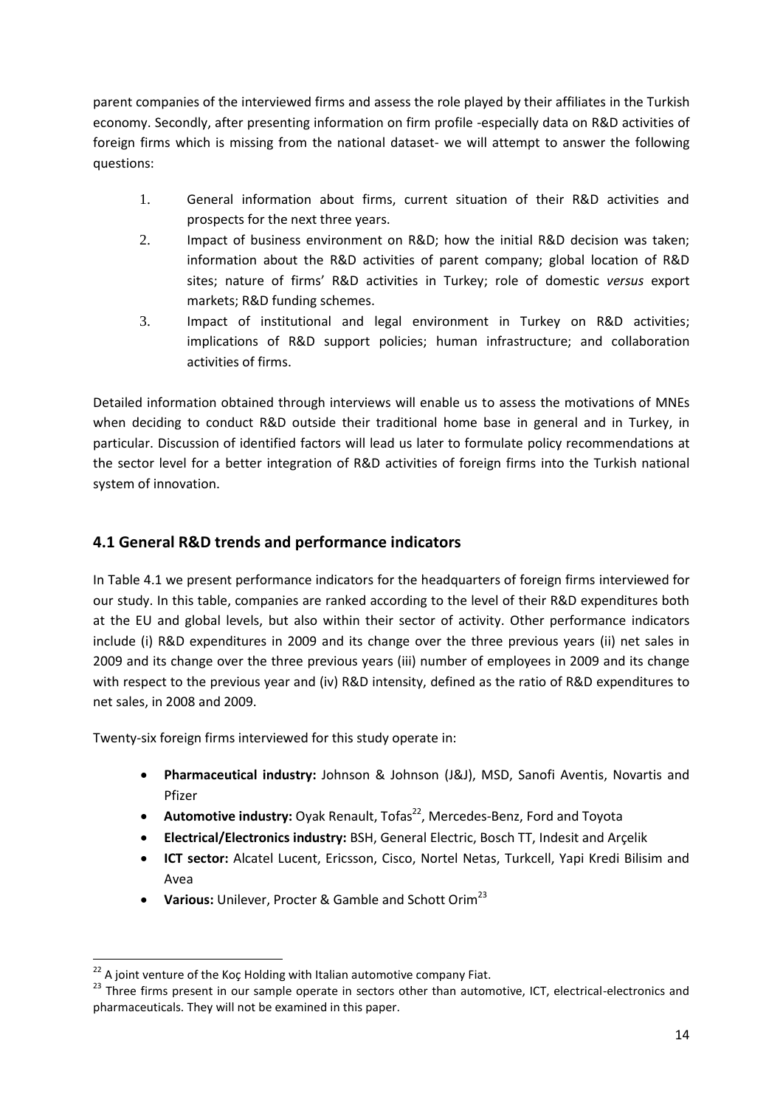share of off-shored R&D flows into emerging countries, pointing to the necessity of analyzing issues related not only to attract these internatinal R&D activities but also how to use them to enhance the quality of the national sytems of innovation in these countries.

In this study, Turkey, a mid-sized emerging economy, was chosen as a case study to analyze various issues involved in the internationalization of R&D actvities. Indeed, after having pursued an importsubstitution based development strategy from the early 1950s until 1980, Turkey switched to a more outward-oriented one from 1980 onward. Liberalization policies introduced included measures aimed at export promotion and import liberalization, and at a later stage, at deregulation of the financial sector and promotion of foreign direct investment (FDI). FDI flows recorded an upward trend especially from 2000 onwards and data on the MNC affiliates in Turkey indicates that their shares not only in the production, value added, employment and investment but also in the R&D activities at the sector level have increased significantly.

In order to identify and analyze opportunities but also problems associated with the increased foreign presence in the field of innovation activities in the Turkish economy, we prepared an openended questionnaire and conducted semi-structured in-depth interviews with the CEOs and R&D, product and production directors of 26 MNE affiliates operating in the manufacturing and ICT sectors in 2010. These firms operate in the pharmaceutical sector, automotive sector, electrical/electronics sector, and in the ICT sector. They are all wholly or partly owned affiliates of well-known MNEs present all over the world. Case studies were our preferred research methodology mainly because we believe that information embedded in individuals and organizations on the issues we are interested in can only be identifed and retrieved by administrating an open-ended questionnaire to relevant actors im MNEs.

By using information provided by the in-depth interviews, we intend to analyze issues such as why<sup>5</sup>, how and by whom (parent company or its affiliate in Turkey<sup>6</sup>) the decision to carry out R&D activities in Turkey was taken. Besides, the nature of R&D activities -adaptive or more innovative- conducted by these firms will be analyzed as well as the role of domestic *versus* international/regional markets therein. Information concerning the extent of internationalization of R&D activities of the parent company, and its current and future locations will be examined as well. Another major section in the open-ended questionnaire concerns the impact of institutional and legal environment in Turkey on international R&D activities and the implications of recent R&D support policies implemented in Turkey on R&D expenditures of MNE affiliates. The final objective is to identify major problems that impede the increase in the volume and quality of existing R&D activities in Turkey or the attraction of new greenfield R&D-based FDI. Policy proposals to address these isssues will be formulated

The remainder of this paper is organized as follows. Section 2 proceeds with a discussion of the internationalization of R&D while section 3 examines the evolution of FDI flows and international R&D activities in the Turkish economy. Findings of our interview with the CEOs and R&D, product and

**.** 

<sup>&</sup>lt;sup>5</sup> This question takes into account the impact of business environemnt at the broad sense (cost, skilled workforce, collaboration with universities, regulatory framework, relations with suppliers, R&D support schemes, etc.).

<sup>&</sup>lt;sup>6</sup> The iniator of the R&D in the host country is an important resarch question and have implicationa for interrelations of the parent company with its affiliates: see von Zedtwitz and Gassmann (2002), and Miesing et al. (2011).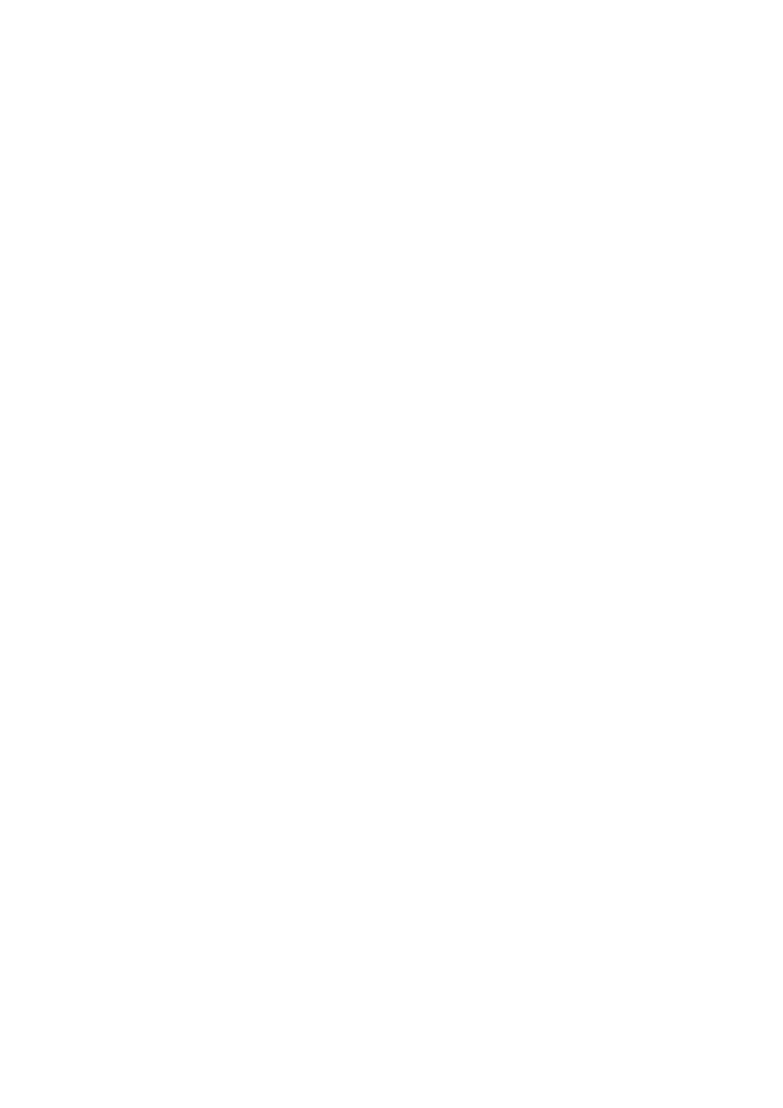production directors of MNE affiliates are presented and analyzed in section 4. Section 5 concludes by presenting the main findings of our study and formulating a number of policy proposals.

# **2. Internationalization of R&D: determinants and policies**

Several reasons can be mentioned as to why R&D or more generally innovative activities of firms should be carried out within the firm, rather than contracted to external actors – other firms or research laboratories<sup>7</sup>.

Firstly, a successful or efficient innovation process often requires intense interaction between different departments–R&D, design, manufacturing, marketing and sales – within the firm<sup>8</sup>. The need for interaction is motivated by the largely tacit nature of the knowledge created during the innovation process and by the need to circulate it within the firm. Furthermore strategic factors such as secrecy of the R&D process and its outcome may force a firm to keep its R&D activities in-house. The prospect of leakages occurring in the R&D activity may lead firms to use relatively less external actors for this activity.

Secondly, at a more aggregated level of economic activity, i.e. at the national- or sector-level innovation activities of firms occur within the framework of networks involving different types of agents. The identification of appropriate agents and the formation of useful linkages with them are costly in monetary terms as well as in time devoted to the generation and management of these networks. At the macro level, all the links established and interactions occurring between the actors involved in the innovation process constitute the national innovation system (NIS)<sup>9</sup>. Firms are *embedded* in these networks, meaning that it is extremely difficult and costly for them to reproduce the same set of relationships with similar actors outside their national borders. This situation leads very often to a situation of *path dependency* with respect to the NIS of a country, i.e. its structure, links between its actors and its outcome evolves rather gradually with time. Of course, a situation of *lock in* can appear if at least some parts of the NIS has to change for a country to remain competitive at the international level but cannot due to *inertia* of different nature – institutional, political or technological.<sup>10</sup>.

Therefore, in order to examine the issue raised earlier, i.e. the analysis of factors responsible in the globalization of R&D activities of MNEs, we must first identify the changes occurring at the economic environment which mitigated the relative importance of aforementioned factors in R&D location  $decisions<sup>11</sup>$ .

First of all, the new economic era is characterized by a rapid pace of technological change and increased competition on all markets (national and international) due to the liberalization and deregulations of markets all over the world. One major way for firms to confront the intensified

**.** 

 $^7$  Narula and Zanfei (2005), OECD (2006) and Carlsson (2006).

<sup>&</sup>lt;sup>8</sup> Kline and Rosenberg (1986).

 $<sup>9</sup>$  Lundvall (1992) and Edquist (2005).</sup>

 $10$  Narula (2003).

 $11$  Criscuola (2005).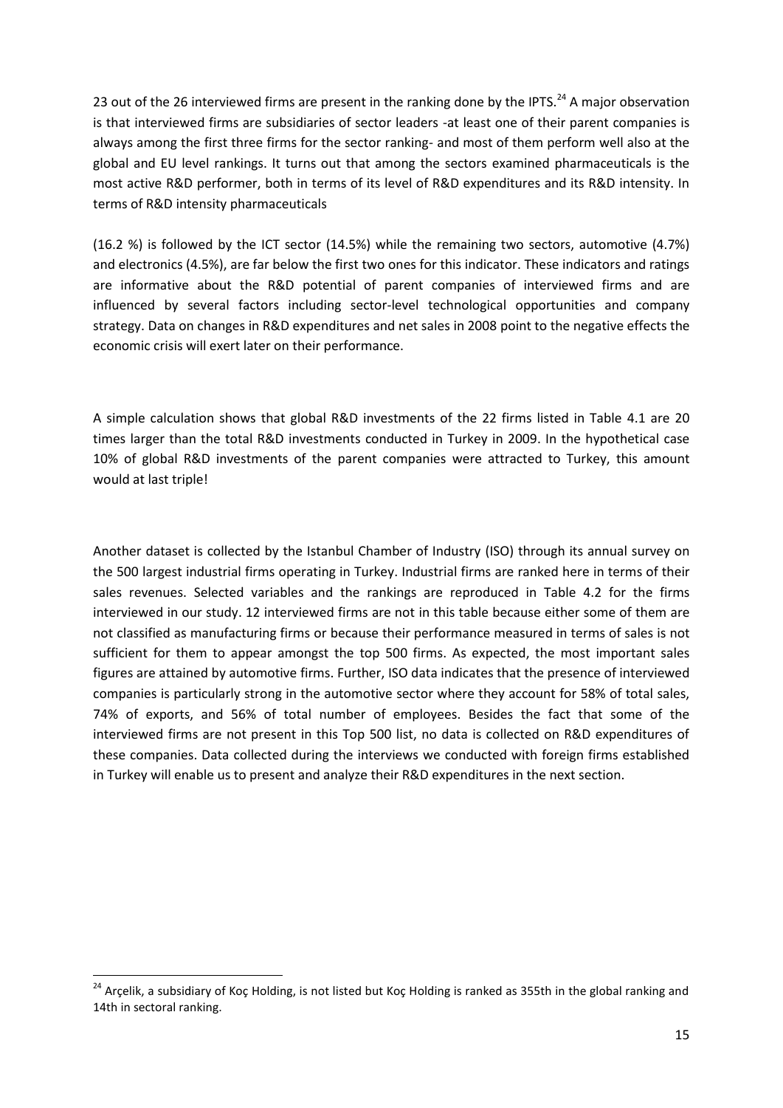competition on their markets is through innovating, i.e. by offering new or better products on the market or the same products at a lower price or both. The critical point here is that consumers are not willing to pay significantly higher prices for the new products that come as a result of the innovation process. Therefore, in a highly competitive environment firms are struggling to maintain the cost of the innovation through different means.

The situation described above coincides with problems related to the availability and the high cost of skilled workforce in industrialized nations, due to an aging population and a loss of interest of new generations in scientific disciplines. Therefore, since it becomes rather difficult and costly to recruit people for R&D activities in their country of origin (NIS), MNEs turn their attention to those developing or emerging economies where the labor force with appropriate skills and knowledge exist in sufficient numbers and good quality. By the help of the new ICTs, this process has resulted in the delocalization of some parts of R&D activities of MNEs towards a limited number of developing countries, with China and India being at the top of the list<sup>12</sup>.

Table 2.1 below summarizes the mains factors influencing the internationalization of R&D activity of MNEs.

| <b>FACTORS</b>                               | <b>Characteristics of S&amp;T supply</b>                                                                                                                            | <b>Characteristics of demand</b>                                                                     |
|----------------------------------------------|---------------------------------------------------------------------------------------------------------------------------------------------------------------------|------------------------------------------------------------------------------------------------------|
| <b>Centralization in the home</b><br>country | Strong S&T capabilities at the<br>٠<br>home country<br>Economies of scale in R&D<br>٠                                                                               | Home country is a lead market<br>$\bullet$                                                           |
| <b>International dispersion</b>              | of<br>Attractive<br>centers<br>excellence abroad<br>talent<br>pool:<br>cost<br>Low<br>٠<br>increasing supply of scientist<br>and engineers in emerging<br>countries | Adaptation to foreign markets<br>local<br>production<br>and<br>conditions<br>New lead markets abroad |

#### **Table 2.1: Supply- and demand-related factors in the internationalization of R&D**

*Source*: adapted from Sachwald (2008)

 $12$  See UNCTAD (2005) for a discussion of the determinants of attractiveness of R&D activities for MNEs and a list of countries ranked by the CEOs of largest MNEs in the world. See also Schmiele (2011).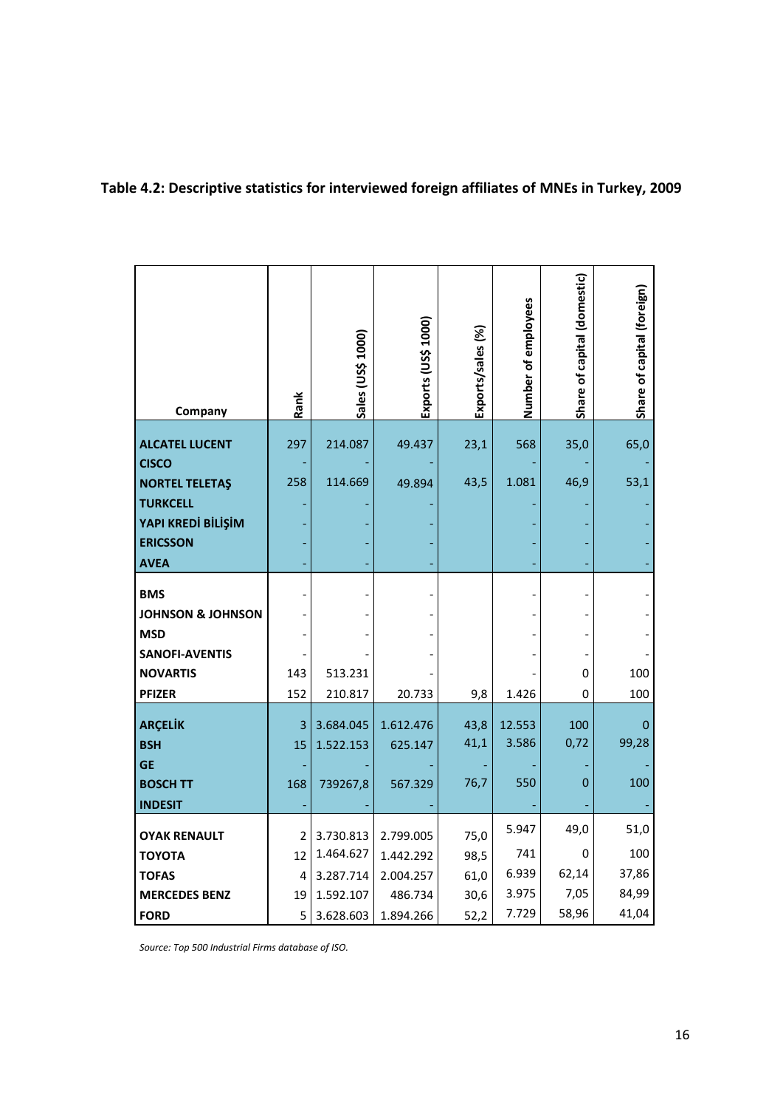In fact, empirical findings and theoretical research indicate that offshoring of R&D activities by MNEs obey to two different forces. If we define MNEs as owners of intangible proprietary assets, the act of carrying out R&D activities abroad can enable them either to use those assets to obtain a competitive advantage or to benefit from the research infrastructure and skilled labor of those host countries at competitive prices. This is particularly important if their NIS is unable to provide them at home<sup>13</sup>.

The first type of R&D activity (abroad) –part of what is called *asset-exploiting FDI* is observed in emerging or developing economies and is usually aimed at adapting products or production processes -conceived, designed in and manufactured for the markets of developed nations- to the new environments in emerging economies. They thus tend to be of an incremental kind and are carried out with the requirements of the domestic market in mind (preferences and tastes of consumers, lower per capita income levels, peculiarities of the climate and physical infrastructure). Recently, R&D activities of MNEs have been changing in nature. Rather than being merely adaptive and domestic market oriented, more innovative R&D practices are taking place with a target of a region or the world market. However their link with the production activities still remains. Furthermore a final stage in the R&D activities of MNEs in emerging countries emerges. MNEs that have not had any previous manufacturing presence in a developing country do not hesitate to invest in those countries with the sole purpose of R&D and with the world market as the main target<sup>14</sup>.

The second type of R&D activity –linked to the *asset-augmenting FDI*– is observed in developed nations and is usually carried out by foreign firms in order to access the scientific and research capability of the host country. A well known example of this type of R&D activity is the R&D investment made by the European pharmaceutical firms in the USA during the last ten years in order to take advantage of the strengths of USA in this field and to make up for the gap observed in Europe in this field. The outcome of such investments in R&D is in general products or services offered to the world market. In fact, R&D activities abroad aimed at mitigating the deficiencies of the NIS of MNEs' home countries constitute the first wave of globalization of R&D and has been going on for quite a while since the sixties.

Following the classification of the different types of R&D activity conducted by MNEs abroad, recent research on the internationalization of R&D point to three different kinds of R&D units implemented by MNEs' affiliates: Local development center, global development center and global research laboratory. The local development center pursues adaptive, incremental R&D mainly aiming for domestic and possibly the regional market, global development center carries out innovative research targeting the world market and global research laboratory performs world class research and generates genuine innovative products for the world market. Table 2.2 below presents the supply- and demand-side factors impacting of the innovation activities of these entities.

<sup>&</sup>lt;sup>13</sup> On the determinants of different types of FDI, see European Commission (2007), OECD (2006) and UNCTAD (2005).

 $14$  Recent R&D activities of MNC affiliates in the ICT sector in China – resulting from greenfield investment with no prior production experience –are of this kind. See UNCTAD (2005).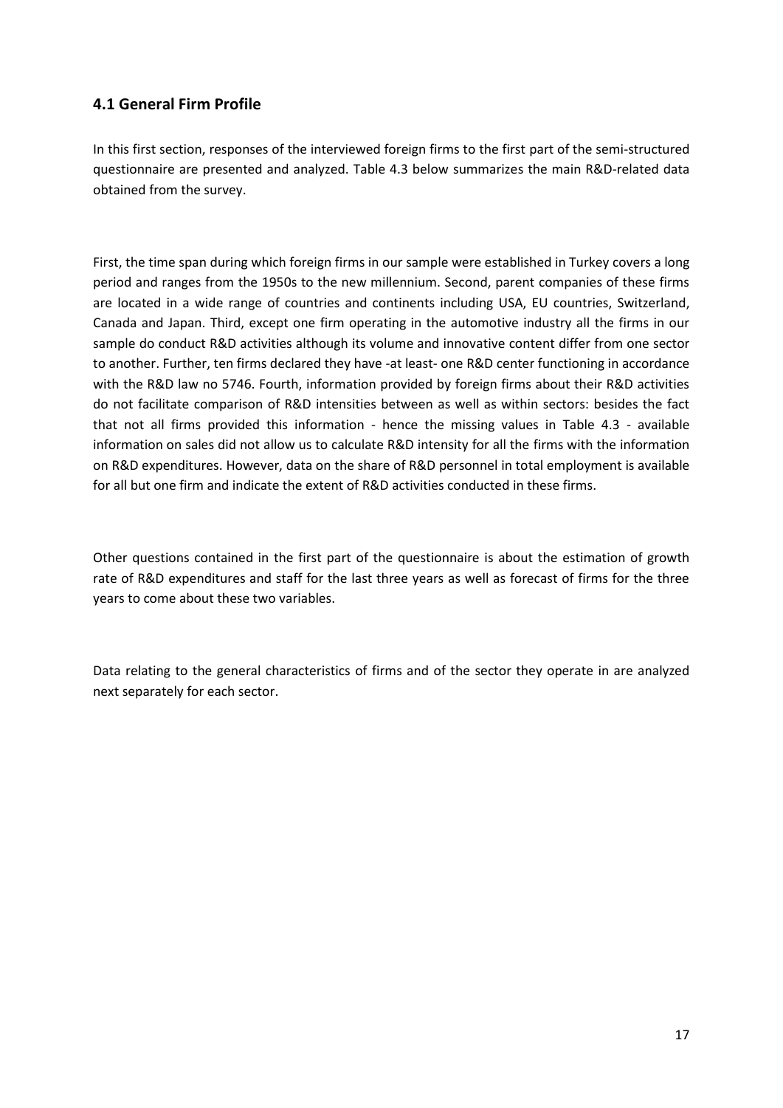|                  |                           | <b>Attractive local characteristics</b>                                                       |                                                |  |  |
|------------------|---------------------------|-----------------------------------------------------------------------------------------------|------------------------------------------------|--|--|
|                  |                           | Scientific and technological supply                                                           | <b>Demand</b>                                  |  |  |
| Type of R&D unit | Local development center  | Quality of training<br>(engineers,<br>technicians ) and local technological<br>infrastructure | Large local market<br>(size, purchasing power) |  |  |
|                  | Global research center    | Excellence centers, good relations<br>between research and industry                           | Lead market                                    |  |  |
|                  | Global development center | Good cost/efficiency ratio for some<br><b>R&amp;D</b> activities                              |                                                |  |  |

#### **Table 2.2: Determinants of the location of R&D units**

Source: Sachwald (2008)

1

What are the effects exerted by R&D activities of foreign firms on the host economy? Through which channels do these effects – positive or negative – materialize? To which extent and through which policies and related instruments can governments maximize the amount of positive effects? Although FDI flows<sup>15</sup> can influence positively the level of investment in machinery and equipment, foreign exchange earnings and employment in the host country – a developing or emerging economy in our case –the most important and durable effect of FDI on the host economy in the long term is its positive impact on the pace of productivity growth. Different channels such as technological and organizational innovations, imitation, reverse engineering, informal and formal transfers of knowledge, must be examined to elucidate how FDI affects the host economy positively.

In general, two effects of the activity of foreign firms on the performance of the host economy are identified<sup>16</sup>.

The first one is the *direct* effect exerted solely by the presence of foreign firms on the host economy. Due to the proprietary intangible assets they possess, we expect foreign firms to perform better than domestic firms – a fact confirmed by the empirical studies. Therefore, the mere establishment of foreign firms in a developing country will exert a positive effect on its productivity level. However,

 $^{15}$  By 'foreign firm', we refer here mainly to foreign affiliates of MNEs.

<sup>16</sup> Blomstrom and Kokko (1998), Gorg and Greenaway (2003), Saggi (2005) and Smeets (2008).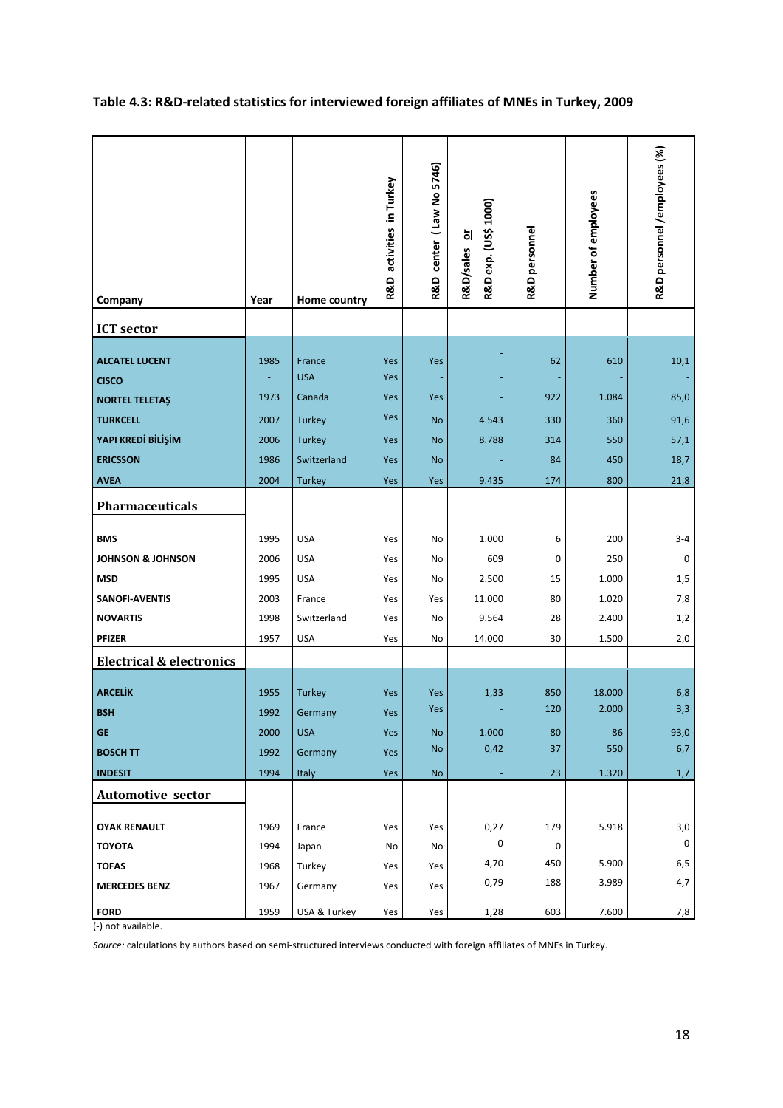what counts when the positive effects of FDI on the host economy is analyzed, is the multiplier effect they can exert through their positive effects on the performance of domestic firms. These *indirect* effects are called *FDI-related knowledge* or *technology spillovers*, and their existence and magnitude condition to a large extent the benefits host countries can obtain from FDI.

There are three main channels through which FDI can affect the productivity of domestic firms<sup>17</sup>. The first one is called the *demonstration effect* and occurs when foreign firms with advanced technologies enter a local market and introduce newer technologies to the industry. Through direct contact with foreign affiliates of multinationals, local firms can watch and imitate the way foreigners operate and can become more productive – by reverse engineering, for instance. The second channel of FDI spillovers is though *labor mobility*: skills or human capital acquired by employees in foreign firms can be transmitted to new or existing local firms through mobility of the workforce; *Third*, the entry of foreign firms may lead to more intense competition in the local industry and domestic firms are forced to use more efficiently existing technologies and resources by reducing their inefficiencies. Domestic firms may also be forced to acquire and introduce new technologies in order to maintain their market shares. Increased competition may be able to eliminate monopolistic profits and enhance the welfare of a country. However, there is also a possibility that the competition effect is harmful to domestic firms.

Note that the FDI spillovers examined above are called horizontal or intra-industry spillovers in contrast to vertical or inter-industry spillovers which occur between firms located in different industries. Vertical spillovers are as important as horizontal spillovers.<sup>18</sup>

The literature on FDI spillovers examined above includes hardly any reference to R&D activities of foreign firms and thus does not analyze spillovers that might arise from their R&D activities. Such an approach is not erroneous in itself since many developing nations stand far behind the technology frontier in many sectors. However, a number of factors lead to the fact that R&D departments of foreign firms may now become the new source of FDI-related spillovers<sup>19</sup>. Following the widespread codification of knowledge through the use of ICT, the relative share of formal innovation activities has been increasing in the two last decades with respect to informal ones. This development underlined the importance of the R&D departments of firms. Secondly, the role of innovation activities of firms in their competitive strategies is much more prevalent today than two decades earlier.

The available evidence as well as the conceptual framework used for the analysis of R&D-related FDI spillovers is less developed than the one on the classical FDI spillovers examined previously. However, the distinction between direct and indirect effects remains: indeed, it is necessary to distinguish between the direct contribution made by the R&D activities of foreign firms to nationlevel performance from the indirect contribution it exerts through its impact on *domestic* firms performance, especially by means of a positive effect on R&D expenditures of *domestic* firms.

**.** 

 $17$  Pamukçu et al. (2006).

 $^{18}$  Javorcik (2004).

 $19$  See Kalayci and Pamukçu (2011) and references cited therein.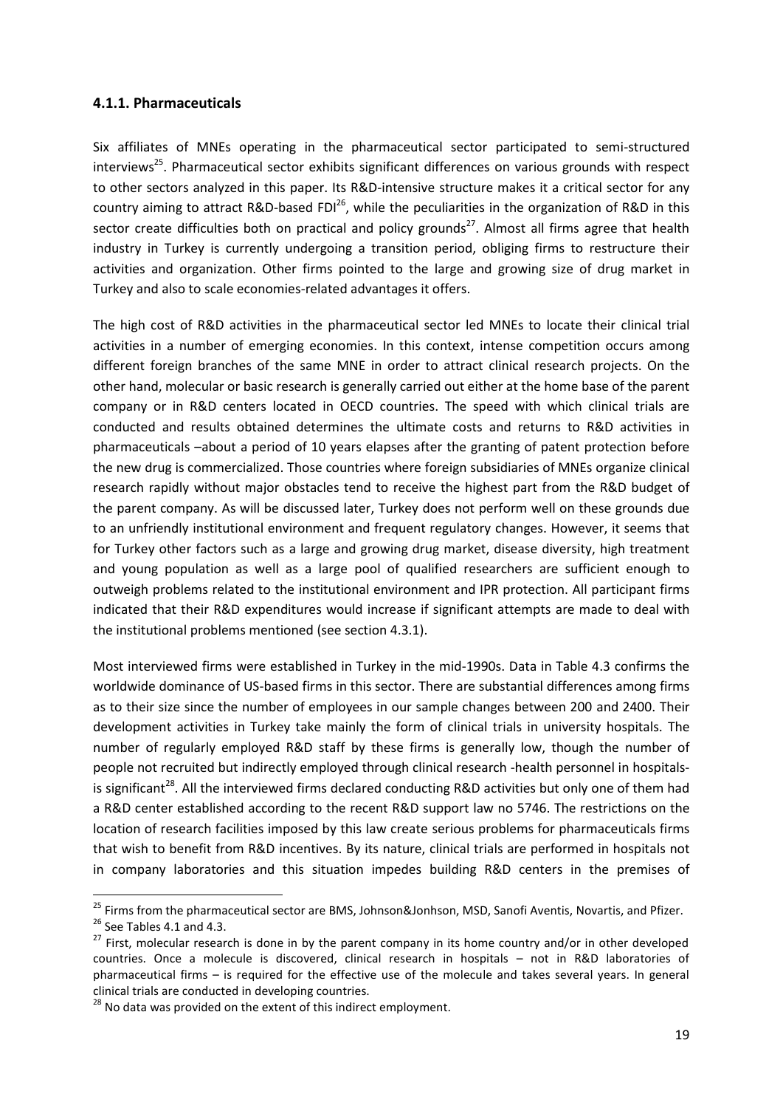Attracting FDI-based R&D and materializing its benefits through R&D spillovers from foreign to domestic firms is a sophisticated process involving many actors with different motives and making use of a number of policies not all related to FDI promotion, a challenge which Figure 2.1 below presents.



#### **Figure 2.1: National Innovation Systems and FDI in R&D**

This figure illustrates the importance of the following factors for enhancing benefits from FDI in R&D: (i) existence of a strong scientific and technological infrastructure (ii) promotion of linkages and formation of networks between domestic and foreign firms (iii) constitution of clusters around foreign firms in domains where domestic firms enjoy comparative advantage and (iv) strengthening the institutional framework for innovation through designing and implementing appropriate policies in the field of competition, human resources and IPR regulation. Notwithstanding the validity of these generic policies for the developed world, the FDI related R&D policies of the developing countries will certainly be different.<sup>20</sup>.

Source: UNCTAD (2005).

**<sup>.</sup>**  $^{20}$  Narula and Guimon (2010).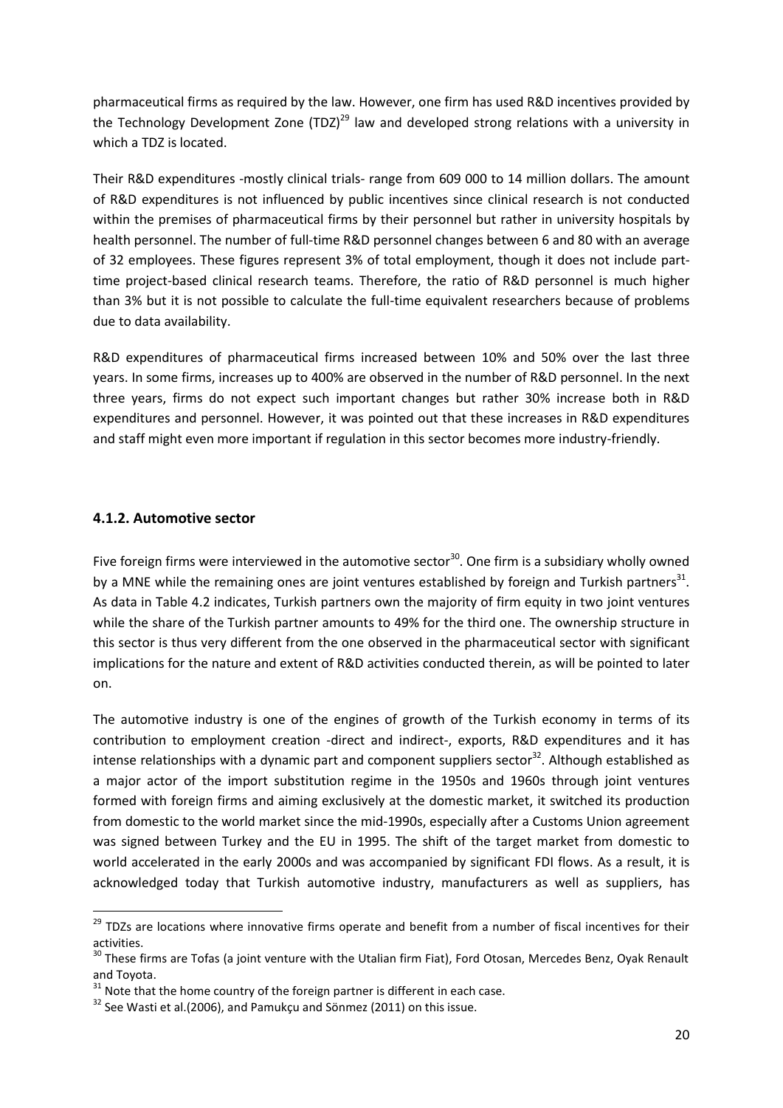# **3. Evolution of FDI and R&D expenditures in the Turkish economy**

After the shift from the import-substutution based developmen strategy to q more-outward-orineted one in the year 1980, a number of changes in the regulatory framework, privatizations, liberalization of the financial system, elimination of restrictions on foreign exchange, foundation of a capital market and heavy investment in telecommunications technology contributed to the development of a favorable environment for FDI throughout the 1980s. As a result, by 1990 the annual FDI flow reached \$ 684 million. However, FDI flows remained rather stable in the 1990s. When we look at the 2000's, we see a much more favorable environment for foreign investors with a strongly regulated financial system, a reduced inflation rate and the establishment of a Coordination Council for Improving the Investment Climate. Following the enactment of the new foreign capital law, Law 4875, in June 2003, minimum capital requirements and permits were eliminated, ownership of property without any restrictions, the right to international arbitration and employment of expatriates were granted.

Figure 3.1 below presents the evolution of the FDI flows over the period 1999-2008. From 2006, a signfiiavcnt increase is observd in FDI flows, with a ten-fold increase in 2007 with erspect to 2004. Data nonreported here on the ratio of FDI flows to GDP shot that except for 2001, this ratio was less than 1% until 2005 and increased onwards to attain 5% in 2006.



**Figure 3.1: Evolution of the FDI/GDP ratio in Turkey: 1998-2008 (million dollars)** 

Source: Undersecretariat of Treasury.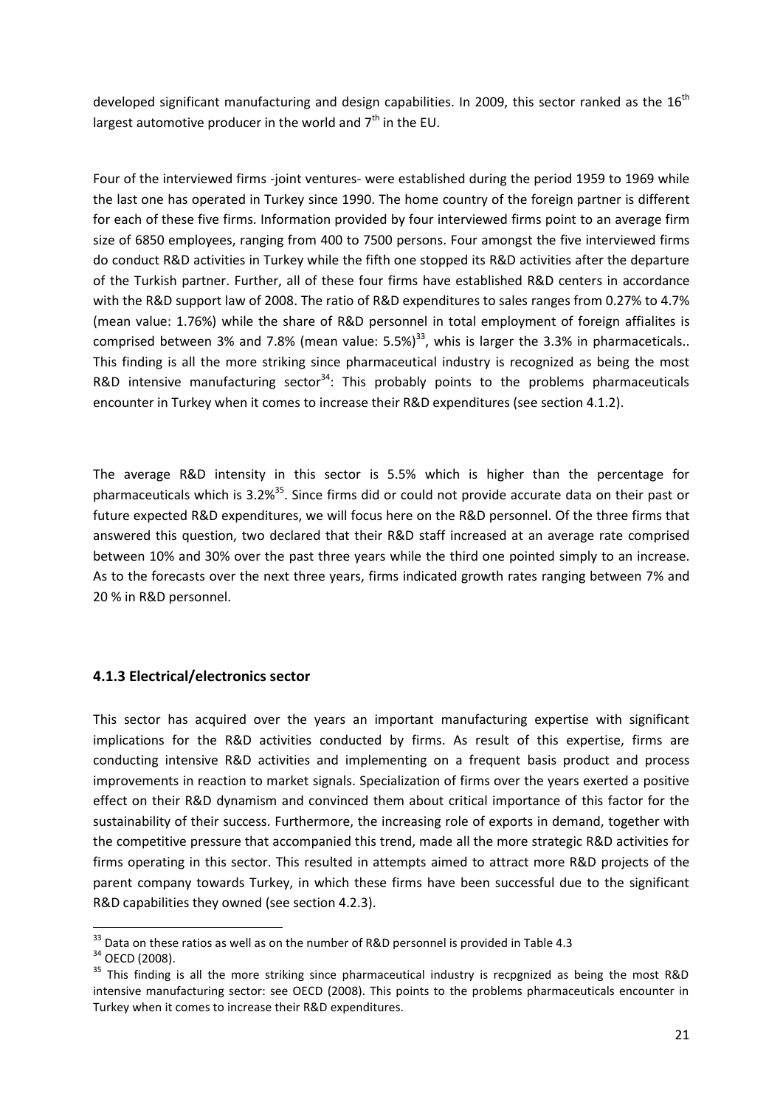This increasing trend in FDI flows was accompanied by significant changes in the sectoral distribution of these flows: leading to a gradual reorientation from manufacturing to services sector is observed over the period 2002-2009.

On the other hand, a similar evolution is observed for the R&D /GDP ratio in Turkey, with the value of this ratio rising from 0.38% in 1998 to 0.72% in 1998 (Figure 3.2). The proportion of this increase in R&D expenditures performed in and funded by the enterprise sector increases as well during this period: the proportion of R&D expenditures performed by the higher education sector decreased from 61.1% to 44.2% from 1998 to 2008 whereas the corresponding share of the business sector increased from 31.6% to 43.8% over this period. A similar evolution is observed for the funding of R&D expenditures in Turkey.



**Figure 3.2: Evolution of the R&D / GDP ratio in Turkey: 1998-2008 (%)**

Source. Turkish Institute of Statistcs (TurkStat), R&D surveys.

Data about the degree of internationalization of R&D activities in Turkey for 2003 and 2007 are presented in Figure 3.3 along with data for other OECD countries.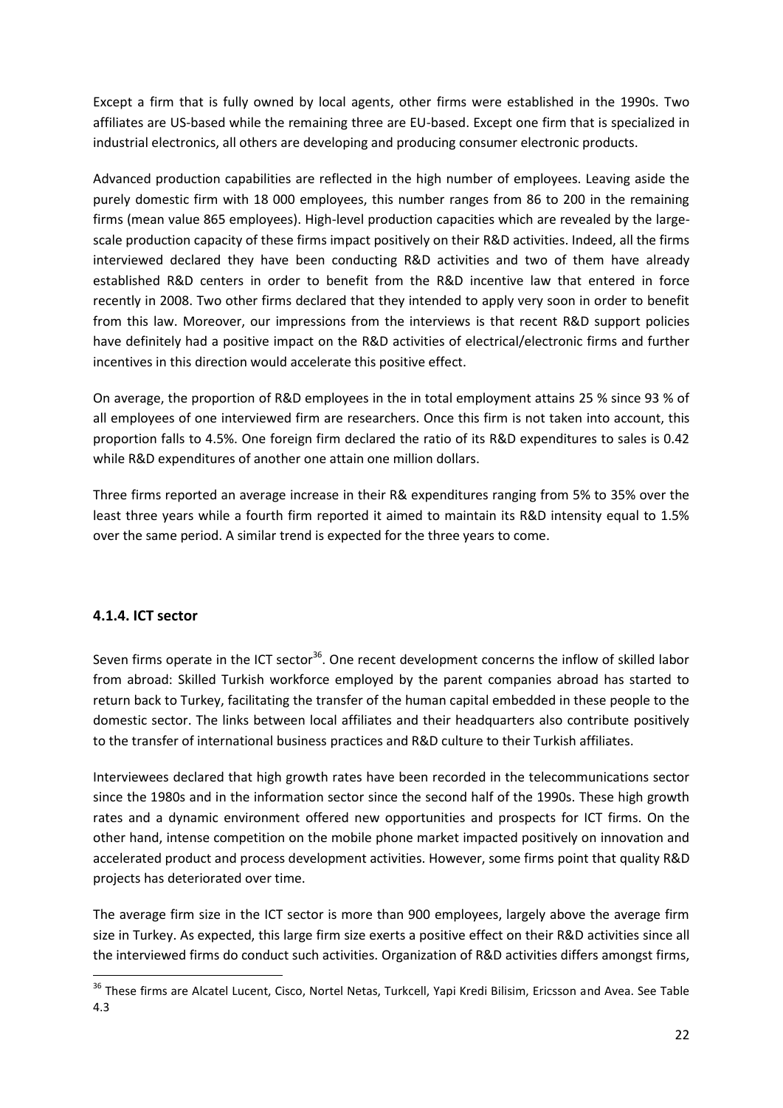**Figure 3.3: Share of foreign firms in the R&D expenditures of the manufacturing sector in OECD countries: 2003 and 2007 (%)**



Source: OECD, AFA (activities of foreign affiliates) database and Turkstat, R&D surveys.

The proportion of R&D expenditures performed by foreign firms in the Turkish manufacturing sector increased from 16 % in 2003 to 36% in 2007, a twenty percentage point increase over five years. Along with Poland, Turkey is one of the two countries where the role played by foreign firms in R&D increased most over the examined period. It seems to us that this evolution by itself requires the analysis of the implications of such R&D activities on the Turkish national innovation system.

# **4. Analysis of factors influencing R&D behavior of foreign enterprises in Turkey<sup>21</sup>**

In this section, findings of face-to-face semi-structured interviews conducted with R&D directors of foreign firms in four different sectors are analyzed in order to understand those factors that impact on their R&D behavior in the Turkish economy. The analysis will be conducted separately for each sector and for each subsection of the open-ended questionnaire used for the interviews (see section 3). First, we will make use of international and national datasets to examine the characteristics of the

**<sup>.</sup>** <sup>21</sup> The terms "foreign/international firms" and "foreign affiliates/branches of MNEs" are used interchangeably in this paper. In a similar vein, "headquarters" and "parent company" of foreign firms both refer to the same entity.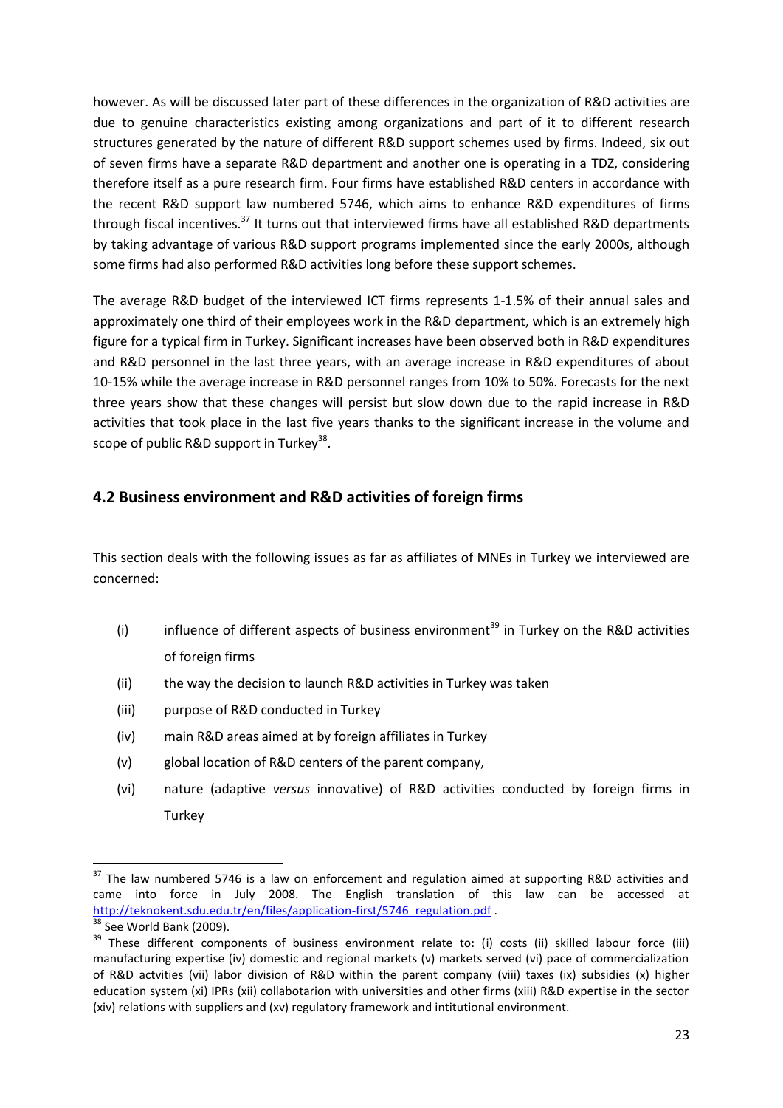parent companies of the interviewed firms and assess the role played by their affiliates in the Turkish economy. Secondly, after presenting information on firm profile -especially data on R&D activities of foreign firms which is missing from the national dataset- we will attempt to answer the following questions:

- 1. General information about firms, current situation of their R&D activities and prospects for the next three years.
- 2. Impact of business environment on R&D; how the initial R&D decision was taken; information about the R&D activities of parent company; global location of R&D sites; nature of firms' R&D activities in Turkey; role of domestic *versus* export markets; R&D funding schemes.
- 3. Impact of institutional and legal environment in Turkey on R&D activities; implications of R&D support policies; human infrastructure; and collaboration activities of firms.

Detailed information obtained through interviews will enable us to assess the motivations of MNEs when deciding to conduct R&D outside their traditional home base in general and in Turkey, in particular. Discussion of identified factors will lead us later to formulate policy recommendations at the sector level for a better integration of R&D activities of foreign firms into the Turkish national system of innovation.

# **4.1 General R&D trends and performance indicators**

In Table 4.1 we present performance indicators for the headquarters of foreign firms interviewed for our study. In this table, companies are ranked according to the level of their R&D expenditures both at the EU and global levels, but also within their sector of activity. Other performance indicators include (i) R&D expenditures in 2009 and its change over the three previous years (ii) net sales in 2009 and its change over the three previous years (iii) number of employees in 2009 and its change with respect to the previous year and (iv) R&D intensity, defined as the ratio of R&D expenditures to net sales, in 2008 and 2009.

Twenty-six foreign firms interviewed for this study operate in:

- **Pharmaceutical industry:** Johnson & Johnson (J&J), MSD, Sanofi Aventis, Novartis and Pfizer
- **Automotive industry:** Oyak Renault, Tofas<sup>22</sup>, Mercedes-Benz, Ford and Toyota
- **Electrical/Electronics industry:** BSH, General Electric, Bosch TT, Indesit and Arçelik
- **ICT sector:** Alcatel Lucent, Ericsson, Cisco, Nortel Netas, Turkcell, Yapi Kredi Bilisim and Avea
- **Various:** Unilever, Procter & Gamble and Schott Orim<sup>23</sup>

**<sup>.</sup>**  $22$  A joint venture of the Koc Holding with Italian automotive company Fiat.

<sup>&</sup>lt;sup>23</sup> Three firms present in our sample operate in sectors other than automotive, ICT, electrical-electronics and pharmaceuticals. They will not be examined in this paper.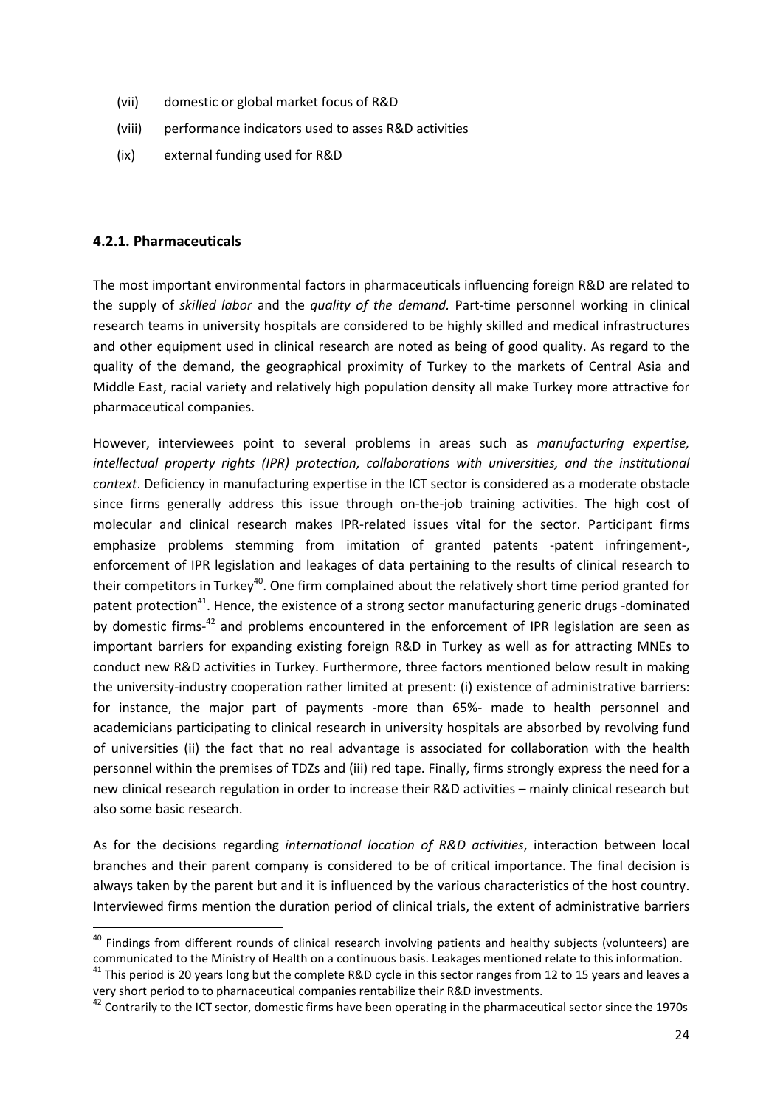23 out of the 26 interviewed firms are present in the ranking done by the IPTS.<sup>24</sup> A major observation is that interviewed firms are subsidiaries of sector leaders -at least one of their parent companies is always among the first three firms for the sector ranking- and most of them perform well also at the global and EU level rankings. It turns out that among the sectors examined pharmaceuticals is the most active R&D performer, both in terms of its level of R&D expenditures and its R&D intensity. In terms of R&D intensity pharmaceuticals

(16.2 %) is followed by the ICT sector (14.5%) while the remaining two sectors, automotive (4.7%) and electronics (4.5%), are far below the first two ones for this indicator. These indicators and ratings are informative about the R&D potential of parent companies of interviewed firms and are influenced by several factors including sector-level technological opportunities and company strategy. Data on changes in R&D expenditures and net sales in 2008 point to the negative effects the economic crisis will exert later on their performance.

A simple calculation shows that global R&D investments of the 22 firms listed in Table 4.1 are 20 times larger than the total R&D investments conducted in Turkey in 2009. In the hypothetical case 10% of global R&D investments of the parent companies were attracted to Turkey, this amount would at last triple!

Another dataset is collected by the Istanbul Chamber of Industry (ISO) through its annual survey on the 500 largest industrial firms operating in Turkey. Industrial firms are ranked here in terms of their sales revenues. Selected variables and the rankings are reproduced in Table 4.2 for the firms interviewed in our study. 12 interviewed firms are not in this table because either some of them are not classified as manufacturing firms or because their performance measured in terms of sales is not sufficient for them to appear amongst the top 500 firms. As expected, the most important sales figures are attained by automotive firms. Further, ISO data indicates that the presence of interviewed companies is particularly strong in the automotive sector where they account for 58% of total sales, 74% of exports, and 56% of total number of employees. Besides the fact that some of the interviewed firms are not present in this Top 500 list, no data is collected on R&D expenditures of these companies. Data collected during the interviews we conducted with foreign firms established in Turkey will enable us to present and analyze their R&D expenditures in the next section.

<sup>&</sup>lt;sup>24</sup> Arçelik, a subsidiary of Koç Holding, is not listed but Koç Holding is ranked as 355th in the global ranking and 14th in sectoral ranking.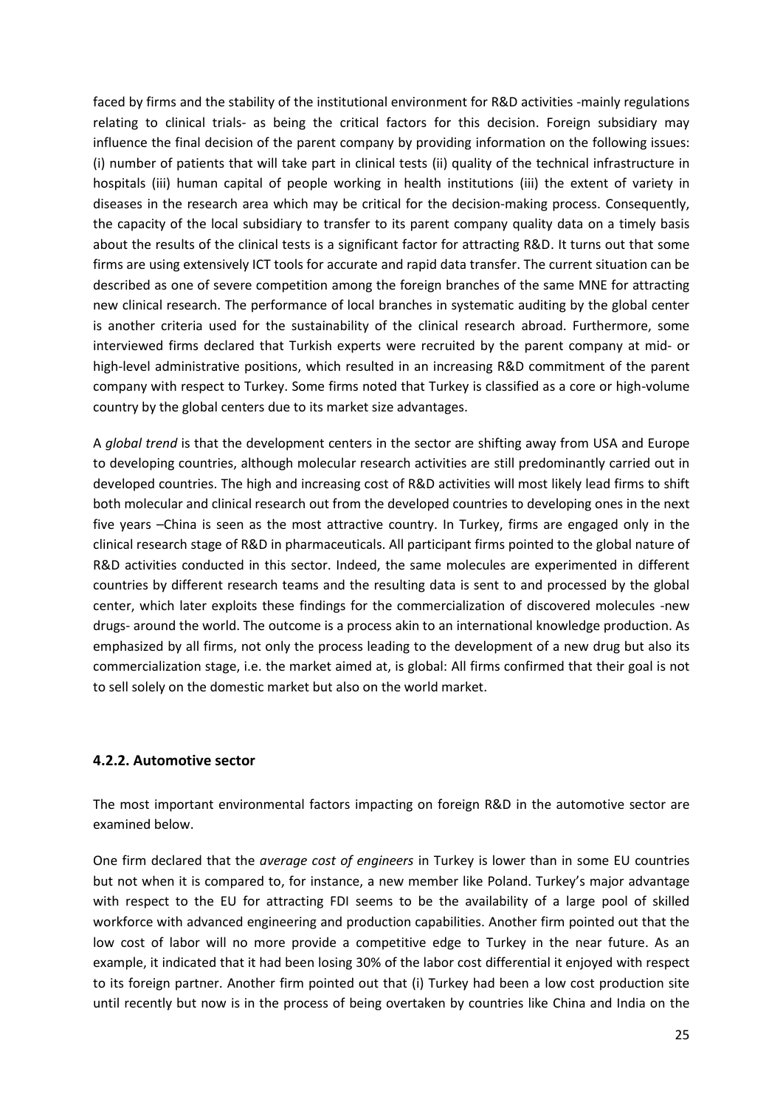# **Table 4.2: Descriptive statistics for interviewed foreign affiliates of MNEs in Turkey, 2009**

| Company                      | Rank        | Sales (US\$ 1000) | Exports (US\$ 1000) | Exports/sales (%) | Number of employees | Share of capital (domestic) | Share of capital (foreign) |
|------------------------------|-------------|-------------------|---------------------|-------------------|---------------------|-----------------------------|----------------------------|
| <b>ALCATEL LUCENT</b>        | 297         | 214.087           | 49.437              | 23,1              | 568                 | 35,0                        | 65,0                       |
| <b>CISCO</b>                 |             |                   |                     |                   |                     |                             |                            |
| <b>NORTEL TELETAŞ</b>        | 258         | 114.669           | 49.894              | 43,5              | 1.081               | 46,9                        | 53,1                       |
| <b>TURKCELL</b>              |             |                   |                     |                   |                     |                             |                            |
| YAPI KREDİ BİLİŞİM           |             |                   |                     |                   |                     |                             |                            |
| <b>ERICSSON</b>              |             |                   |                     |                   |                     |                             |                            |
| <b>AVEA</b>                  |             |                   |                     |                   |                     |                             |                            |
| <b>BMS</b>                   |             |                   |                     |                   |                     |                             |                            |
| <b>JOHNSON &amp; JOHNSON</b> |             |                   |                     |                   |                     |                             |                            |
| <b>MSD</b>                   |             |                   |                     |                   |                     |                             |                            |
| <b>SANOFI-AVENTIS</b>        |             |                   |                     |                   |                     |                             |                            |
| <b>NOVARTIS</b>              | 143         | 513.231           |                     |                   |                     | 0                           | 100                        |
| <b>PFIZER</b>                | 152         | 210.817           | 20.733              | 9,8               | 1.426               | 0                           | 100                        |
| <b>ARÇELİK</b>               | 3           | 3.684.045         | 1.612.476           | 43,8              | 12.553              | 100                         | 0                          |
| <b>BSH</b>                   | 15          | 1.522.153         | 625.147             | 41,1              | 3.586               | 0,72                        | 99,28                      |
| <b>GE</b>                    |             |                   |                     |                   |                     |                             |                            |
| <b>BOSCH TT</b>              | 168         | 739267,8          | 567.329             | 76,7              | 550                 | 0                           | 100                        |
| <b>INDESIT</b>               |             |                   |                     |                   |                     |                             |                            |
| <b>OYAK RENAULT</b>          | $\mathbf 2$ | 3.730.813         | 2.799.005           | 75,0              | 5.947               | 49,0                        | 51,0                       |
| <b>TOYOTA</b>                | 12          | 1.464.627         | 1.442.292           | 98,5              | 741                 | 0                           | 100                        |
| <b>TOFAS</b>                 | 4           | 3.287.714         | 2.004.257           | 61,0              | 6.939               | 62,14                       | 37,86                      |
| <b>MERCEDES BENZ</b>         | 19          | 1.592.107         | 486.734             | 30,6              | 3.975               | 7,05                        | 84,99                      |
| <b>FORD</b>                  | 5           | 3.628.603         | 1.894.266           | 52,2              | 7.729               | 58,96                       | 41,04                      |

*Source: Top 500 Industrial Firms database of ISO.*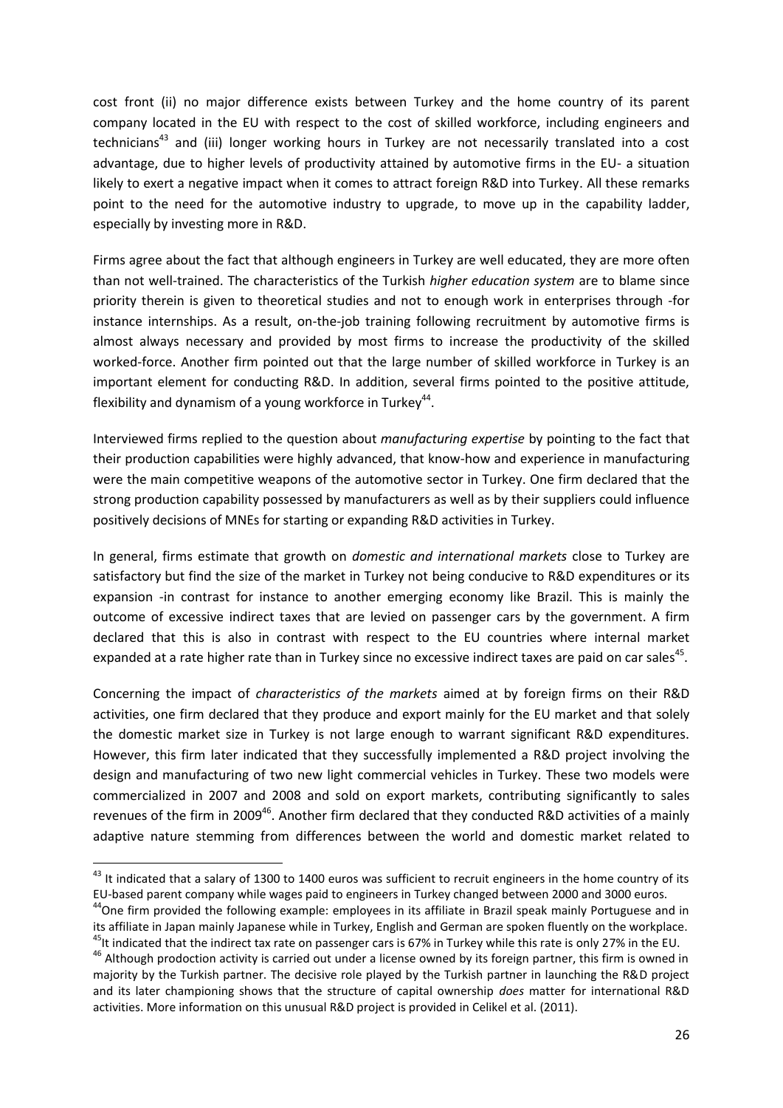# **4.1 General Firm Profile**

In this first section, responses of the interviewed foreign firms to the first part of the semi-structured questionnaire are presented and analyzed. Table 4.3 below summarizes the main R&D-related data obtained from the survey.

First, the time span during which foreign firms in our sample were established in Turkey covers a long period and ranges from the 1950s to the new millennium. Second, parent companies of these firms are located in a wide range of countries and continents including USA, EU countries, Switzerland, Canada and Japan. Third, except one firm operating in the automotive industry all the firms in our sample do conduct R&D activities although its volume and innovative content differ from one sector to another. Further, ten firms declared they have -at least- one R&D center functioning in accordance with the R&D law no 5746. Fourth, information provided by foreign firms about their R&D activities do not facilitate comparison of R&D intensities between as well as within sectors: besides the fact that not all firms provided this information - hence the missing values in Table 4.3 - available information on sales did not allow us to calculate R&D intensity for all the firms with the information on R&D expenditures. However, data on the share of R&D personnel in total employment is available for all but one firm and indicate the extent of R&D activities conducted in these firms.

Other questions contained in the first part of the questionnaire is about the estimation of growth rate of R&D expenditures and staff for the last three years as well as forecast of firms for the three years to come about these two variables.

Data relating to the general characteristics of firms and of the sector they operate in are analyzed next separately for each sector.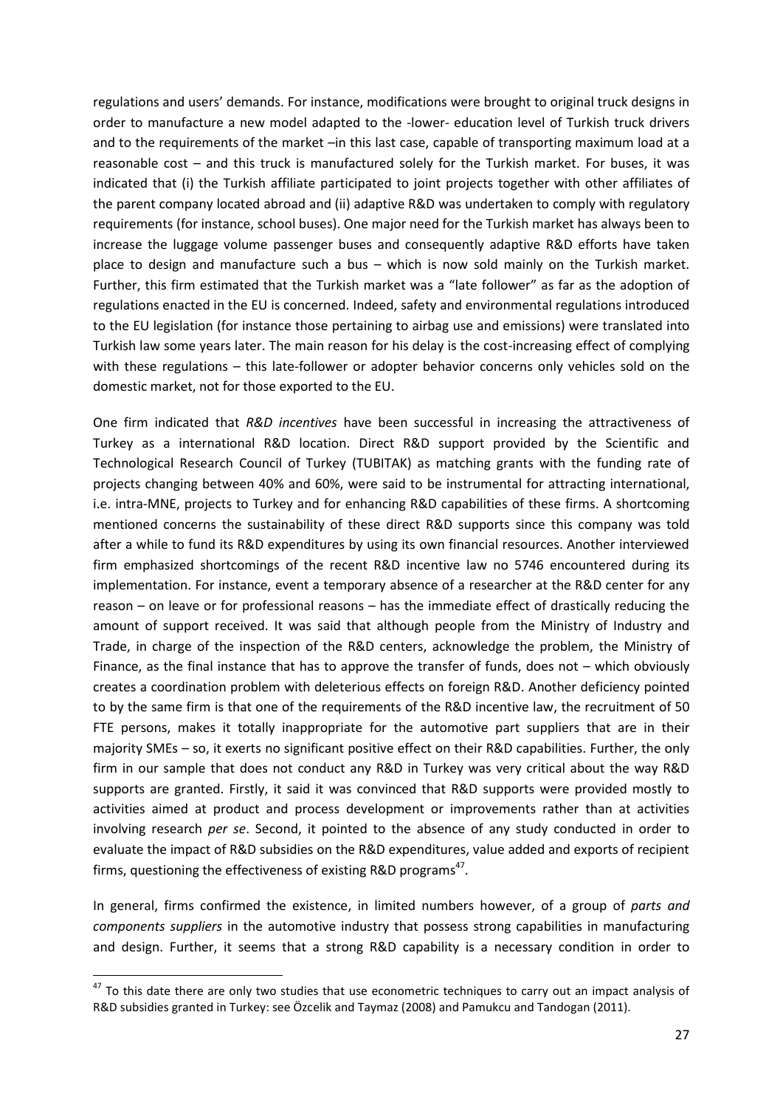### **Table 4.3: R&D-related statistics for interviewed foreign affiliates of MNEs in Turkey, 2009**

| Company                                                                                                                                                                                                                                           | Year                                                                         | Home country                                                                                                                           | in Turkey<br>activities<br><b>R&amp;D</b>                                 | center (Law No 5746)<br><b>R&amp;D</b>                              | R&D exp. (US\$ 1000)<br>히<br>R&D/sales                     | R&D personnel                                              | Number of employees                                                      | R&D personnel /employees (%)                                                         |
|---------------------------------------------------------------------------------------------------------------------------------------------------------------------------------------------------------------------------------------------------|------------------------------------------------------------------------------|----------------------------------------------------------------------------------------------------------------------------------------|---------------------------------------------------------------------------|---------------------------------------------------------------------|------------------------------------------------------------|------------------------------------------------------------|--------------------------------------------------------------------------|--------------------------------------------------------------------------------------|
| <b>ICT</b> sector                                                                                                                                                                                                                                 |                                                                              |                                                                                                                                        |                                                                           |                                                                     |                                                            |                                                            |                                                                          |                                                                                      |
| <b>ALCATEL LUCENT</b><br><b>CISCO</b><br><b>NORTEL TELETAS</b><br><b>TURKCELL</b><br>YAPI KREDİ BİLİŞİM<br><b>ERICSSON</b><br><b>AVEA</b><br>Pharmaceuticals<br><b>BMS</b><br><b>JOHNSON &amp; JOHNSON</b><br><b>MSD</b><br><b>SANOFI-AVENTIS</b> | 1985<br>1973<br>2007<br>2006<br>1986<br>2004<br>1995<br>2006<br>1995<br>2003 | France<br><b>USA</b><br>Canada<br>Turkey<br><b>Turkey</b><br>Switzerland<br>Turkey<br><b>USA</b><br><b>USA</b><br><b>USA</b><br>France | Yes<br>Yes<br>Yes<br>Yes<br>Yes<br>Yes<br>Yes<br>Yes<br>Yes<br>Yes<br>Yes | Yes<br>Yes<br><b>No</b><br>No<br>No<br>Yes<br>No<br>No<br>No<br>Yes | 4.543<br>8.788<br>9.435<br>1.000<br>609<br>2.500<br>11.000 | 62<br>922<br>330<br>314<br>84<br>174<br>6<br>0<br>15<br>80 | 610<br>1.084<br>360<br>550<br>450<br>800<br>200<br>250<br>1.000<br>1.020 | 10,1<br>85,0<br>91,6<br>57,1<br>18,7<br>21,8<br>$3 - 4$<br>$\mathbf 0$<br>1,5<br>7,8 |
| <b>NOVARTIS</b><br><b>PFIZER</b>                                                                                                                                                                                                                  | 1998<br>1957                                                                 | Switzerland<br><b>USA</b>                                                                                                              | Yes<br>Yes                                                                | No<br>No                                                            | 9.564<br>14.000                                            | 28<br>30                                                   | 2.400<br>1.500                                                           | 1,2<br>2,0                                                                           |
| <b>Electrical &amp; electronics</b>                                                                                                                                                                                                               |                                                                              |                                                                                                                                        |                                                                           |                                                                     |                                                            |                                                            |                                                                          |                                                                                      |
| <b>ARCELIK</b><br><b>BSH</b><br><b>GE</b><br><b>BOSCH TT</b><br><b>INDESIT</b>                                                                                                                                                                    | 1955<br>1992<br>2000<br>1992<br>1994                                         | <b>Turkey</b><br>Germany<br><b>USA</b><br>Germany<br>Italy                                                                             | Yes<br>Yes<br>Yes<br>Yes<br>Yes                                           | Yes<br>Yes<br><b>No</b><br><b>No</b><br><b>No</b>                   | 1,33<br>1.000<br>0,42                                      | 850<br>120<br>80<br>37<br>23                               | 18.000<br>2.000<br>86<br>550<br>1.320                                    | 6,8<br>3,3<br>93,0<br>6,7<br>1,7                                                     |
| Automotive sector                                                                                                                                                                                                                                 |                                                                              |                                                                                                                                        |                                                                           |                                                                     |                                                            |                                                            |                                                                          |                                                                                      |
| <b>OYAK RENAULT</b><br>ΤΟΥΟΤΑ<br><b>TOFAS</b><br><b>MERCEDES BENZ</b>                                                                                                                                                                             | 1969<br>1994<br>1968<br>1967<br>1959                                         | France<br>Japan<br>Turkey<br>Germany                                                                                                   | Yes<br>No<br>Yes<br>Yes                                                   | Yes<br>No<br>Yes<br>Yes                                             | 0,27<br>0<br>4,70<br>0,79                                  | 179<br>0<br>450<br>188                                     | 5.918<br>5.900<br>3.989                                                  | 3,0<br>$\boldsymbol{0}$<br>6,5<br>4,7                                                |
| <b>FORD</b><br>$l$ and available                                                                                                                                                                                                                  |                                                                              | USA & Turkey                                                                                                                           | Yes                                                                       | Yes                                                                 | 1,28                                                       | 603                                                        | 7.600                                                                    | 7,8                                                                                  |

(-) not available.

*Source:* calculations by authors based on semi-structured interviews conducted with foreign affiliates of MNEs in Turkey.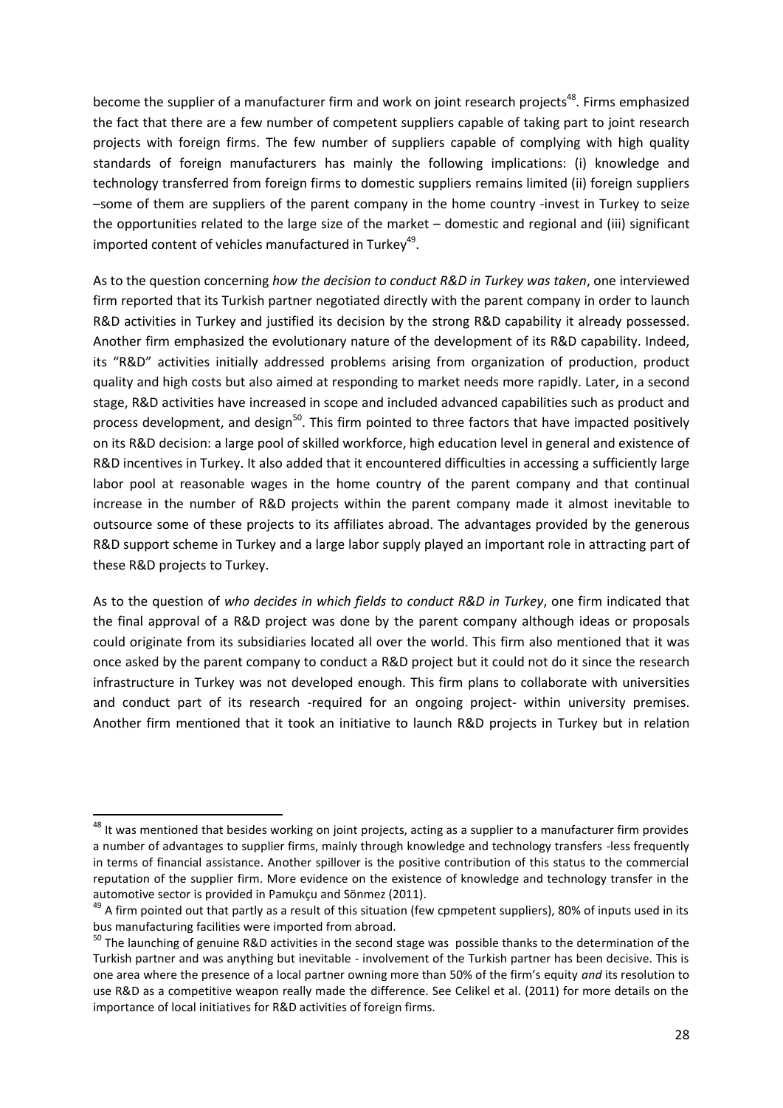#### **4.1.1. Pharmaceuticals**

Six affiliates of MNEs operating in the pharmaceutical sector participated to semi-structured interviews<sup>25</sup>. Pharmaceutical sector exhibits significant differences on various grounds with respect to other sectors analyzed in this paper. Its R&D-intensive structure makes it a critical sector for any country aiming to attract R&D-based FDI<sup>26</sup>, while the peculiarities in the organization of R&D in this sector create difficulties both on practical and policy grounds<sup>27</sup>. Almost all firms agree that health industry in Turkey is currently undergoing a transition period, obliging firms to restructure their activities and organization. Other firms pointed to the large and growing size of drug market in Turkey and also to scale economies-related advantages it offers.

The high cost of R&D activities in the pharmaceutical sector led MNEs to locate their clinical trial activities in a number of emerging economies. In this context, intense competition occurs among different foreign branches of the same MNE in order to attract clinical research projects. On the other hand, molecular or basic research is generally carried out either at the home base of the parent company or in R&D centers located in OECD countries. The speed with which clinical trials are conducted and results obtained determines the ultimate costs and returns to R&D activities in pharmaceuticals –about a period of 10 years elapses after the granting of patent protection before the new drug is commercialized. Those countries where foreign subsidiaries of MNEs organize clinical research rapidly without major obstacles tend to receive the highest part from the R&D budget of the parent company. As will be discussed later, Turkey does not perform well on these grounds due to an unfriendly institutional environment and frequent regulatory changes. However, it seems that for Turkey other factors such as a large and growing drug market, disease diversity, high treatment and young population as well as a large pool of qualified researchers are sufficient enough to outweigh problems related to the institutional environment and IPR protection. All participant firms indicated that their R&D expenditures would increase if significant attempts are made to deal with the institutional problems mentioned (see section 4.3.1).

Most interviewed firms were established in Turkey in the mid-1990s. Data in Table 4.3 confirms the worldwide dominance of US-based firms in this sector. There are substantial differences among firms as to their size since the number of employees in our sample changes between 200 and 2400. Their development activities in Turkey take mainly the form of clinical trials in university hospitals. The number of regularly employed R&D staff by these firms is generally low, though the number of people not recruited but indirectly employed through clinical research -health personnel in hospitalsis significant<sup>28</sup>. All the interviewed firms declared conducting R&D activities but only one of them had a R&D center established according to the recent R&D support law no 5746. The restrictions on the location of research facilities imposed by this law create serious problems for pharmaceuticals firms that wish to benefit from R&D incentives. By its nature, clinical trials are performed in hospitals not in company laboratories and this situation impedes building R&D centers in the premises of

<sup>&</sup>lt;sup>25</sup> Firms from the pharmaceutical sector are BMS, Johnson&Jonhson, MSD, Sanofi Aventis, Novartis, and Pfizer. <sup>26</sup> See Tables 4.1 and 4.3.

<sup>&</sup>lt;sup>27</sup> First, molecular research is done in by the parent company in its home country and/or in other developed countries. Once a molecule is discovered, clinical research in hospitals – not in R&D laboratories of pharmaceutical firms – is required for the effective use of the molecule and takes several years. In general clinical trials are conducted in developing countries.

 $28$  No data was provided on the extent of this indirect employment.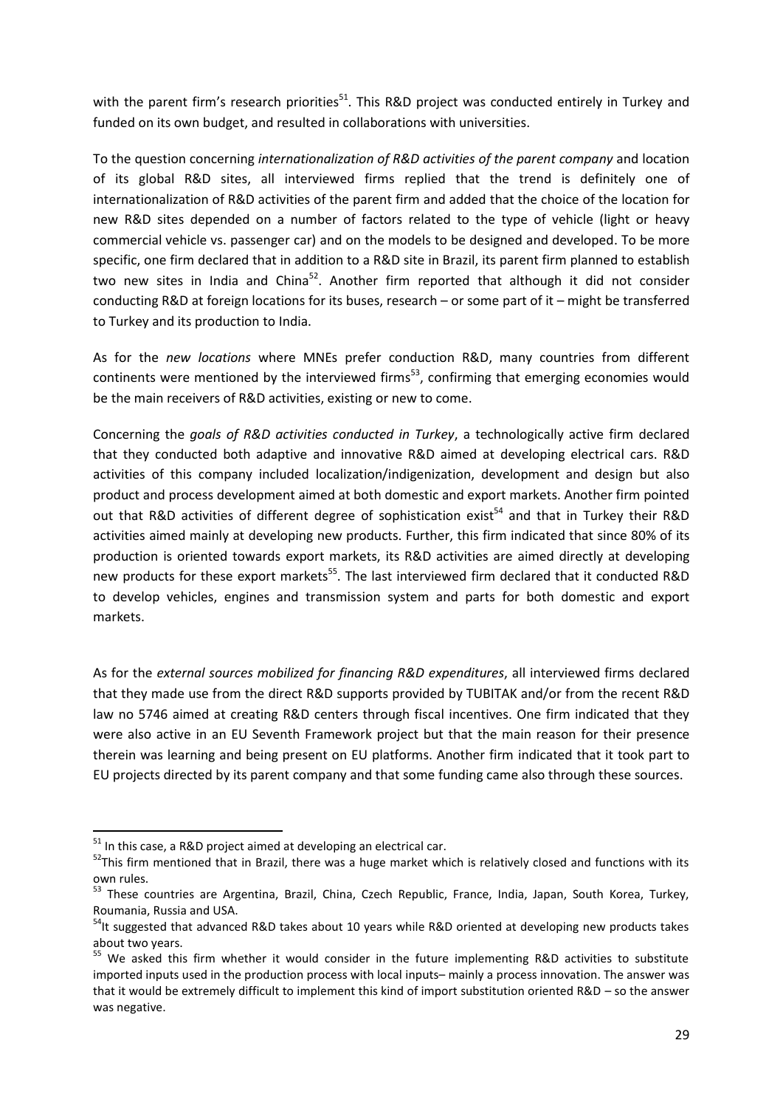pharmaceutical firms as required by the law. However, one firm has used R&D incentives provided by the Technology Development Zone (TDZ)<sup>29</sup> law and developed strong relations with a university in which a TDZ is located.

Their R&D expenditures -mostly clinical trials- range from 609 000 to 14 million dollars. The amount of R&D expenditures is not influenced by public incentives since clinical research is not conducted within the premises of pharmaceutical firms by their personnel but rather in university hospitals by health personnel. The number of full-time R&D personnel changes between 6 and 80 with an average of 32 employees. These figures represent 3% of total employment, though it does not include parttime project-based clinical research teams. Therefore, the ratio of R&D personnel is much higher than 3% but it is not possible to calculate the full-time equivalent researchers because of problems due to data availability.

R&D expenditures of pharmaceutical firms increased between 10% and 50% over the last three years. In some firms, increases up to 400% are observed in the number of R&D personnel. In the next three years, firms do not expect such important changes but rather 30% increase both in R&D expenditures and personnel. However, it was pointed out that these increases in R&D expenditures and staff might even more important if regulation in this sector becomes more industry-friendly.

#### **4.1.2. Automotive sector**

**.** 

Five foreign firms were interviewed in the automotive sector<sup>30</sup>. One firm is a subsidiary wholly owned by a MNE while the remaining ones are joint ventures established by foreign and Turkish partners<sup>31</sup>. As data in Table 4.2 indicates, Turkish partners own the majority of firm equity in two joint ventures while the share of the Turkish partner amounts to 49% for the third one. The ownership structure in this sector is thus very different from the one observed in the pharmaceutical sector with significant implications for the nature and extent of R&D activities conducted therein, as will be pointed to later on.

The automotive industry is one of the engines of growth of the Turkish economy in terms of its contribution to employment creation -direct and indirect-, exports, R&D expenditures and it has intense relationships with a dynamic part and component suppliers sector<sup>32</sup>. Although established as a major actor of the import substitution regime in the 1950s and 1960s through joint ventures formed with foreign firms and aiming exclusively at the domestic market, it switched its production from domestic to the world market since the mid-1990s, especially after a Customs Union agreement was signed between Turkey and the EU in 1995. The shift of the target market from domestic to world accelerated in the early 2000s and was accompanied by significant FDI flows. As a result, it is acknowledged today that Turkish automotive industry, manufacturers as well as suppliers, has

<sup>&</sup>lt;sup>29</sup> TDZs are locations where innovative firms operate and benefit from a number of fiscal incentives for their activities.

<sup>&</sup>lt;sup>30</sup> These firms are Tofas (a joint venture with the Utalian firm Fiat), Ford Otosan, Mercedes Benz, Oyak Renault and Toyota.

 $31$  Note that the home country of the foreign partner is different in each case.

 $32$  See Wasti et al.(2006), and Pamukçu and Sönmez (2011) on this issue.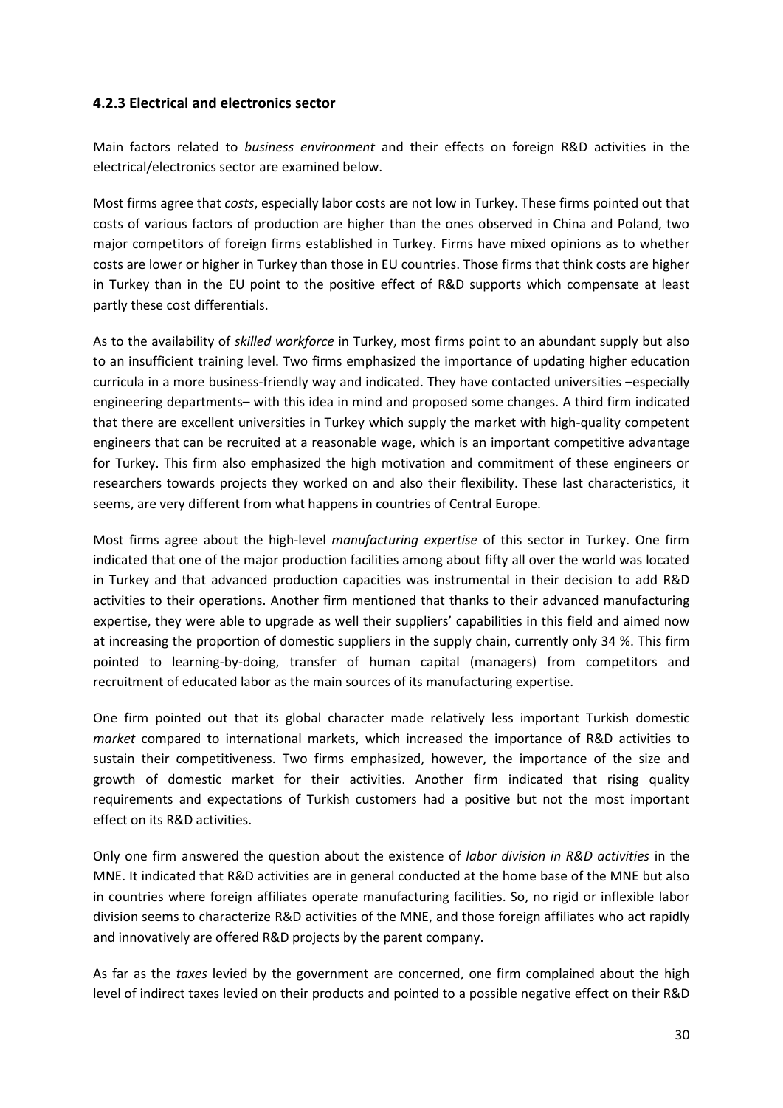developed significant manufacturing and design capabilities. In 2009, this sector ranked as the  $16<sup>th</sup>$ largest automotive producer in the world and  $7<sup>th</sup>$  in the EU.

Four of the interviewed firms -joint ventures- were established during the period 1959 to 1969 while the last one has operated in Turkey since 1990. The home country of the foreign partner is different for each of these five firms. Information provided by four interviewed firms point to an average firm size of 6850 employees, ranging from 400 to 7500 persons. Four amongst the five interviewed firms do conduct R&D activities in Turkey while the fifth one stopped its R&D activities after the departure of the Turkish partner. Further, all of these four firms have established R&D centers in accordance with the R&D support law of 2008. The ratio of R&D expenditures to sales ranges from 0.27% to 4.7% (mean value: 1.76%) while the share of R&D personnel in total employment of foreign affialites is comprised between 3% and 7.8% (mean value:  $5.5\%$ )<sup>33</sup>, whis is larger the 3.3% in pharmaceticals.. This finding is all the more striking since pharmaceutical industry is recognized as being the most R&D intensive manufacturing sector<sup>34</sup>: This probably points to the problems pharmaceuticals encounter in Turkey when it comes to increase their R&D expenditures (see section 4.1.2).

The average R&D intensity in this sector is 5.5% which is higher than the percentage for pharmaceuticals which is 3.2%<sup>35</sup>. Since firms did or could not provide accurate data on their past or future expected R&D expenditures, we will focus here on the R&D personnel. Of the three firms that answered this question, two declared that their R&D staff increased at an average rate comprised between 10% and 30% over the past three years while the third one pointed simply to an increase. As to the forecasts over the next three years, firms indicated growth rates ranging between 7% and 20 % in R&D personnel.

#### **4.1.3 Electrical/electronics sector**

This sector has acquired over the years an important manufacturing expertise with significant implications for the R&D activities conducted by firms. As result of this expertise, firms are conducting intensive R&D activities and implementing on a frequent basis product and process improvements in reaction to market signals. Specialization of firms over the years exerted a positive effect on their R&D dynamism and convinced them about critical importance of this factor for the sustainability of their success. Furthermore, the increasing role of exports in demand, together with the competitive pressure that accompanied this trend, made all the more strategic R&D activities for firms operating in this sector. This resulted in attempts aimed to attract more R&D projects of the parent company towards Turkey, in which these firms have been successful due to the significant R&D capabilities they owned (see section 4.2.3).

**.** 

 $33$  Data on these ratios as well as on the number of R&D personnel is provided in Table 4.3

<sup>&</sup>lt;sup>34</sup> OECD (2008).

 $35$  This finding is all the more striking since pharmaceutical industry is recpgnized as being the most R&D intensive manufacturing sector: see OECD (2008). This points to the problems pharmaceuticals encounter in Turkey when it comes to increase their R&D expenditures.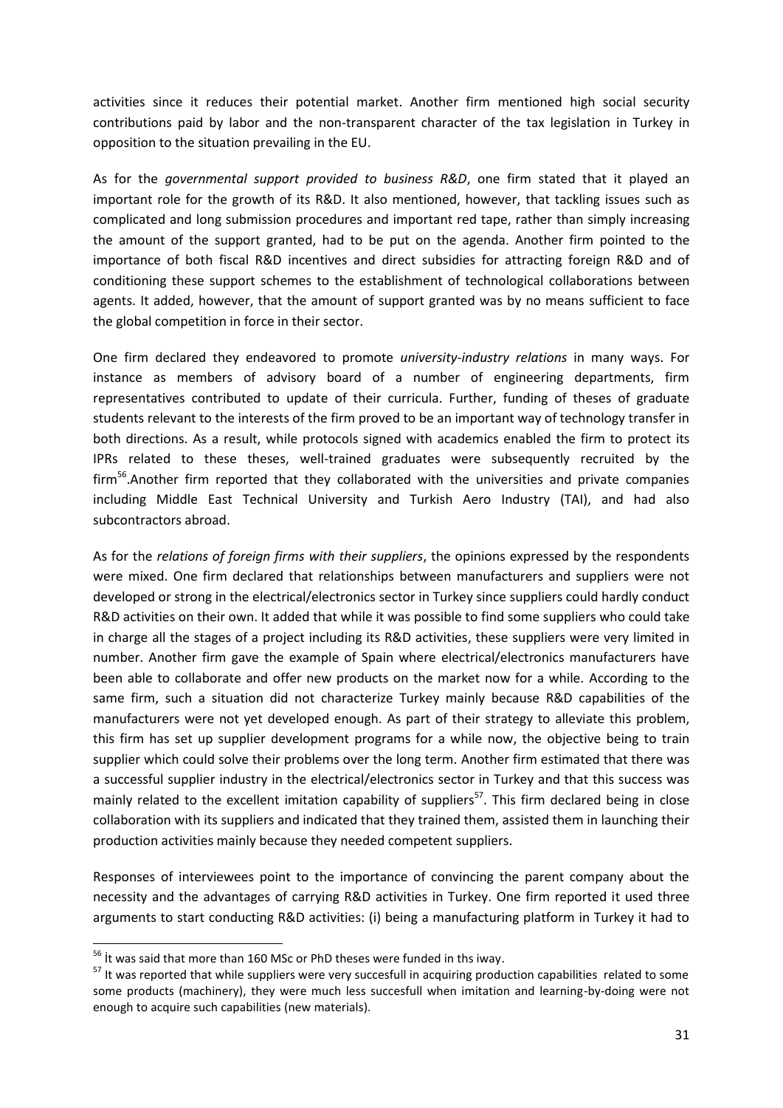Except a firm that is fully owned by local agents, other firms were established in the 1990s. Two affiliates are US-based while the remaining three are EU-based. Except one firm that is specialized in industrial electronics, all others are developing and producing consumer electronic products.

Advanced production capabilities are reflected in the high number of employees. Leaving aside the purely domestic firm with 18 000 employees, this number ranges from 86 to 200 in the remaining firms (mean value 865 employees). High-level production capacities which are revealed by the largescale production capacity of these firms impact positively on their R&D activities. Indeed, all the firms interviewed declared they have been conducting R&D activities and two of them have already established R&D centers in order to benefit from the R&D incentive law that entered in force recently in 2008. Two other firms declared that they intended to apply very soon in order to benefit from this law. Moreover, our impressions from the interviews is that recent R&D support policies have definitely had a positive impact on the R&D activities of electrical/electronic firms and further incentives in this direction would accelerate this positive effect.

On average, the proportion of R&D employees in the in total employment attains 25 % since 93 % of all employees of one interviewed firm are researchers. Once this firm is not taken into account, this proportion falls to 4.5%. One foreign firm declared the ratio of its R&D expenditures to sales is 0.42 while R&D expenditures of another one attain one million dollars.

Three firms reported an average increase in their R& expenditures ranging from 5% to 35% over the least three years while a fourth firm reported it aimed to maintain its R&D intensity equal to 1.5% over the same period. A similar trend is expected for the three years to come.

#### **4.1.4. ICT sector**

1

Seven firms operate in the ICT sector<sup>36</sup>. One recent development concerns the inflow of skilled labor from abroad: Skilled Turkish workforce employed by the parent companies abroad has started to return back to Turkey, facilitating the transfer of the human capital embedded in these people to the domestic sector. The links between local affiliates and their headquarters also contribute positively to the transfer of international business practices and R&D culture to their Turkish affiliates.

Interviewees declared that high growth rates have been recorded in the telecommunications sector since the 1980s and in the information sector since the second half of the 1990s. These high growth rates and a dynamic environment offered new opportunities and prospects for ICT firms. On the other hand, intense competition on the mobile phone market impacted positively on innovation and accelerated product and process development activities. However, some firms point that quality R&D projects has deteriorated over time.

The average firm size in the ICT sector is more than 900 employees, largely above the average firm size in Turkey. As expected, this large firm size exerts a positive effect on their R&D activities since all the interviewed firms do conduct such activities. Organization of R&D activities differs amongst firms,

<sup>&</sup>lt;sup>36</sup> These firms are Alcatel Lucent, Cisco, Nortel Netas, Turkcell, Yapi Kredi Bilisim, Ericsson and Avea. See Table 4.3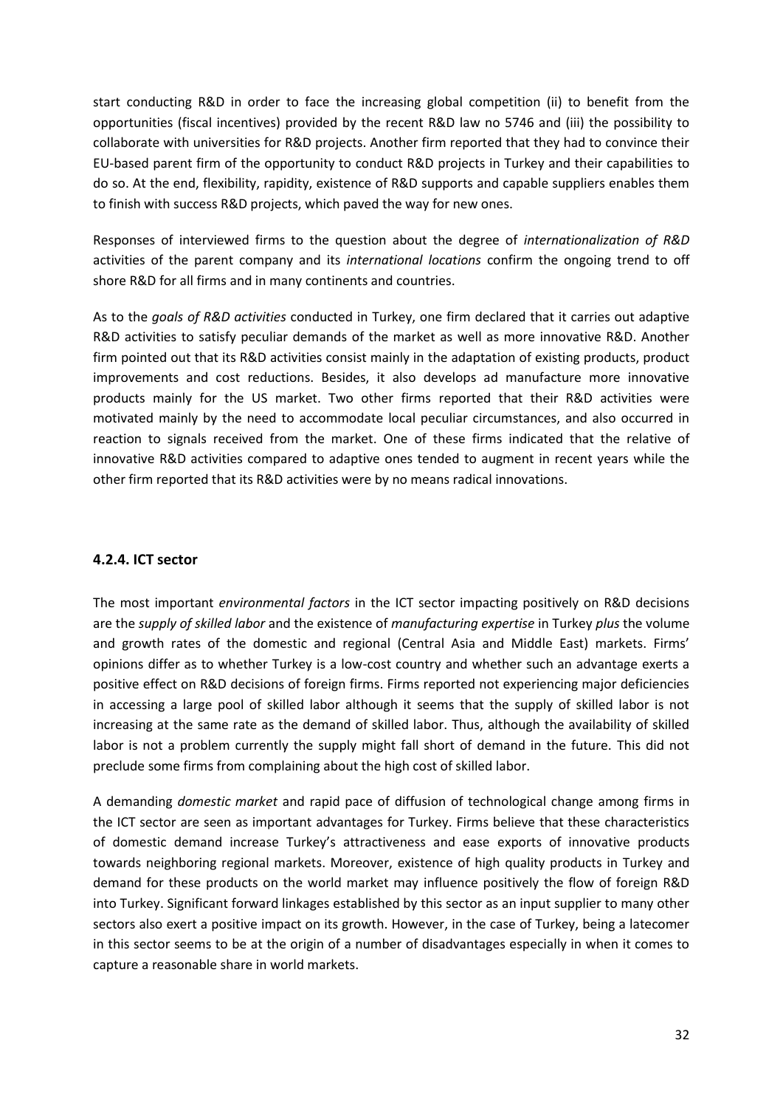however. As will be discussed later part of these differences in the organization of R&D activities are due to genuine characteristics existing among organizations and part of it to different research structures generated by the nature of different R&D support schemes used by firms. Indeed, six out of seven firms have a separate R&D department and another one is operating in a TDZ, considering therefore itself as a pure research firm. Four firms have established R&D centers in accordance with the recent R&D support law numbered 5746, which aims to enhance R&D expenditures of firms through fiscal incentives.<sup>37</sup> It turns out that interviewed firms have all established R&D departments by taking advantage of various R&D support programs implemented since the early 2000s, although some firms had also performed R&D activities long before these support schemes.

The average R&D budget of the interviewed ICT firms represents 1-1.5% of their annual sales and approximately one third of their employees work in the R&D department, which is an extremely high figure for a typical firm in Turkey. Significant increases have been observed both in R&D expenditures and R&D personnel in the last three years, with an average increase in R&D expenditures of about 10-15% while the average increase in R&D personnel ranges from 10% to 50%. Forecasts for the next three years show that these changes will persist but slow down due to the rapid increase in R&D activities that took place in the last five years thanks to the significant increase in the volume and scope of public R&D support in Turkey<sup>38</sup>.

### **4.2 Business environment and R&D activities of foreign firms**

This section deals with the following issues as far as affiliates of MNEs in Turkey we interviewed are concerned:

- (i) influence of different aspects of business environment<sup>39</sup> in Turkey on the R&D activities of foreign firms
- (ii) the way the decision to launch R&D activities in Turkey was taken
- (iii) purpose of R&D conducted in Turkey
- (iv) main R&D areas aimed at by foreign affiliates in Turkey
- (v) global location of R&D centers of the parent company,
- (vi) nature (adaptive *versus* innovative) of R&D activities conducted by foreign firms in **Turkey**

 $37$  The law numbered 5746 is a law on enforcement and regulation aimed at supporting R&D activities and came into force in July 2008. The English translation of this law can be accessed at [http://teknokent.sdu.edu.tr/en/files/application-first/5746\\_regulation.pdf](http://teknokent.sdu.edu.tr/en/files/application-first/5746_regulation.pdf) .

<sup>&</sup>lt;sup>38</sup> See World Bank (2009).

<sup>&</sup>lt;sup>39</sup> These different components of business environment relate to: (i) costs (ii) skilled labour force (iii) manufacturing expertise (iv) domestic and regional markets (v) markets served (vi) pace of commercialization of R&D actvities (vii) labor division of R&D within the parent company (viii) taxes (ix) subsidies (x) higher education system (xi) IPRs (xii) collabotarion with universities and other firms (xiii) R&D expertise in the sector (xiv) relations with suppliers and (xv) regulatory framework and intitutional environment.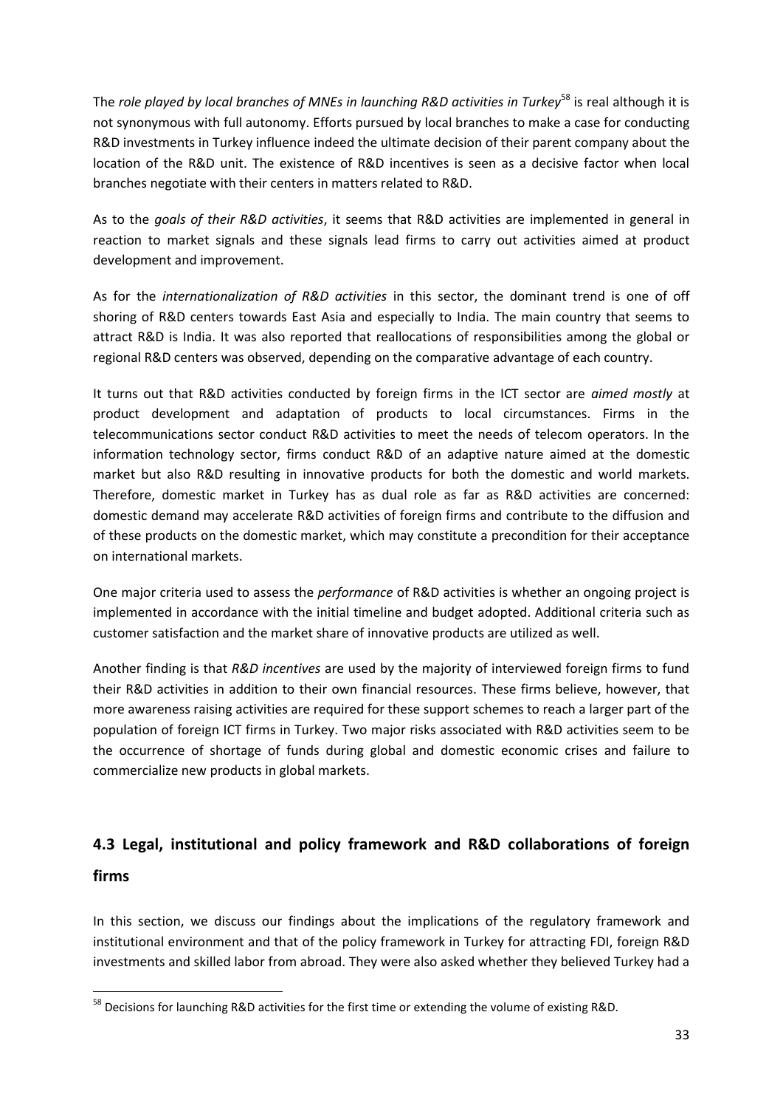- (vii) domestic or global market focus of R&D
- (viii) performance indicators used to asses R&D activities
- (ix) external funding used for R&D

#### **4.2.1. Pharmaceuticals**

**.** 

The most important environmental factors in pharmaceuticals influencing foreign R&D are related to the supply of *skilled labor* and the *quality of the demand.* Part-time personnel working in clinical research teams in university hospitals are considered to be highly skilled and medical infrastructures and other equipment used in clinical research are noted as being of good quality. As regard to the quality of the demand, the geographical proximity of Turkey to the markets of Central Asia and Middle East, racial variety and relatively high population density all make Turkey more attractive for pharmaceutical companies.

However, interviewees point to several problems in areas such as *manufacturing expertise, intellectual property rights (IPR) protection, collaborations with universities, and the institutional context*. Deficiency in manufacturing expertise in the ICT sector is considered as a moderate obstacle since firms generally address this issue through on-the-job training activities. The high cost of molecular and clinical research makes IPR-related issues vital for the sector. Participant firms emphasize problems stemming from imitation of granted patents -patent infringement-, enforcement of IPR legislation and leakages of data pertaining to the results of clinical research to their competitors in Turkey<sup>40</sup>. One firm complained about the relatively short time period granted for patent protection<sup>41</sup>. Hence, the existence of a strong sector manufacturing generic drugs -dominated by domestic firms-<sup>42</sup> and problems encountered in the enforcement of IPR legislation are seen as important barriers for expanding existing foreign R&D in Turkey as well as for attracting MNEs to conduct new R&D activities in Turkey. Furthermore, three factors mentioned below result in making the university-industry cooperation rather limited at present: (i) existence of administrative barriers: for instance, the major part of payments -more than 65%- made to health personnel and academicians participating to clinical research in university hospitals are absorbed by revolving fund of universities (ii) the fact that no real advantage is associated for collaboration with the health personnel within the premises of TDZs and (iii) red tape. Finally, firms strongly express the need for a new clinical research regulation in order to increase their R&D activities – mainly clinical research but also some basic research.

As for the decisions regarding *international location of R&D activities*, interaction between local branches and their parent company is considered to be of critical importance. The final decision is always taken by the parent but and it is influenced by the various characteristics of the host country. Interviewed firms mention the duration period of clinical trials, the extent of administrative barriers

<sup>&</sup>lt;sup>40</sup> Findings from different rounds of clinical research involving patients and healthy subjects (volunteers) are communicated to the Ministry of Health on a continuous basis. Leakages mentioned relate to this information.

<sup>&</sup>lt;sup>41</sup> This period is 20 years long but the complete R&D cycle in this sector ranges from 12 to 15 years and leaves a very short period to to pharnaceutical companies rentabilize their R&D investments.

<sup>&</sup>lt;sup>42</sup> Contrarily to the ICT sector, domestic firms have been operating in the pharmaceutical sector since the 1970s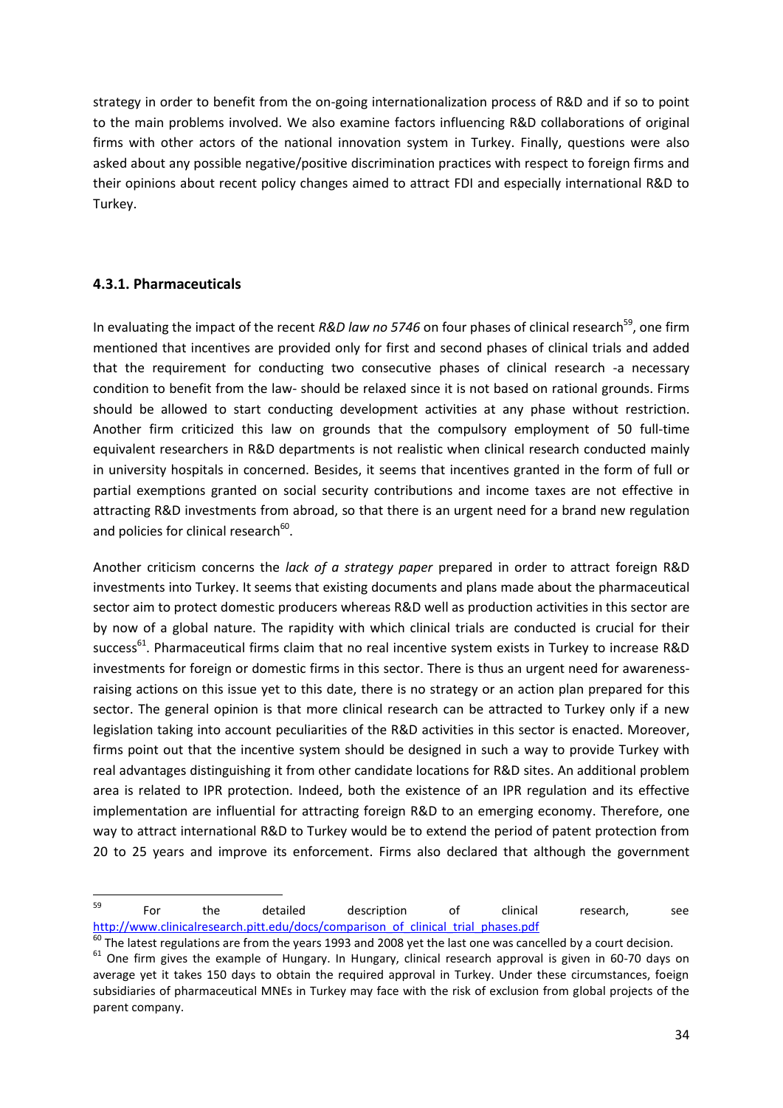faced by firms and the stability of the institutional environment for R&D activities -mainly regulations relating to clinical trials- as being the critical factors for this decision. Foreign subsidiary may influence the final decision of the parent company by providing information on the following issues: (i) number of patients that will take part in clinical tests (ii) quality of the technical infrastructure in hospitals (iii) human capital of people working in health institutions (iii) the extent of variety in diseases in the research area which may be critical for the decision-making process. Consequently, the capacity of the local subsidiary to transfer to its parent company quality data on a timely basis about the results of the clinical tests is a significant factor for attracting R&D. It turns out that some firms are using extensively ICT tools for accurate and rapid data transfer. The current situation can be described as one of severe competition among the foreign branches of the same MNE for attracting new clinical research. The performance of local branches in systematic auditing by the global center is another criteria used for the sustainability of the clinical research abroad. Furthermore, some interviewed firms declared that Turkish experts were recruited by the parent company at mid- or high-level administrative positions, which resulted in an increasing R&D commitment of the parent company with respect to Turkey. Some firms noted that Turkey is classified as a core or high-volume country by the global centers due to its market size advantages.

A *global trend* is that the development centers in the sector are shifting away from USA and Europe to developing countries, although molecular research activities are still predominantly carried out in developed countries. The high and increasing cost of R&D activities will most likely lead firms to shift both molecular and clinical research out from the developed countries to developing ones in the next five years –China is seen as the most attractive country. In Turkey, firms are engaged only in the clinical research stage of R&D in pharmaceuticals. All participant firms pointed to the global nature of R&D activities conducted in this sector. Indeed, the same molecules are experimented in different countries by different research teams and the resulting data is sent to and processed by the global center, which later exploits these findings for the commercialization of discovered molecules -new drugs- around the world. The outcome is a process akin to an international knowledge production. As emphasized by all firms, not only the process leading to the development of a new drug but also its commercialization stage, i.e. the market aimed at, is global: All firms confirmed that their goal is not to sell solely on the domestic market but also on the world market.

#### **4.2.2. Automotive sector**

The most important environmental factors impacting on foreign R&D in the automotive sector are examined below.

One firm declared that the *average cost of engineers* in Turkey is lower than in some EU countries but not when it is compared to, for instance, a new member like Poland. Turkey's major advantage with respect to the EU for attracting FDI seems to be the availability of a large pool of skilled workforce with advanced engineering and production capabilities. Another firm pointed out that the low cost of labor will no more provide a competitive edge to Turkey in the near future. As an example, it indicated that it had been losing 30% of the labor cost differential it enjoyed with respect to its foreign partner. Another firm pointed out that (i) Turkey had been a low cost production site until recently but now is in the process of being overtaken by countries like China and India on the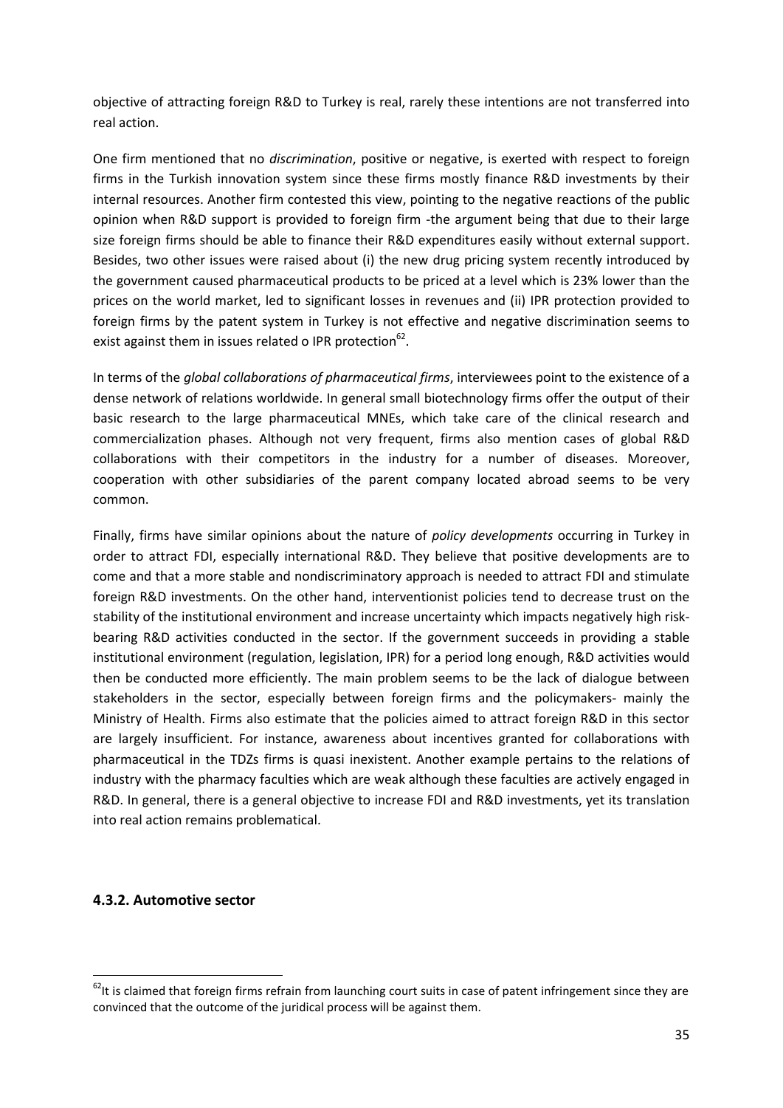cost front (ii) no major difference exists between Turkey and the home country of its parent company located in the EU with respect to the cost of skilled workforce, including engineers and technicians<sup>43</sup> and (iii) longer working hours in Turkey are not necessarily translated into a cost advantage, due to higher levels of productivity attained by automotive firms in the EU- a situation likely to exert a negative impact when it comes to attract foreign R&D into Turkey. All these remarks point to the need for the automotive industry to upgrade, to move up in the capability ladder, especially by investing more in R&D.

Firms agree about the fact that although engineers in Turkey are well educated, they are more often than not well-trained. The characteristics of the Turkish *higher education system* are to blame since priority therein is given to theoretical studies and not to enough work in enterprises through -for instance internships. As a result, on-the-job training following recruitment by automotive firms is almost always necessary and provided by most firms to increase the productivity of the skilled worked-force. Another firm pointed out that the large number of skilled workforce in Turkey is an important element for conducting R&D. In addition, several firms pointed to the positive attitude, flexibility and dynamism of a young workforce in Turkey $44$ .

Interviewed firms replied to the question about *manufacturing expertise* by pointing to the fact that their production capabilities were highly advanced, that know-how and experience in manufacturing were the main competitive weapons of the automotive sector in Turkey. One firm declared that the strong production capability possessed by manufacturers as well as by their suppliers could influence positively decisions of MNEs for starting or expanding R&D activities in Turkey.

In general, firms estimate that growth on *domestic and international markets* close to Turkey are satisfactory but find the size of the market in Turkey not being conducive to R&D expenditures or its expansion -in contrast for instance to another emerging economy like Brazil. This is mainly the outcome of excessive indirect taxes that are levied on passenger cars by the government. A firm declared that this is also in contrast with respect to the EU countries where internal market expanded at a rate higher rate than in Turkey since no excessive indirect taxes are paid on car sales<sup>45</sup>.

Concerning the impact of *characteristics of the markets* aimed at by foreign firms on their R&D activities, one firm declared that they produce and export mainly for the EU market and that solely the domestic market size in Turkey is not large enough to warrant significant R&D expenditures. However, this firm later indicated that they successfully implemented a R&D project involving the design and manufacturing of two new light commercial vehicles in Turkey. These two models were commercialized in 2007 and 2008 and sold on export markets, contributing significantly to sales revenues of the firm in 2009<sup>46</sup>. Another firm declared that they conducted R&D activities of a mainly adaptive nature stemming from differences between the world and domestic market related to

 $43$  It indicated that a salary of 1300 to 1400 euros was sufficient to recruit engineers in the home country of its EU-based parent company while wages paid to engineers in Turkey changed between 2000 and 3000 euros.

<sup>&</sup>lt;sup>44</sup>One firm provided the following example: employees in its affiliate in Brazil speak mainly Portuguese and in its affiliate in Japan mainly Japanese while in Turkey, English and German are spoken fluently on the workplace.  $45$ It indicated that the indirect tax rate on passenger cars is 67% in Turkey while this rate is only 27% in the EU.

 $46$  Although prodoction activity is carried out under a license owned by its foreign partner, this firm is owned in majority by the Turkish partner. The decisive role played by the Turkish partner in launching the R&D project and its later championing shows that the structure of capital ownership *does* matter for international R&D activities. More information on this unusual R&D project is provided in Celikel et al. (2011).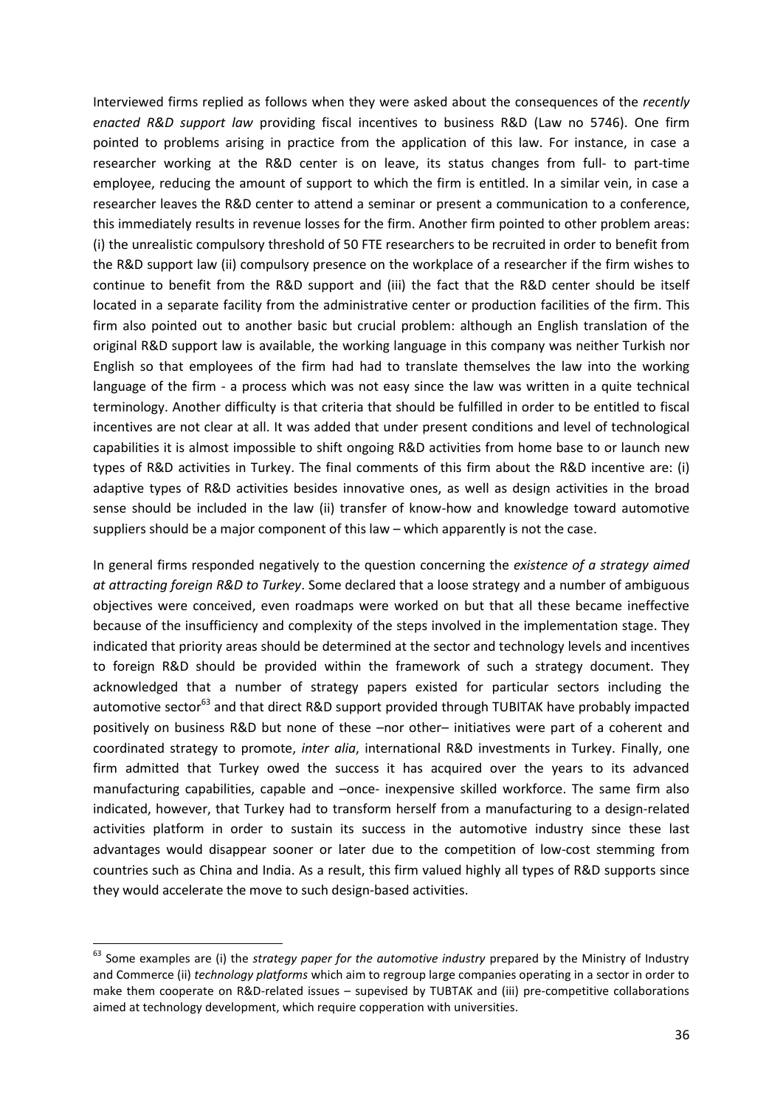regulations and users' demands. For instance, modifications were brought to original truck designs in order to manufacture a new model adapted to the -lower- education level of Turkish truck drivers and to the requirements of the market –in this last case, capable of transporting maximum load at a reasonable cost – and this truck is manufactured solely for the Turkish market. For buses, it was indicated that (i) the Turkish affiliate participated to joint projects together with other affiliates of the parent company located abroad and (ii) adaptive R&D was undertaken to comply with regulatory requirements (for instance, school buses). One major need for the Turkish market has always been to increase the luggage volume passenger buses and consequently adaptive R&D efforts have taken place to design and manufacture such a bus – which is now sold mainly on the Turkish market. Further, this firm estimated that the Turkish market was a "late follower" as far as the adoption of regulations enacted in the EU is concerned. Indeed, safety and environmental regulations introduced to the EU legislation (for instance those pertaining to airbag use and emissions) were translated into Turkish law some years later. The main reason for his delay is the cost-increasing effect of complying with these regulations – this late-follower or adopter behavior concerns only vehicles sold on the domestic market, not for those exported to the EU.

One firm indicated that *R&D incentives* have been successful in increasing the attractiveness of Turkey as a international R&D location. Direct R&D support provided by the Scientific and Technological Research Council of Turkey (TUBITAK) as matching grants with the funding rate of projects changing between 40% and 60%, were said to be instrumental for attracting international, i.e. intra-MNE, projects to Turkey and for enhancing R&D capabilities of these firms. A shortcoming mentioned concerns the sustainability of these direct R&D supports since this company was told after a while to fund its R&D expenditures by using its own financial resources. Another interviewed firm emphasized shortcomings of the recent R&D incentive law no 5746 encountered during its implementation. For instance, event a temporary absence of a researcher at the R&D center for any reason – on leave or for professional reasons – has the immediate effect of drastically reducing the amount of support received. It was said that although people from the Ministry of Industry and Trade, in charge of the inspection of the R&D centers, acknowledge the problem, the Ministry of Finance, as the final instance that has to approve the transfer of funds, does not – which obviously creates a coordination problem with deleterious effects on foreign R&D. Another deficiency pointed to by the same firm is that one of the requirements of the R&D incentive law, the recruitment of 50 FTE persons, makes it totally inappropriate for the automotive part suppliers that are in their majority SMEs – so, it exerts no significant positive effect on their R&D capabilities. Further, the only firm in our sample that does not conduct any R&D in Turkey was very critical about the way R&D supports are granted. Firstly, it said it was convinced that R&D supports were provided mostly to activities aimed at product and process development or improvements rather than at activities involving research *per se*. Second, it pointed to the absence of any study conducted in order to evaluate the impact of R&D subsidies on the R&D expenditures, value added and exports of recipient firms, questioning the effectiveness of existing R&D programs<sup>47</sup>.

In general, firms confirmed the existence, in limited numbers however, of a group of *parts and components suppliers* in the automotive industry that possess strong capabilities in manufacturing and design. Further, it seems that a strong R&D capability is a necessary condition in order to

 $47$  To this date there are only two studies that use econometric techniques to carry out an impact analysis of R&D subsidies granted in Turkey: see Özcelik and Taymaz (2008) and Pamukcu and Tandogan (2011).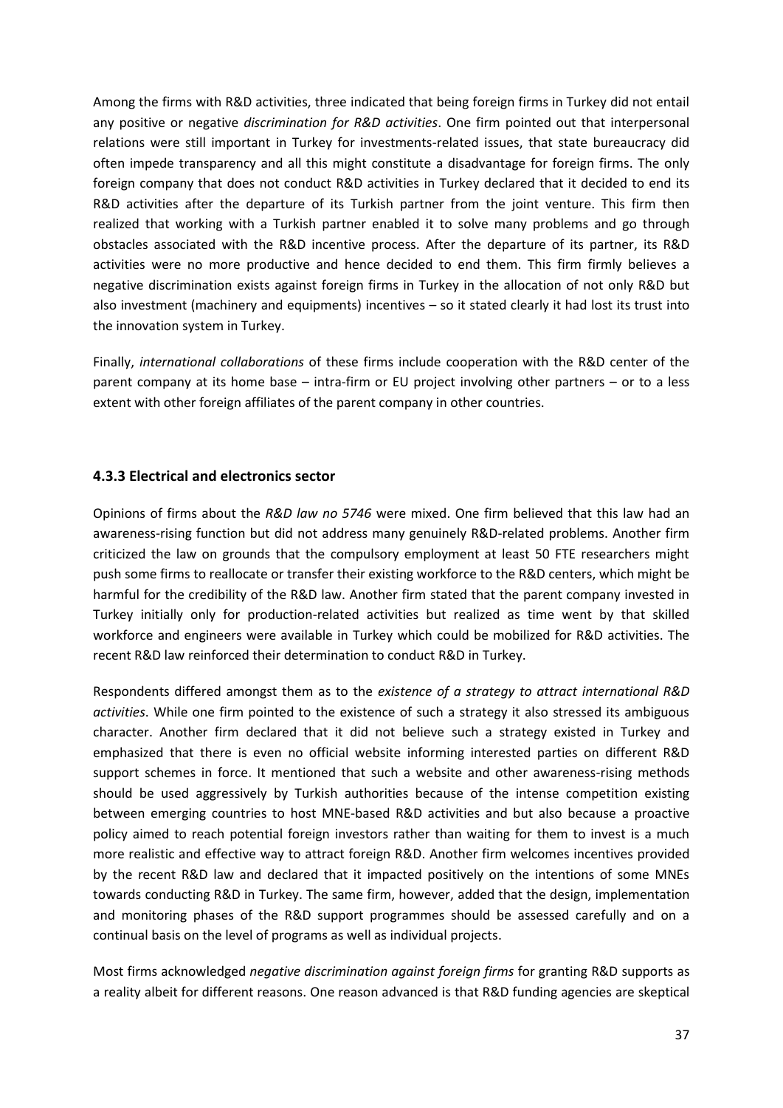become the supplier of a manufacturer firm and work on joint research projects<sup>48</sup>. Firms emphasized the fact that there are a few number of competent suppliers capable of taking part to joint research projects with foreign firms. The few number of suppliers capable of complying with high quality standards of foreign manufacturers has mainly the following implications: (i) knowledge and technology transferred from foreign firms to domestic suppliers remains limited (ii) foreign suppliers –some of them are suppliers of the parent company in the home country -invest in Turkey to seize the opportunities related to the large size of the market – domestic and regional and (iii) significant imported content of vehicles manufactured in Turkey<sup>49</sup>.

As to the question concerning *how the decision to conduct R&D in Turkey was taken*, one interviewed firm reported that its Turkish partner negotiated directly with the parent company in order to launch R&D activities in Turkey and justified its decision by the strong R&D capability it already possessed. Another firm emphasized the evolutionary nature of the development of its R&D capability. Indeed, its "R&D" activities initially addressed problems arising from organization of production, product quality and high costs but also aimed at responding to market needs more rapidly. Later, in a second stage, R&D activities have increased in scope and included advanced capabilities such as product and process development, and design<sup>50</sup>. This firm pointed to three factors that have impacted positively on its R&D decision: a large pool of skilled workforce, high education level in general and existence of R&D incentives in Turkey. It also added that it encountered difficulties in accessing a sufficiently large labor pool at reasonable wages in the home country of the parent company and that continual increase in the number of R&D projects within the parent company made it almost inevitable to outsource some of these projects to its affiliates abroad. The advantages provided by the generous R&D support scheme in Turkey and a large labor supply played an important role in attracting part of these R&D projects to Turkey.

As to the question of *who decides in which fields to conduct R&D in Turkey*, one firm indicated that the final approval of a R&D project was done by the parent company although ideas or proposals could originate from its subsidiaries located all over the world. This firm also mentioned that it was once asked by the parent company to conduct a R&D project but it could not do it since the research infrastructure in Turkey was not developed enough. This firm plans to collaborate with universities and conduct part of its research -required for an ongoing project- within university premises. Another firm mentioned that it took an initiative to launch R&D projects in Turkey but in relation

**.** 

<sup>&</sup>lt;sup>48</sup> It was mentioned that besides working on joint projects, acting as a supplier to a manufacturer firm provides a number of advantages to supplier firms, mainly through knowledge and technology transfers -less frequently in terms of financial assistance. Another spillover is the positive contribution of this status to the commercial reputation of the supplier firm. More evidence on the existence of knowledge and technology transfer in the automotive sector is provided in Pamukçu and Sönmez (2011).

<sup>49</sup> A firm pointed out that partly as a result of this situation (few cpmpetent suppliers), 80% of inputs used in its bus manufacturing facilities were imported from abroad.

<sup>&</sup>lt;sup>50</sup> The launching of genuine R&D activities in the second stage was possible thanks to the determination of the Turkish partner and was anything but inevitable - involvement of the Turkish partner has been decisive. This is one area where the presence of a local partner owning more than 50% of the firm's equity *and* its resolution to use R&D as a competitive weapon really made the difference. See Celikel et al. (2011) for more details on the importance of local initiatives for R&D activities of foreign firms.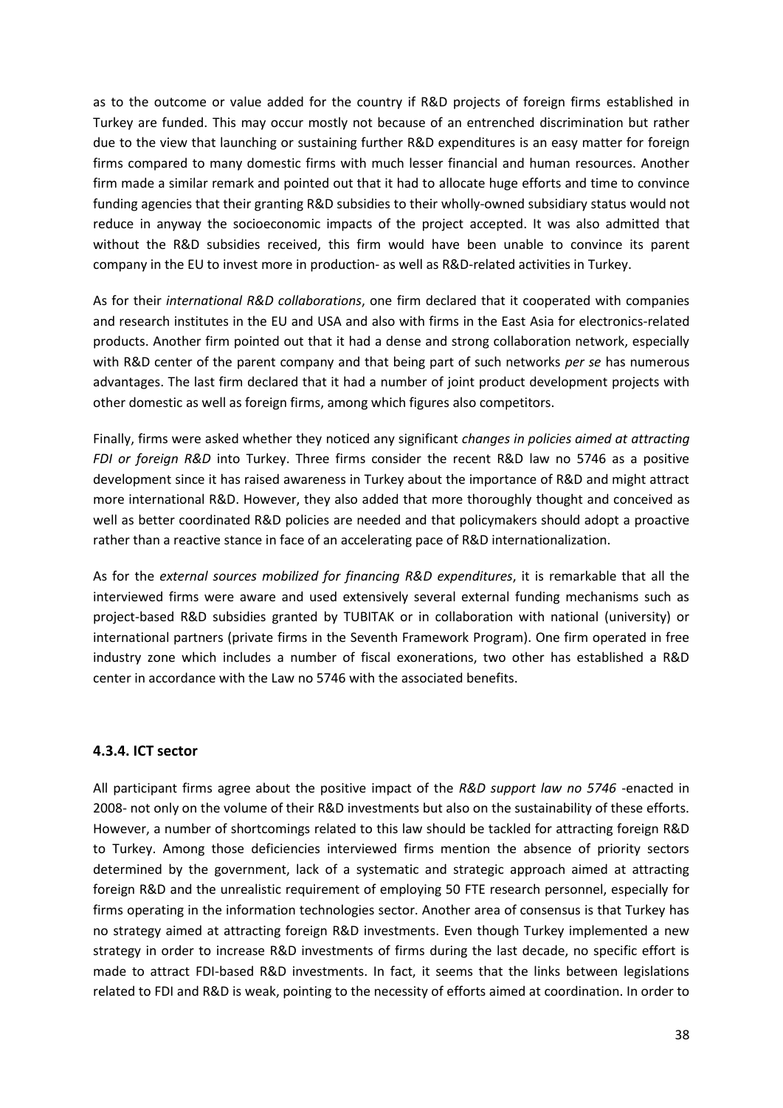with the parent firm's research priorities<sup>51</sup>. This R&D project was conducted entirely in Turkey and funded on its own budget, and resulted in collaborations with universities.

To the question concerning *internationalization of R&D activities of the parent company* and location of its global R&D sites, all interviewed firms replied that the trend is definitely one of internationalization of R&D activities of the parent firm and added that the choice of the location for new R&D sites depended on a number of factors related to the type of vehicle (light or heavy commercial vehicle vs. passenger car) and on the models to be designed and developed. To be more specific, one firm declared that in addition to a R&D site in Brazil, its parent firm planned to establish two new sites in India and China<sup>52</sup>. Another firm reported that although it did not consider conducting R&D at foreign locations for its buses, research – or some part of it – might be transferred to Turkey and its production to India.

As for the *new locations* where MNEs prefer conduction R&D, many countries from different continents were mentioned by the interviewed firms<sup>53</sup>, confirming that emerging economies would be the main receivers of R&D activities, existing or new to come.

Concerning the *goals of R&D activities conducted in Turkey*, a technologically active firm declared that they conducted both adaptive and innovative R&D aimed at developing electrical cars. R&D activities of this company included localization/indigenization, development and design but also product and process development aimed at both domestic and export markets. Another firm pointed out that R&D activities of different degree of sophistication exist<sup>54</sup> and that in Turkey their R&D activities aimed mainly at developing new products. Further, this firm indicated that since 80% of its production is oriented towards export markets, its R&D activities are aimed directly at developing new products for these export markets<sup>55</sup>. The last interviewed firm declared that it conducted R&D to develop vehicles, engines and transmission system and parts for both domestic and export markets.

As for the *external sources mobilized for financing R&D expenditures*, all interviewed firms declared that they made use from the direct R&D supports provided by TUBITAK and/or from the recent R&D law no 5746 aimed at creating R&D centers through fiscal incentives. One firm indicated that they were also active in an EU Seventh Framework project but that the main reason for their presence therein was learning and being present on EU platforms. Another firm indicated that it took part to EU projects directed by its parent company and that some funding came also through these sources.

 $51$  In this case, a R&D project aimed at developing an electrical car.

<sup>&</sup>lt;sup>52</sup>This firm mentioned that in Brazil, there was a huge market which is relatively closed and functions with its own rules.

<sup>53</sup> These countries are Argentina, Brazil, China, Czech Republic, France, India, Japan, South Korea, Turkey, Roumania, Russia and USA.

<sup>&</sup>lt;sup>54</sup>It suggested that advanced R&D takes about 10 years while R&D oriented at developing new products takes about two years.

<sup>&</sup>lt;sup>55</sup> We asked this firm whether it would consider in the future implementing R&D activities to substitute imported inputs used in the production process with local inputs– mainly a process innovation. The answer was that it would be extremely difficult to implement this kind of import substitution oriented R&D – so the answer was negative.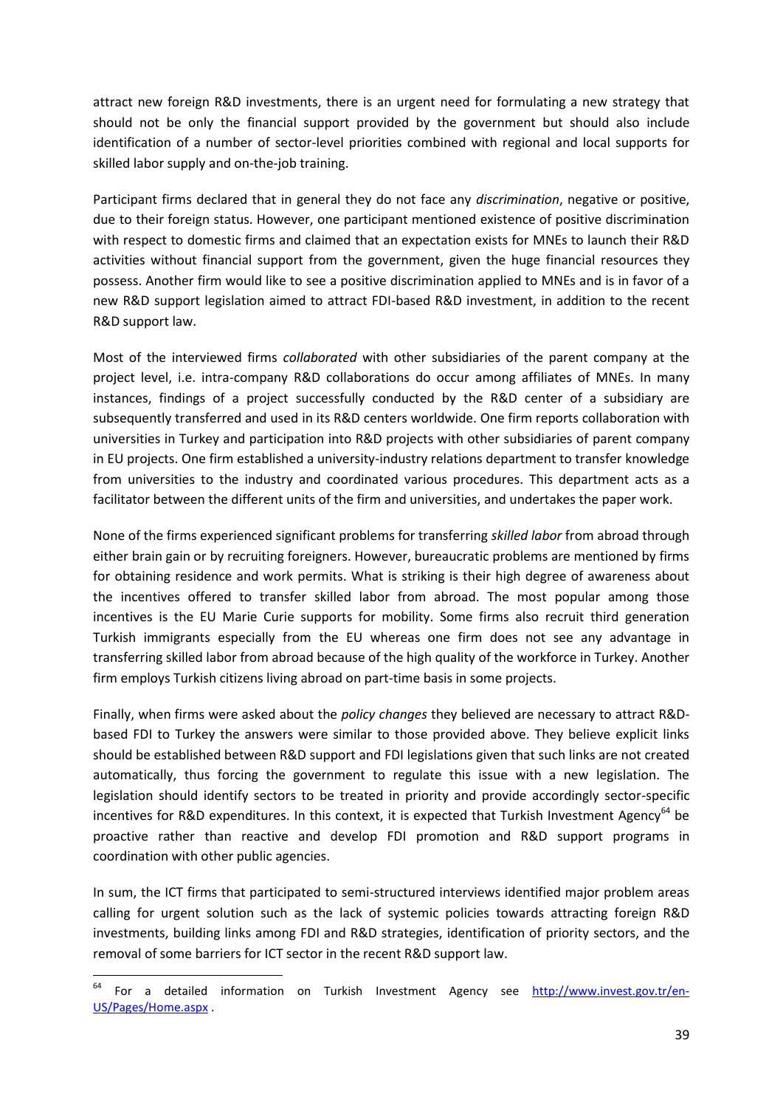#### **4.2.3 Electrical and electronics sector**

Main factors related to *business environment* and their effects on foreign R&D activities in the electrical/electronics sector are examined below.

Most firms agree that *costs*, especially labor costs are not low in Turkey. These firms pointed out that costs of various factors of production are higher than the ones observed in China and Poland, two major competitors of foreign firms established in Turkey. Firms have mixed opinions as to whether costs are lower or higher in Turkey than those in EU countries. Those firms that think costs are higher in Turkey than in the EU point to the positive effect of R&D supports which compensate at least partly these cost differentials.

As to the availability of *skilled workforce* in Turkey, most firms point to an abundant supply but also to an insufficient training level. Two firms emphasized the importance of updating higher education curricula in a more business-friendly way and indicated. They have contacted universities –especially engineering departments– with this idea in mind and proposed some changes. A third firm indicated that there are excellent universities in Turkey which supply the market with high-quality competent engineers that can be recruited at a reasonable wage, which is an important competitive advantage for Turkey. This firm also emphasized the high motivation and commitment of these engineers or researchers towards projects they worked on and also their flexibility. These last characteristics, it seems, are very different from what happens in countries of Central Europe.

Most firms agree about the high-level *manufacturing expertise* of this sector in Turkey. One firm indicated that one of the major production facilities among about fifty all over the world was located in Turkey and that advanced production capacities was instrumental in their decision to add R&D activities to their operations. Another firm mentioned that thanks to their advanced manufacturing expertise, they were able to upgrade as well their suppliers' capabilities in this field and aimed now at increasing the proportion of domestic suppliers in the supply chain, currently only 34 %. This firm pointed to learning-by-doing, transfer of human capital (managers) from competitors and recruitment of educated labor as the main sources of its manufacturing expertise.

One firm pointed out that its global character made relatively less important Turkish domestic *market* compared to international markets, which increased the importance of R&D activities to sustain their competitiveness. Two firms emphasized, however, the importance of the size and growth of domestic market for their activities. Another firm indicated that rising quality requirements and expectations of Turkish customers had a positive but not the most important effect on its R&D activities.

Only one firm answered the question about the existence of *labor division in R&D activities* in the MNE. It indicated that R&D activities are in general conducted at the home base of the MNE but also in countries where foreign affiliates operate manufacturing facilities. So, no rigid or inflexible labor division seems to characterize R&D activities of the MNE, and those foreign affiliates who act rapidly and innovatively are offered R&D projects by the parent company.

As far as the *taxes* levied by the government are concerned, one firm complained about the high level of indirect taxes levied on their products and pointed to a possible negative effect on their R&D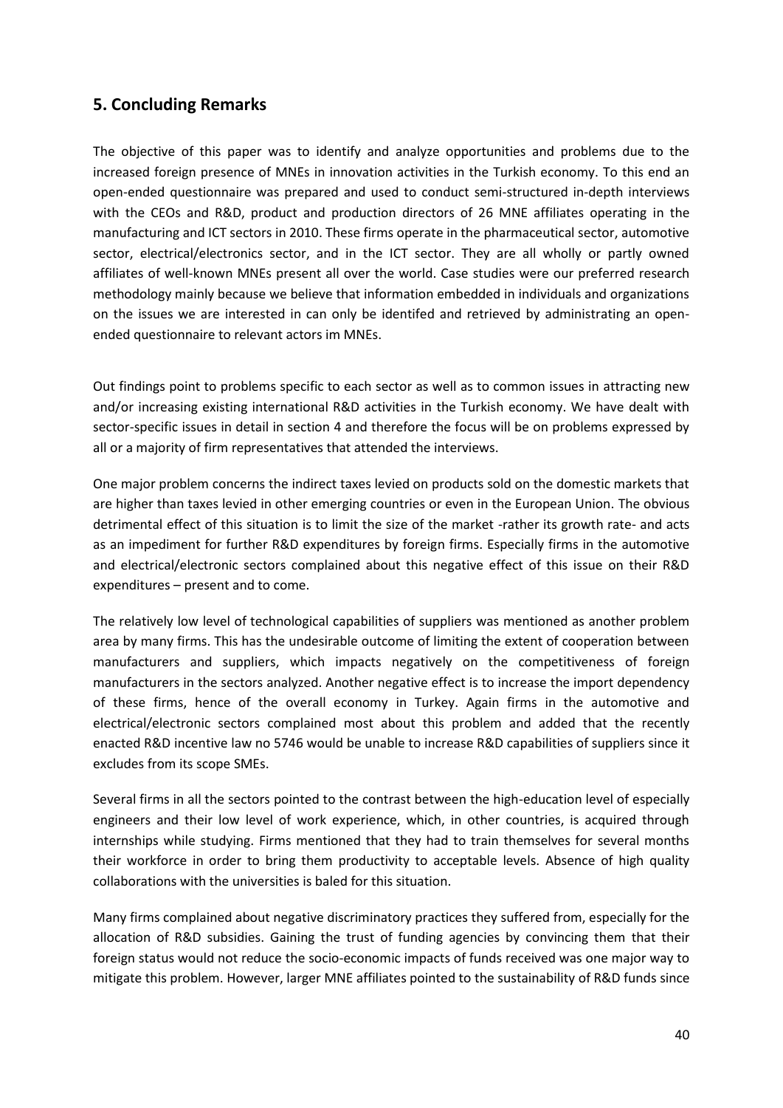activities since it reduces their potential market. Another firm mentioned high social security contributions paid by labor and the non-transparent character of the tax legislation in Turkey in opposition to the situation prevailing in the EU.

As for the *governmental support provided to business R&D*, one firm stated that it played an important role for the growth of its R&D. It also mentioned, however, that tackling issues such as complicated and long submission procedures and important red tape, rather than simply increasing the amount of the support granted, had to be put on the agenda. Another firm pointed to the importance of both fiscal R&D incentives and direct subsidies for attracting foreign R&D and of conditioning these support schemes to the establishment of technological collaborations between agents. It added, however, that the amount of support granted was by no means sufficient to face the global competition in force in their sector.

One firm declared they endeavored to promote *university-industry relations* in many ways. For instance as members of advisory board of a number of engineering departments, firm representatives contributed to update of their curricula. Further, funding of theses of graduate students relevant to the interests of the firm proved to be an important way of technology transfer in both directions. As a result, while protocols signed with academics enabled the firm to protect its IPRs related to these theses, well-trained graduates were subsequently recruited by the firm<sup>56</sup>.Another firm reported that they collaborated with the universities and private companies including Middle East Technical University and Turkish Aero Industry (TAI), and had also subcontractors abroad.

As for the *relations of foreign firms with their suppliers*, the opinions expressed by the respondents were mixed. One firm declared that relationships between manufacturers and suppliers were not developed or strong in the electrical/electronics sector in Turkey since suppliers could hardly conduct R&D activities on their own. It added that while it was possible to find some suppliers who could take in charge all the stages of a project including its R&D activities, these suppliers were very limited in number. Another firm gave the example of Spain where electrical/electronics manufacturers have been able to collaborate and offer new products on the market now for a while. According to the same firm, such a situation did not characterize Turkey mainly because R&D capabilities of the manufacturers were not yet developed enough. As part of their strategy to alleviate this problem, this firm has set up supplier development programs for a while now, the objective being to train supplier which could solve their problems over the long term. Another firm estimated that there was a successful supplier industry in the electrical/electronics sector in Turkey and that this success was mainly related to the excellent imitation capability of suppliers<sup>57</sup>. This firm declared being in close collaboration with its suppliers and indicated that they trained them, assisted them in launching their production activities mainly because they needed competent suppliers.

Responses of interviewees point to the importance of convincing the parent company about the necessity and the advantages of carrying R&D activities in Turkey. One firm reported it used three arguments to start conducting R&D activities: (i) being a manufacturing platform in Turkey it had to

 $56$  it was said that more than 160 MSc or PhD theses were funded in ths iway.

<sup>&</sup>lt;sup>57</sup> It was reported that while suppliers were very succesfull in acquiring production capabilities related to some some products (machinery), they were much less succesfull when imitation and learning-by-doing were not enough to acquire such capabilities (new materials).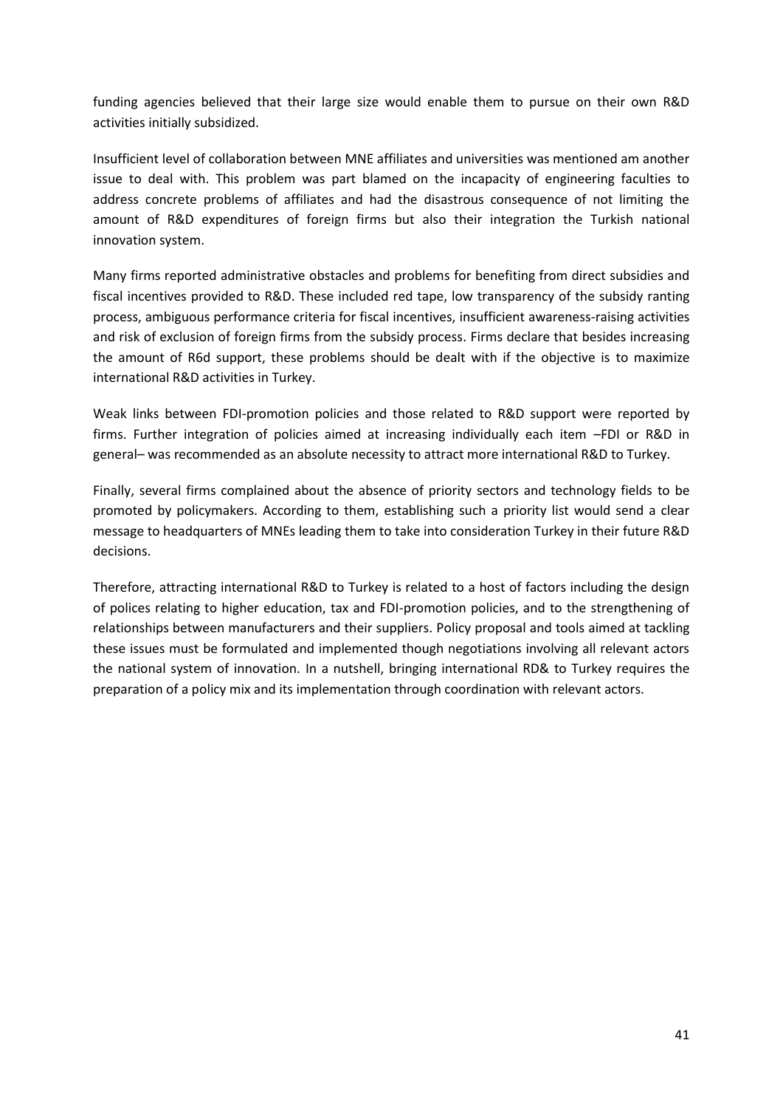start conducting R&D in order to face the increasing global competition (ii) to benefit from the opportunities (fiscal incentives) provided by the recent R&D law no 5746 and (iii) the possibility to collaborate with universities for R&D projects. Another firm reported that they had to convince their EU-based parent firm of the opportunity to conduct R&D projects in Turkey and their capabilities to do so. At the end, flexibility, rapidity, existence of R&D supports and capable suppliers enables them to finish with success R&D projects, which paved the way for new ones.

Responses of interviewed firms to the question about the degree of *internationalization of R&D*  activities of the parent company and its *international locations* confirm the ongoing trend to off shore R&D for all firms and in many continents and countries.

As to the *goals of R&D activities* conducted in Turkey, one firm declared that it carries out adaptive R&D activities to satisfy peculiar demands of the market as well as more innovative R&D. Another firm pointed out that its R&D activities consist mainly in the adaptation of existing products, product improvements and cost reductions. Besides, it also develops ad manufacture more innovative products mainly for the US market. Two other firms reported that their R&D activities were motivated mainly by the need to accommodate local peculiar circumstances, and also occurred in reaction to signals received from the market. One of these firms indicated that the relative of innovative R&D activities compared to adaptive ones tended to augment in recent years while the other firm reported that its R&D activities were by no means radical innovations.

#### **4.2.4. ICT sector**

The most important *environmental factors* in the ICT sector impacting positively on R&D decisions are the *supply of skilled labor* and the existence of *manufacturing expertise* in Turkey *plus* the volume and growth rates of the domestic and regional (Central Asia and Middle East) markets. Firms' opinions differ as to whether Turkey is a low-cost country and whether such an advantage exerts a positive effect on R&D decisions of foreign firms. Firms reported not experiencing major deficiencies in accessing a large pool of skilled labor although it seems that the supply of skilled labor is not increasing at the same rate as the demand of skilled labor. Thus, although the availability of skilled labor is not a problem currently the supply might fall short of demand in the future. This did not preclude some firms from complaining about the high cost of skilled labor.

A demanding *domestic market* and rapid pace of diffusion of technological change among firms in the ICT sector are seen as important advantages for Turkey. Firms believe that these characteristics of domestic demand increase Turkey's attractiveness and ease exports of innovative products towards neighboring regional markets. Moreover, existence of high quality products in Turkey and demand for these products on the world market may influence positively the flow of foreign R&D into Turkey. Significant forward linkages established by this sector as an input supplier to many other sectors also exert a positive impact on its growth. However, in the case of Turkey, being a latecomer in this sector seems to be at the origin of a number of disadvantages especially in when it comes to capture a reasonable share in world markets.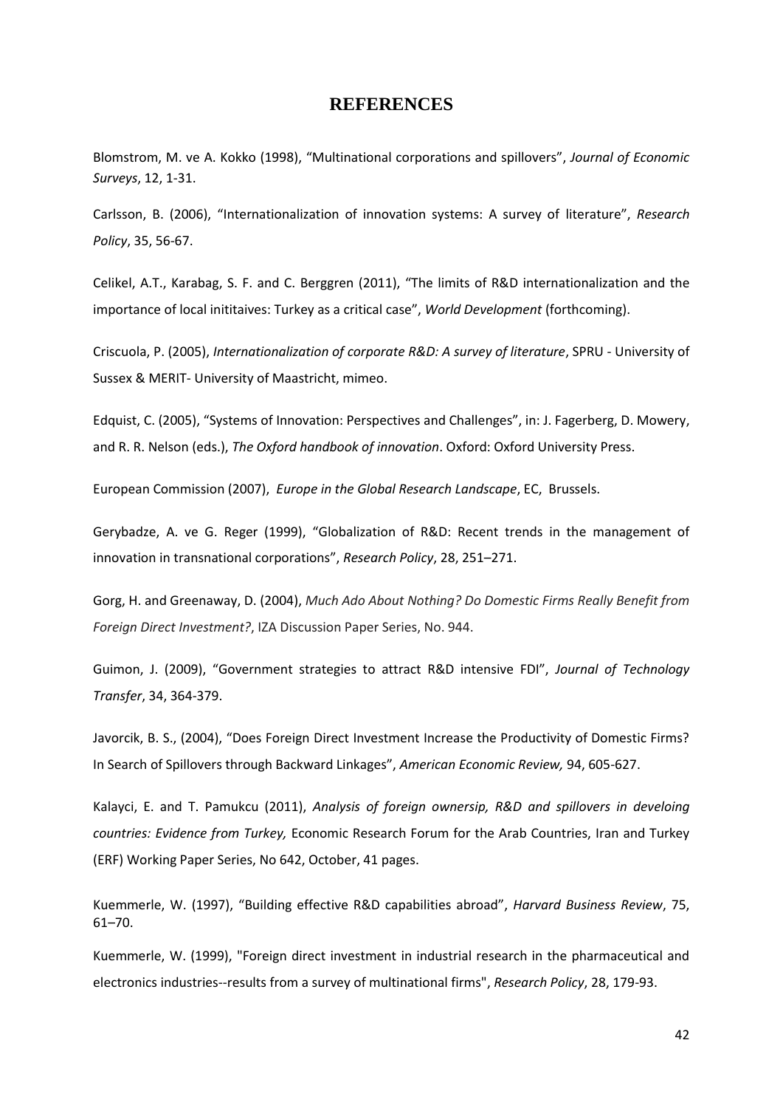The *role played by local branches of MNEs in launching R&D activities in Turkey*<sup>58</sup> is real although it is not synonymous with full autonomy. Efforts pursued by local branches to make a case for conducting R&D investments in Turkey influence indeed the ultimate decision of their parent company about the location of the R&D unit. The existence of R&D incentives is seen as a decisive factor when local branches negotiate with their centers in matters related to R&D.

As to the *goals of their R&D activities*, it seems that R&D activities are implemented in general in reaction to market signals and these signals lead firms to carry out activities aimed at product development and improvement.

As for the *internationalization of R&D activities* in this sector, the dominant trend is one of off shoring of R&D centers towards East Asia and especially to India. The main country that seems to attract R&D is India. It was also reported that reallocations of responsibilities among the global or regional R&D centers was observed, depending on the comparative advantage of each country.

It turns out that R&D activities conducted by foreign firms in the ICT sector are *aimed mostly* at product development and adaptation of products to local circumstances. Firms in the telecommunications sector conduct R&D activities to meet the needs of telecom operators. In the information technology sector, firms conduct R&D of an adaptive nature aimed at the domestic market but also R&D resulting in innovative products for both the domestic and world markets. Therefore, domestic market in Turkey has as dual role as far as R&D activities are concerned: domestic demand may accelerate R&D activities of foreign firms and contribute to the diffusion and of these products on the domestic market, which may constitute a precondition for their acceptance on international markets.

One major criteria used to assess the *performance* of R&D activities is whether an ongoing project is implemented in accordance with the initial timeline and budget adopted. Additional criteria such as customer satisfaction and the market share of innovative products are utilized as well.

Another finding is that *R&D incentives* are used by the majority of interviewed foreign firms to fund their R&D activities in addition to their own financial resources. These firms believe, however, that more awareness raising activities are required for these support schemes to reach a larger part of the population of foreign ICT firms in Turkey. Two major risks associated with R&D activities seem to be the occurrence of shortage of funds during global and domestic economic crises and failure to commercialize new products in global markets.

# **4.3 Legal, institutional and policy framework and R&D collaborations of foreign firms**

In this section, we discuss our findings about the implications of the regulatory framework and institutional environment and that of the policy framework in Turkey for attracting FDI, foreign R&D investments and skilled labor from abroad. They were also asked whether they believed Turkey had a

**.** 

<sup>58</sup> Decisions for launching R&D activities for the first time or extending the volume of existing R&D.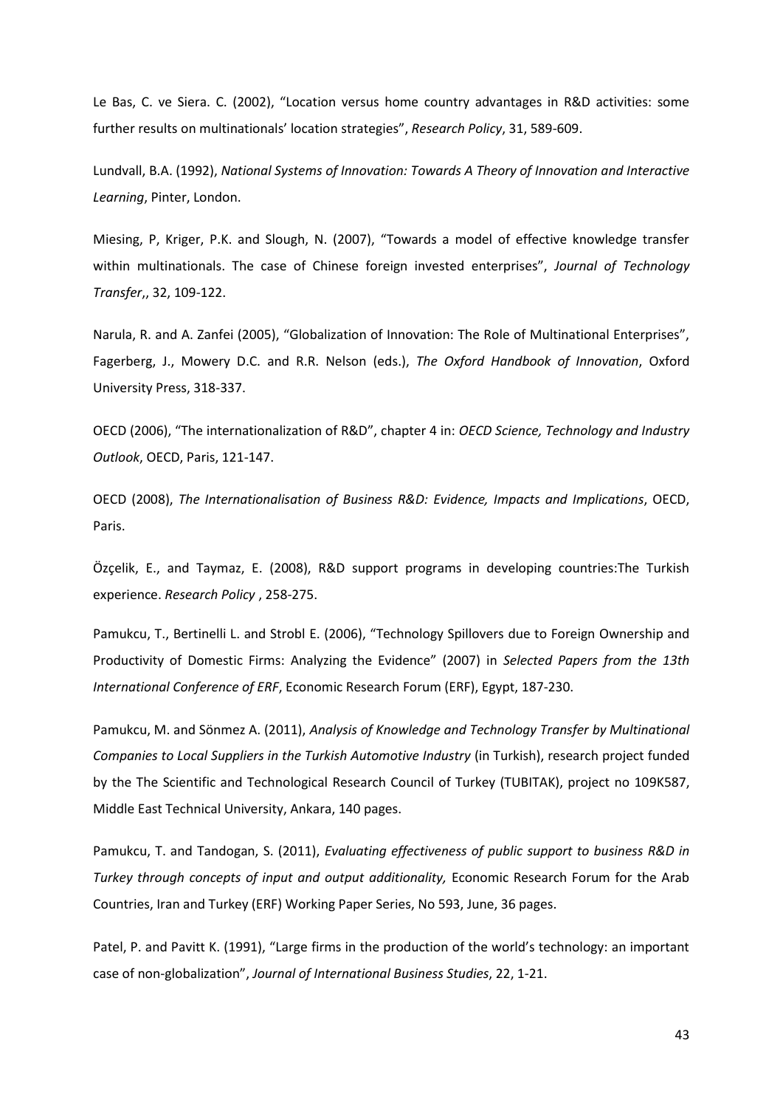strategy in order to benefit from the on-going internationalization process of R&D and if so to point to the main problems involved. We also examine factors influencing R&D collaborations of original firms with other actors of the national innovation system in Turkey. Finally, questions were also asked about any possible negative/positive discrimination practices with respect to foreign firms and their opinions about recent policy changes aimed to attract FDI and especially international R&D to Turkey.

#### **4.3.1. Pharmaceuticals**

In evaluating the impact of the recent R&D law no 5746 on four phases of clinical research<sup>59</sup>, one firm mentioned that incentives are provided only for first and second phases of clinical trials and added that the requirement for conducting two consecutive phases of clinical research -a necessary condition to benefit from the law- should be relaxed since it is not based on rational grounds. Firms should be allowed to start conducting development activities at any phase without restriction. Another firm criticized this law on grounds that the compulsory employment of 50 full-time equivalent researchers in R&D departments is not realistic when clinical research conducted mainly in university hospitals in concerned. Besides, it seems that incentives granted in the form of full or partial exemptions granted on social security contributions and income taxes are not effective in attracting R&D investments from abroad, so that there is an urgent need for a brand new regulation and policies for clinical research<sup>60</sup>.

Another criticism concerns the *lack of a strategy paper* prepared in order to attract foreign R&D investments into Turkey. It seems that existing documents and plans made about the pharmaceutical sector aim to protect domestic producers whereas R&D well as production activities in this sector are by now of a global nature. The rapidity with which clinical trials are conducted is crucial for their success<sup>61</sup>. Pharmaceutical firms claim that no real incentive system exists in Turkey to increase R&D investments for foreign or domestic firms in this sector. There is thus an urgent need for awarenessraising actions on this issue yet to this date, there is no strategy or an action plan prepared for this sector. The general opinion is that more clinical research can be attracted to Turkey only if a new legislation taking into account peculiarities of the R&D activities in this sector is enacted. Moreover, firms point out that the incentive system should be designed in such a way to provide Turkey with real advantages distinguishing it from other candidate locations for R&D sites. An additional problem area is related to IPR protection. Indeed, both the existence of an IPR regulation and its effective implementation are influential for attracting foreign R&D to an emerging economy. Therefore, one way to attract international R&D to Turkey would be to extend the period of patent protection from 20 to 25 years and improve its enforcement. Firms also declared that although the government

<sup>59</sup> <sup>59</sup> For the detailed description of clinical research, see [http://www.clinicalresearch.pitt.edu/docs/comparison\\_of\\_clinical\\_trial\\_phases.pdf](http://www.clinicalresearch.pitt.edu/docs/comparison_of_clinical_trial_phases.pdf)

 $\frac{60}{60}$  The latest regulations are from the years 1993 and 2008 yet the last one was cancelled by a court decision.

<sup>&</sup>lt;sup>61</sup> One firm gives the example of Hungary. In Hungary, clinical research approval is given in 60-70 days on average yet it takes 150 days to obtain the required approval in Turkey. Under these circumstances, foeign subsidiaries of pharmaceutical MNEs in Turkey may face with the risk of exclusion from global projects of the parent company.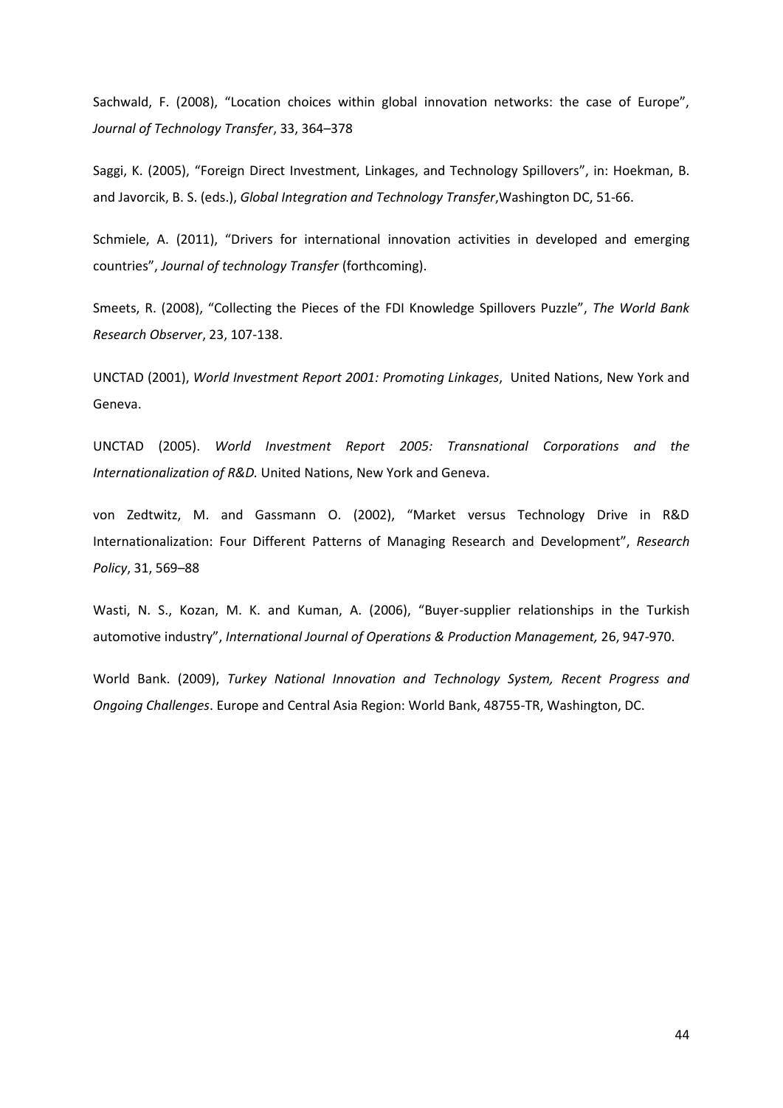objective of attracting foreign R&D to Turkey is real, rarely these intentions are not transferred into real action.

One firm mentioned that no *discrimination*, positive or negative, is exerted with respect to foreign firms in the Turkish innovation system since these firms mostly finance R&D investments by their internal resources. Another firm contested this view, pointing to the negative reactions of the public opinion when R&D support is provided to foreign firm -the argument being that due to their large size foreign firms should be able to finance their R&D expenditures easily without external support. Besides, two other issues were raised about (i) the new drug pricing system recently introduced by the government caused pharmaceutical products to be priced at a level which is 23% lower than the prices on the world market, led to significant losses in revenues and (ii) IPR protection provided to foreign firms by the patent system in Turkey is not effective and negative discrimination seems to exist against them in issues related o IPR protection $^{62}$ .

In terms of the *global collaborations of pharmaceutical firms*, interviewees point to the existence of a dense network of relations worldwide. In general small biotechnology firms offer the output of their basic research to the large pharmaceutical MNEs, which take care of the clinical research and commercialization phases. Although not very frequent, firms also mention cases of global R&D collaborations with their competitors in the industry for a number of diseases. Moreover, cooperation with other subsidiaries of the parent company located abroad seems to be very common.

Finally, firms have similar opinions about the nature of *policy developments* occurring in Turkey in order to attract FDI, especially international R&D. They believe that positive developments are to come and that a more stable and nondiscriminatory approach is needed to attract FDI and stimulate foreign R&D investments. On the other hand, interventionist policies tend to decrease trust on the stability of the institutional environment and increase uncertainty which impacts negatively high riskbearing R&D activities conducted in the sector. If the government succeeds in providing a stable institutional environment (regulation, legislation, IPR) for a period long enough, R&D activities would then be conducted more efficiently. The main problem seems to be the lack of dialogue between stakeholders in the sector, especially between foreign firms and the policymakers- mainly the Ministry of Health. Firms also estimate that the policies aimed to attract foreign R&D in this sector are largely insufficient. For instance, awareness about incentives granted for collaborations with pharmaceutical in the TDZs firms is quasi inexistent. Another example pertains to the relations of industry with the pharmacy faculties which are weak although these faculties are actively engaged in R&D. In general, there is a general objective to increase FDI and R&D investments, yet its translation into real action remains problematical.

#### **4.3.2. Automotive sector**

 $62$ It is claimed that foreign firms refrain from launching court suits in case of patent infringement since they are convinced that the outcome of the juridical process will be against them.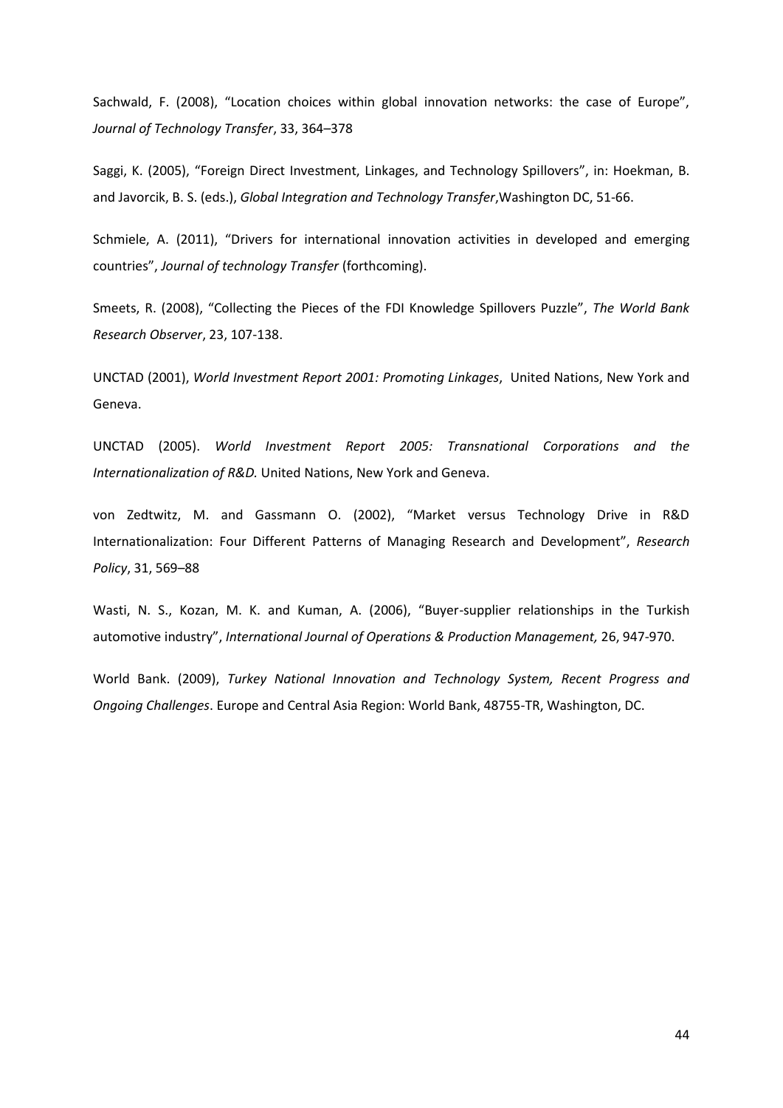Interviewed firms replied as follows when they were asked about the consequences of the *recently enacted R&D support law* providing fiscal incentives to business R&D (Law no 5746). One firm pointed to problems arising in practice from the application of this law. For instance, in case a researcher working at the R&D center is on leave, its status changes from full- to part-time employee, reducing the amount of support to which the firm is entitled. In a similar vein, in case a researcher leaves the R&D center to attend a seminar or present a communication to a conference, this immediately results in revenue losses for the firm. Another firm pointed to other problem areas: (i) the unrealistic compulsory threshold of 50 FTE researchers to be recruited in order to benefit from the R&D support law (ii) compulsory presence on the workplace of a researcher if the firm wishes to continue to benefit from the R&D support and (iii) the fact that the R&D center should be itself located in a separate facility from the administrative center or production facilities of the firm. This firm also pointed out to another basic but crucial problem: although an English translation of the original R&D support law is available, the working language in this company was neither Turkish nor English so that employees of the firm had had to translate themselves the law into the working language of the firm - a process which was not easy since the law was written in a quite technical terminology. Another difficulty is that criteria that should be fulfilled in order to be entitled to fiscal incentives are not clear at all. It was added that under present conditions and level of technological capabilities it is almost impossible to shift ongoing R&D activities from home base to or launch new types of R&D activities in Turkey. The final comments of this firm about the R&D incentive are: (i) adaptive types of R&D activities besides innovative ones, as well as design activities in the broad sense should be included in the law (ii) transfer of know-how and knowledge toward automotive suppliers should be a major component of this law – which apparently is not the case.

In general firms responded negatively to the question concerning the *existence of a strategy aimed at attracting foreign R&D to Turkey*. Some declared that a loose strategy and a number of ambiguous objectives were conceived, even roadmaps were worked on but that all these became ineffective because of the insufficiency and complexity of the steps involved in the implementation stage. They indicated that priority areas should be determined at the sector and technology levels and incentives to foreign R&D should be provided within the framework of such a strategy document. They acknowledged that a number of strategy papers existed for particular sectors including the automotive sector<sup>63</sup> and that direct R&D support provided through TUBITAK have probably impacted positively on business R&D but none of these –nor other– initiatives were part of a coherent and coordinated strategy to promote, *inter alia*, international R&D investments in Turkey. Finally, one firm admitted that Turkey owed the success it has acquired over the years to its advanced manufacturing capabilities, capable and –once- inexpensive skilled workforce. The same firm also indicated, however, that Turkey had to transform herself from a manufacturing to a design-related activities platform in order to sustain its success in the automotive industry since these last advantages would disappear sooner or later due to the competition of low-cost stemming from countries such as China and India. As a result, this firm valued highly all types of R&D supports since they would accelerate the move to such design-based activities.

<sup>63</sup> Some examples are (i) the *strategy paper for the automotive industry* prepared by the Ministry of Industry and Commerce (ii) *technology platforms* which aim to regroup large companies operating in a sector in order to make them cooperate on R&D-related issues – supevised by TUBTAK and (iii) pre-competitive collaborations aimed at technology development, which require copperation with universities.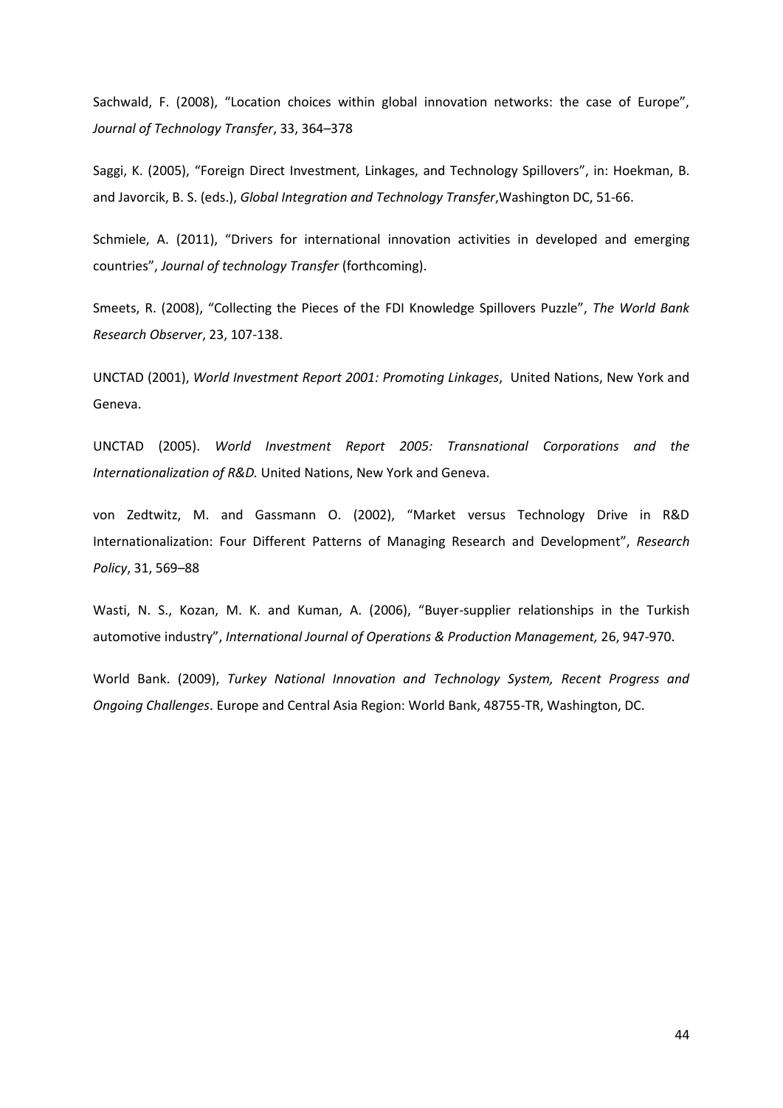Among the firms with R&D activities, three indicated that being foreign firms in Turkey did not entail any positive or negative *discrimination for R&D activities*. One firm pointed out that interpersonal relations were still important in Turkey for investments-related issues, that state bureaucracy did often impede transparency and all this might constitute a disadvantage for foreign firms. The only foreign company that does not conduct R&D activities in Turkey declared that it decided to end its R&D activities after the departure of its Turkish partner from the joint venture. This firm then realized that working with a Turkish partner enabled it to solve many problems and go through obstacles associated with the R&D incentive process. After the departure of its partner, its R&D activities were no more productive and hence decided to end them. This firm firmly believes a negative discrimination exists against foreign firms in Turkey in the allocation of not only R&D but also investment (machinery and equipments) incentives – so it stated clearly it had lost its trust into the innovation system in Turkey.

Finally, *international collaborations* of these firms include cooperation with the R&D center of the parent company at its home base – intra-firm or EU project involving other partners – or to a less extent with other foreign affiliates of the parent company in other countries.

#### **4.3.3 Electrical and electronics sector**

Opinions of firms about the *R&D law no 5746* were mixed. One firm believed that this law had an awareness-rising function but did not address many genuinely R&D-related problems. Another firm criticized the law on grounds that the compulsory employment at least 50 FTE researchers might push some firms to reallocate or transfer their existing workforce to the R&D centers, which might be harmful for the credibility of the R&D law. Another firm stated that the parent company invested in Turkey initially only for production-related activities but realized as time went by that skilled workforce and engineers were available in Turkey which could be mobilized for R&D activities. The recent R&D law reinforced their determination to conduct R&D in Turkey.

Respondents differed amongst them as to the *existence of a strategy to attract international R&D activities*. While one firm pointed to the existence of such a strategy it also stressed its ambiguous character. Another firm declared that it did not believe such a strategy existed in Turkey and emphasized that there is even no official website informing interested parties on different R&D support schemes in force. It mentioned that such a website and other awareness-rising methods should be used aggressively by Turkish authorities because of the intense competition existing between emerging countries to host MNE-based R&D activities and but also because a proactive policy aimed to reach potential foreign investors rather than waiting for them to invest is a much more realistic and effective way to attract foreign R&D. Another firm welcomes incentives provided by the recent R&D law and declared that it impacted positively on the intentions of some MNEs towards conducting R&D in Turkey. The same firm, however, added that the design, implementation and monitoring phases of the R&D support programmes should be assessed carefully and on a continual basis on the level of programs as well as individual projects.

Most firms acknowledged *negative discrimination against foreign firms* for granting R&D supports as a reality albeit for different reasons. One reason advanced is that R&D funding agencies are skeptical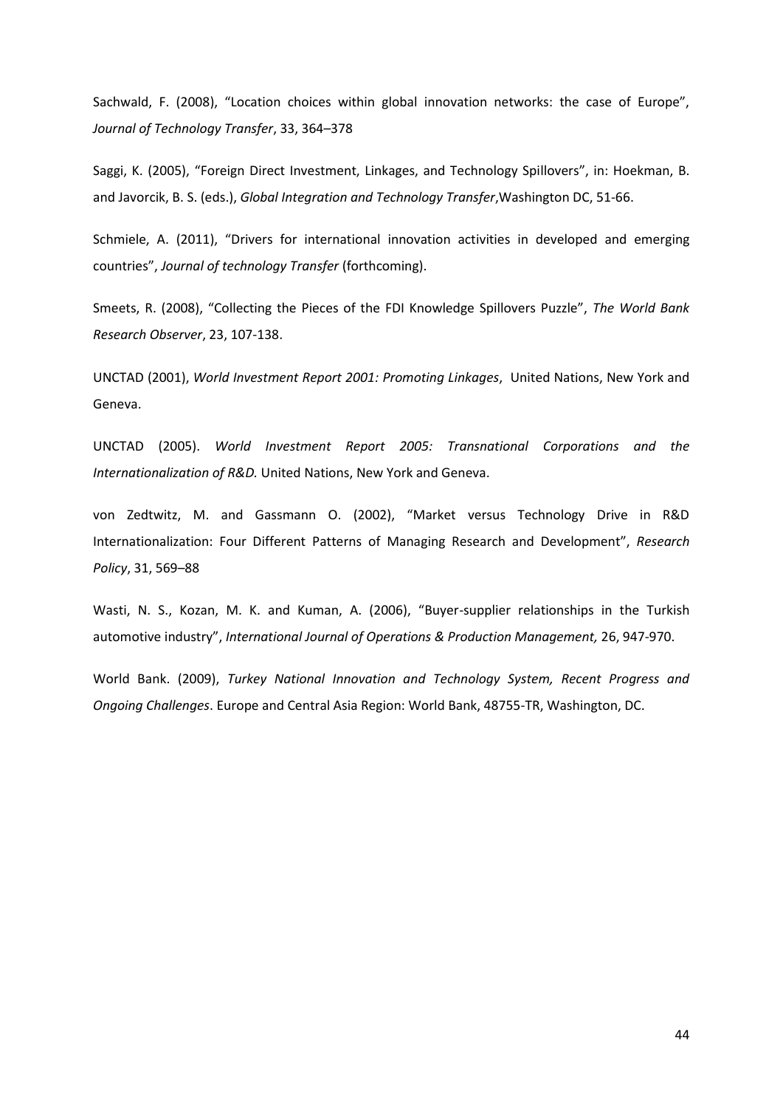as to the outcome or value added for the country if R&D projects of foreign firms established in Turkey are funded. This may occur mostly not because of an entrenched discrimination but rather due to the view that launching or sustaining further R&D expenditures is an easy matter for foreign firms compared to many domestic firms with much lesser financial and human resources. Another firm made a similar remark and pointed out that it had to allocate huge efforts and time to convince funding agencies that their granting R&D subsidies to their wholly-owned subsidiary status would not reduce in anyway the socioeconomic impacts of the project accepted. It was also admitted that without the R&D subsidies received, this firm would have been unable to convince its parent company in the EU to invest more in production- as well as R&D-related activities in Turkey.

As for their *international R&D collaborations*, one firm declared that it cooperated with companies and research institutes in the EU and USA and also with firms in the East Asia for electronics-related products. Another firm pointed out that it had a dense and strong collaboration network, especially with R&D center of the parent company and that being part of such networks *per se* has numerous advantages. The last firm declared that it had a number of joint product development projects with other domestic as well as foreign firms, among which figures also competitors.

Finally, firms were asked whether they noticed any significant *changes in policies aimed at attracting FDI or foreign R&D* into Turkey. Three firms consider the recent R&D law no 5746 as a positive development since it has raised awareness in Turkey about the importance of R&D and might attract more international R&D. However, they also added that more thoroughly thought and conceived as well as better coordinated R&D policies are needed and that policymakers should adopt a proactive rather than a reactive stance in face of an accelerating pace of R&D internationalization.

As for the *external sources mobilized for financing R&D expenditures*, it is remarkable that all the interviewed firms were aware and used extensively several external funding mechanisms such as project-based R&D subsidies granted by TUBITAK or in collaboration with national (university) or international partners (private firms in the Seventh Framework Program). One firm operated in free industry zone which includes a number of fiscal exonerations, two other has established a R&D center in accordance with the Law no 5746 with the associated benefits.

#### **4.3.4. ICT sector**

All participant firms agree about the positive impact of the *R&D support law no 5746* -enacted in 2008- not only on the volume of their R&D investments but also on the sustainability of these efforts. However, a number of shortcomings related to this law should be tackled for attracting foreign R&D to Turkey. Among those deficiencies interviewed firms mention the absence of priority sectors determined by the government, lack of a systematic and strategic approach aimed at attracting foreign R&D and the unrealistic requirement of employing 50 FTE research personnel, especially for firms operating in the information technologies sector. Another area of consensus is that Turkey has no strategy aimed at attracting foreign R&D investments. Even though Turkey implemented a new strategy in order to increase R&D investments of firms during the last decade, no specific effort is made to attract FDI-based R&D investments. In fact, it seems that the links between legislations related to FDI and R&D is weak, pointing to the necessity of efforts aimed at coordination. In order to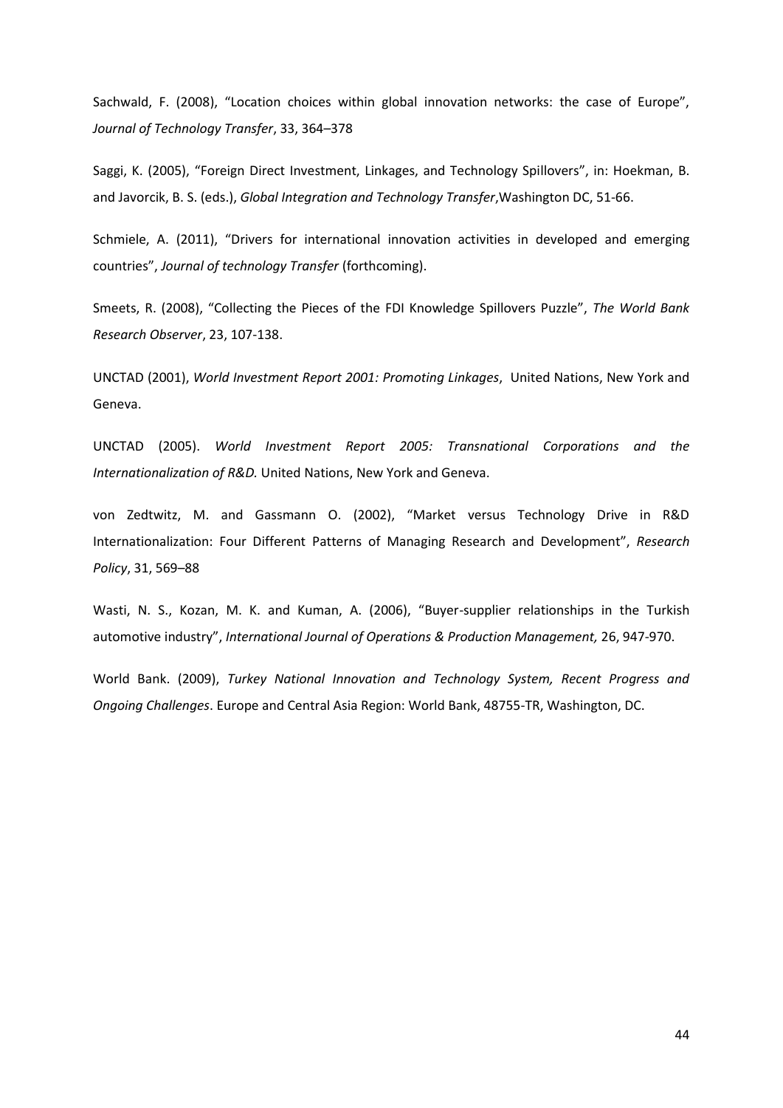attract new foreign R&D investments, there is an urgent need for formulating a new strategy that should not be only the financial support provided by the government but should also include identification of a number of sector-level priorities combined with regional and local supports for skilled labor supply and on-the-job training.

Participant firms declared that in general they do not face any *discrimination*, negative or positive, due to their foreign status. However, one participant mentioned existence of positive discrimination with respect to domestic firms and claimed that an expectation exists for MNEs to launch their R&D activities without financial support from the government, given the huge financial resources they possess. Another firm would like to see a positive discrimination applied to MNEs and is in favor of a new R&D support legislation aimed to attract FDI-based R&D investment, in addition to the recent R&D support law.

Most of the interviewed firms *collaborated* with other subsidiaries of the parent company at the project level, i.e. intra-company R&D collaborations do occur among affiliates of MNEs. In many instances, findings of a project successfully conducted by the R&D center of a subsidiary are subsequently transferred and used in its R&D centers worldwide. One firm reports collaboration with universities in Turkey and participation into R&D projects with other subsidiaries of parent company in EU projects. One firm established a university-industry relations department to transfer knowledge from universities to the industry and coordinated various procedures. This department acts as a facilitator between the different units of the firm and universities, and undertakes the paper work.

None of the firms experienced significant problems for transferring *skilled labor* from abroad through either brain gain or by recruiting foreigners. However, bureaucratic problems are mentioned by firms for obtaining residence and work permits. What is striking is their high degree of awareness about the incentives offered to transfer skilled labor from abroad. The most popular among those incentives is the EU Marie Curie supports for mobility. Some firms also recruit third generation Turkish immigrants especially from the EU whereas one firm does not see any advantage in transferring skilled labor from abroad because of the high quality of the workforce in Turkey. Another firm employs Turkish citizens living abroad on part-time basis in some projects.

Finally, when firms were asked about the *policy changes* they believed are necessary to attract R&Dbased FDI to Turkey the answers were similar to those provided above. They believe explicit links should be established between R&D support and FDI legislations given that such links are not created automatically, thus forcing the government to regulate this issue with a new legislation. The legislation should identify sectors to be treated in priority and provide accordingly sector-specific incentives for R&D expenditures. In this context, it is expected that Turkish Investment Agency<sup>64</sup> be proactive rather than reactive and develop FDI promotion and R&D support programs in coordination with other public agencies.

In sum, the ICT firms that participated to semi-structured interviews identified major problem areas calling for urgent solution such as the lack of systemic policies towards attracting foreign R&D investments, building links among FDI and R&D strategies, identification of priority sectors, and the removal of some barriers for ICT sector in the recent R&D support law.

For a detailed information on Turkish Investment Agency see [http://www.invest.gov.tr/en-](http://www.invest.gov.tr/en-US/Pages/Home.aspx)[US/Pages/Home.aspx](http://www.invest.gov.tr/en-US/Pages/Home.aspx) .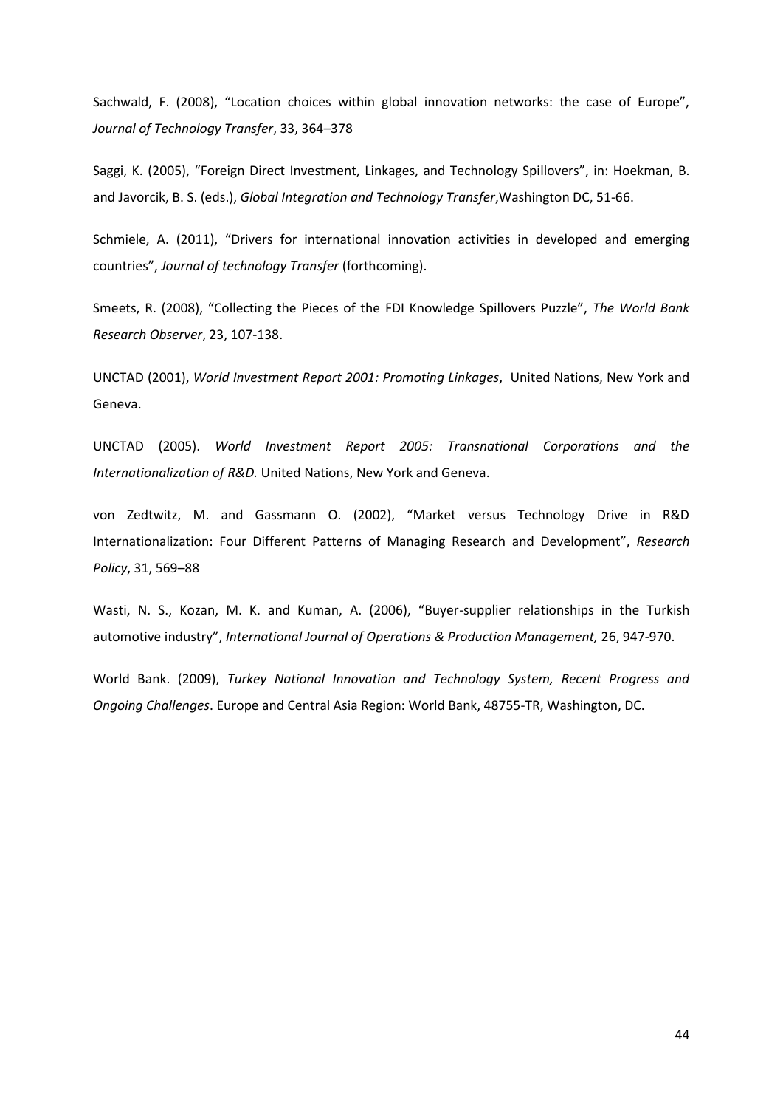# **5. Concluding Remarks**

The objective of this paper was to identify and analyze opportunities and problems due to the increased foreign presence of MNEs in innovation activities in the Turkish economy. To this end an open-ended questionnaire was prepared and used to conduct semi-structured in-depth interviews with the CEOs and R&D, product and production directors of 26 MNE affiliates operating in the manufacturing and ICT sectors in 2010. These firms operate in the pharmaceutical sector, automotive sector, electrical/electronics sector, and in the ICT sector. They are all wholly or partly owned affiliates of well-known MNEs present all over the world. Case studies were our preferred research methodology mainly because we believe that information embedded in individuals and organizations on the issues we are interested in can only be identifed and retrieved by administrating an openended questionnaire to relevant actors im MNEs.

Out findings point to problems specific to each sector as well as to common issues in attracting new and/or increasing existing international R&D activities in the Turkish economy. We have dealt with sector-specific issues in detail in section 4 and therefore the focus will be on problems expressed by all or a majority of firm representatives that attended the interviews.

One major problem concerns the indirect taxes levied on products sold on the domestic markets that are higher than taxes levied in other emerging countries or even in the European Union. The obvious detrimental effect of this situation is to limit the size of the market -rather its growth rate- and acts as an impediment for further R&D expenditures by foreign firms. Especially firms in the automotive and electrical/electronic sectors complained about this negative effect of this issue on their R&D expenditures – present and to come.

The relatively low level of technological capabilities of suppliers was mentioned as another problem area by many firms. This has the undesirable outcome of limiting the extent of cooperation between manufacturers and suppliers, which impacts negatively on the competitiveness of foreign manufacturers in the sectors analyzed. Another negative effect is to increase the import dependency of these firms, hence of the overall economy in Turkey. Again firms in the automotive and electrical/electronic sectors complained most about this problem and added that the recently enacted R&D incentive law no 5746 would be unable to increase R&D capabilities of suppliers since it excludes from its scope SMEs.

Several firms in all the sectors pointed to the contrast between the high-education level of especially engineers and their low level of work experience, which, in other countries, is acquired through internships while studying. Firms mentioned that they had to train themselves for several months their workforce in order to bring them productivity to acceptable levels. Absence of high quality collaborations with the universities is baled for this situation.

Many firms complained about negative discriminatory practices they suffered from, especially for the allocation of R&D subsidies. Gaining the trust of funding agencies by convincing them that their foreign status would not reduce the socio-economic impacts of funds received was one major way to mitigate this problem. However, larger MNE affiliates pointed to the sustainability of R&D funds since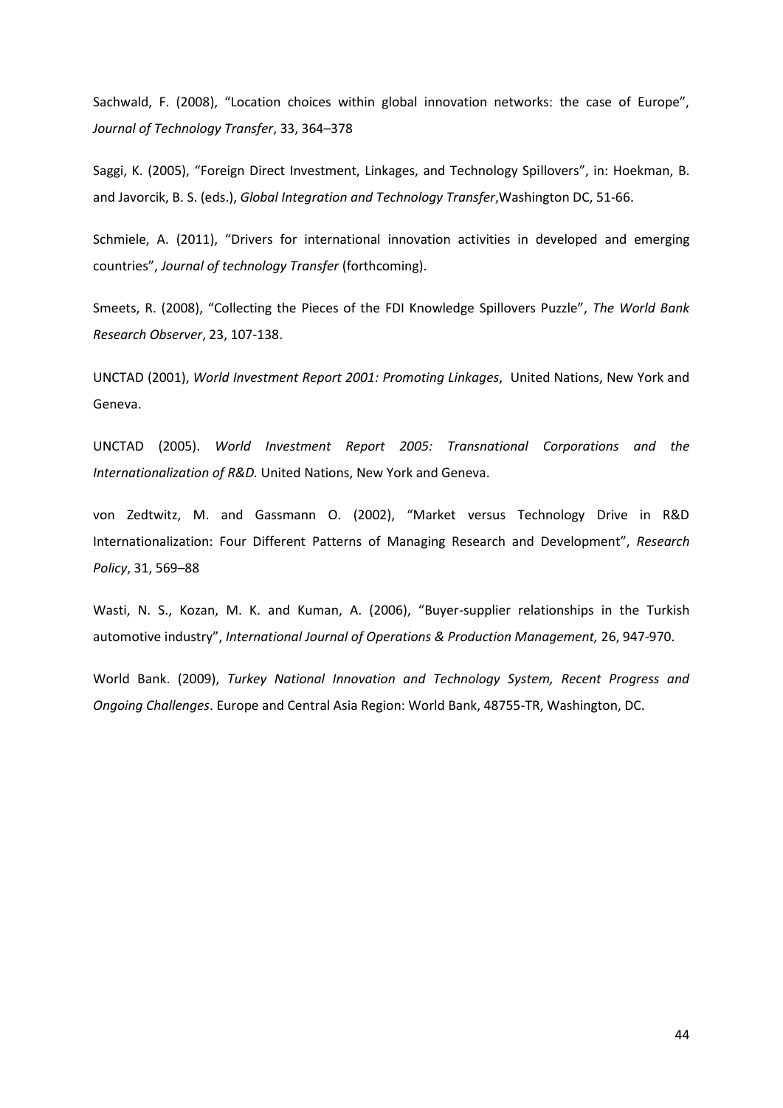funding agencies believed that their large size would enable them to pursue on their own R&D activities initially subsidized.

Insufficient level of collaboration between MNE affiliates and universities was mentioned am another issue to deal with. This problem was part blamed on the incapacity of engineering faculties to address concrete problems of affiliates and had the disastrous consequence of not limiting the amount of R&D expenditures of foreign firms but also their integration the Turkish national innovation system.

Many firms reported administrative obstacles and problems for benefiting from direct subsidies and fiscal incentives provided to R&D. These included red tape, low transparency of the subsidy ranting process, ambiguous performance criteria for fiscal incentives, insufficient awareness-raising activities and risk of exclusion of foreign firms from the subsidy process. Firms declare that besides increasing the amount of R6d support, these problems should be dealt with if the objective is to maximize international R&D activities in Turkey.

Weak links between FDI-promotion policies and those related to R&D support were reported by firms. Further integration of policies aimed at increasing individually each item –FDI or R&D in general– was recommended as an absolute necessity to attract more international R&D to Turkey.

Finally, several firms complained about the absence of priority sectors and technology fields to be promoted by policymakers. According to them, establishing such a priority list would send a clear message to headquarters of MNEs leading them to take into consideration Turkey in their future R&D decisions.

Therefore, attracting international R&D to Turkey is related to a host of factors including the design of polices relating to higher education, tax and FDI-promotion policies, and to the strengthening of relationships between manufacturers and their suppliers. Policy proposal and tools aimed at tackling these issues must be formulated and implemented though negotiations involving all relevant actors the national system of innovation. In a nutshell, bringing international RD& to Turkey requires the preparation of a policy mix and its implementation through coordination with relevant actors.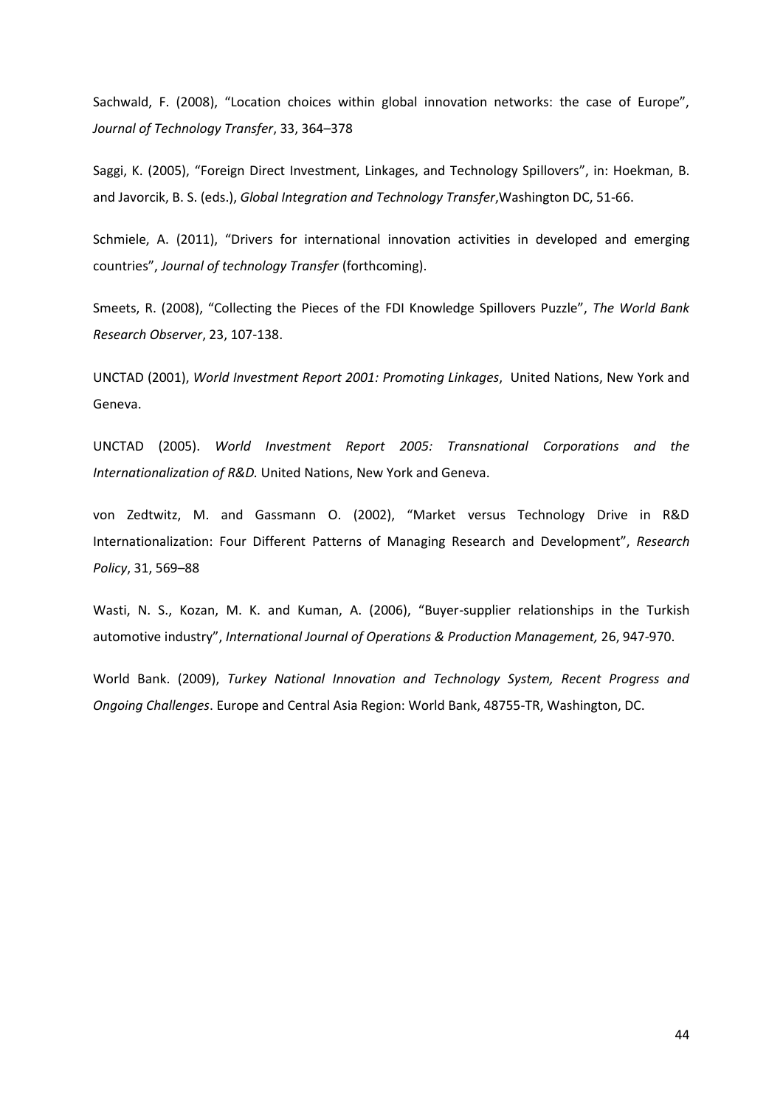#### **REFERENCES**

Blomstrom, M. ve A. Kokko (1998), "Multinational corporations and spillovers", *Journal of Economic Surveys*, 12, 1-31.

Carlsson, B. (2006), "Internationalization of innovation systems: A survey of literature", *Research Policy*, 35, 56-67.

Celikel, A.T., Karabag, S. F. and C. Berggren (2011), "The limits of R&D internationalization and the importance of local inititaives: Turkey as a critical case", *World Development* (forthcoming).

Criscuola, P. (2005), *Internationalization of corporate R&D: A survey of literature*, SPRU - University of Sussex & MERIT- University of Maastricht, mimeo.

Edquist, C. (2005), "Systems of Innovation: Perspectives and Challenges", in: J. Fagerberg, D. Mowery, and R. R. Nelson (eds.), *The Oxford handbook of innovation*. Oxford: Oxford University Press.

European Commission (2007), *Europe in the Global Research Landscape*, EC, Brussels.

Gerybadze, A. ve G. Reger (1999), "Globalization of R&D: Recent trends in the management of innovation in transnational corporations", *Research Policy*, 28, 251–271.

Gorg, H. and Greenaway, D. (2004), *Much Ado About Nothing? Do Domestic Firms Really Benefit from Foreign Direct Investment?*, IZA Discussion Paper Series, No. 944.

Guimon, J. (2009), "Government strategies to attract R&D intensive FDI", *Journal of Technology Transfer*, 34, 364-379.

Javorcik, B. S., (2004), "Does Foreign Direct Investment Increase the Productivity of Domestic Firms? In Search of Spillovers through Backward Linkages", *American Economic Review,* 94, 605-627.

Kalayci, E. and T. Pamukcu (2011), *Analysis of foreign ownersip, R&D and spillovers in develoing countries: Evidence from Turkey,* Economic Research Forum for the Arab Countries, Iran and Turkey (ERF) Working Paper Series, No 642, October, 41 pages.

Kuemmerle, W. (1997), "Building effective R&D capabilities abroad", *Harvard Business Review*, 75, 61–70.

Kuemmerle, W. (1999), "Foreign direct investment in industrial research in the pharmaceutical and electronics industries--results from a survey of multinational firms", *Research Policy*, 28, 179-93.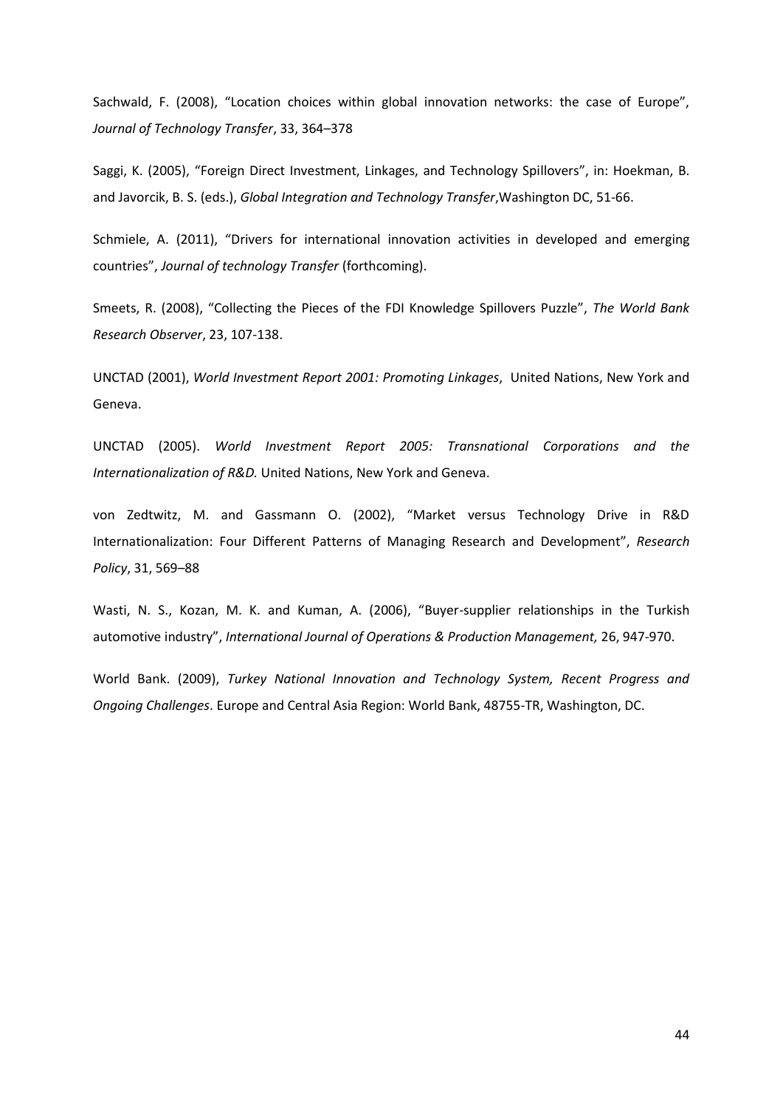Le Bas, C. ve Siera. C. (2002), "Location versus home country advantages in R&D activities: some further results on multinationals' location strategies", *Research Policy*, 31, 589-609.

Lundvall, B.A. (1992), *National Systems of Innovation: Towards A Theory of Innovation and Interactive Learning*, Pinter, London.

Miesing, P, Kriger, P.K. and Slough, N. (2007), "Towards a model of effective knowledge transfer within multinationals. The case of Chinese foreign invested enterprises", *Journal of Technology Transfer*,, 32, 109-122.

Narula, R. and A. Zanfei (2005), "Globalization of Innovation: The Role of Multinational Enterprises", Fagerberg, J., Mowery D.C. and R.R. Nelson (eds.), *The Oxford Handbook of Innovation*, Oxford University Press, 318-337.

OECD (2006), "The internationalization of R&D", chapter 4 in: *OECD Science, Technology and Industry Outlook*, OECD, Paris, 121-147.

OECD (2008), *The Internationalisation of Business R&D: Evidence, Impacts and Implications*, OECD, Paris.

Özçelik, E., and Taymaz, E. (2008), R&D support programs in developing countries:The Turkish experience. *Research Policy* , 258-275.

Pamukcu, T., Bertinelli L. and Strobl E. (2006), "Technology Spillovers due to Foreign Ownership and Productivity of Domestic Firms: Analyzing the Evidence" (2007) in *Selected Papers from the 13th International Conference of ERF*, Economic Research Forum (ERF), Egypt, 187-230.

Pamukcu, M. and Sönmez A. (2011), *Analysis of Knowledge and Technology Transfer by Multinational Companies to Local Suppliers in the Turkish Automotive Industry* (in Turkish), research project funded by the The Scientific and Technological Research Council of Turkey (TUBITAK), project no 109K587, Middle East Technical University, Ankara, 140 pages.

Pamukcu, T. and Tandogan, S. (2011), *Evaluating effectiveness of public support to business R&D in Turkey through concepts of input and output additionality,* Economic Research Forum for the Arab Countries, Iran and Turkey (ERF) Working Paper Series, No 593, June, 36 pages.

Patel, P. and Pavitt K. (1991), "Large firms in the production of the world's technology: an important case of non-globalization", *Journal of International Business Studies*, 22, 1-21.